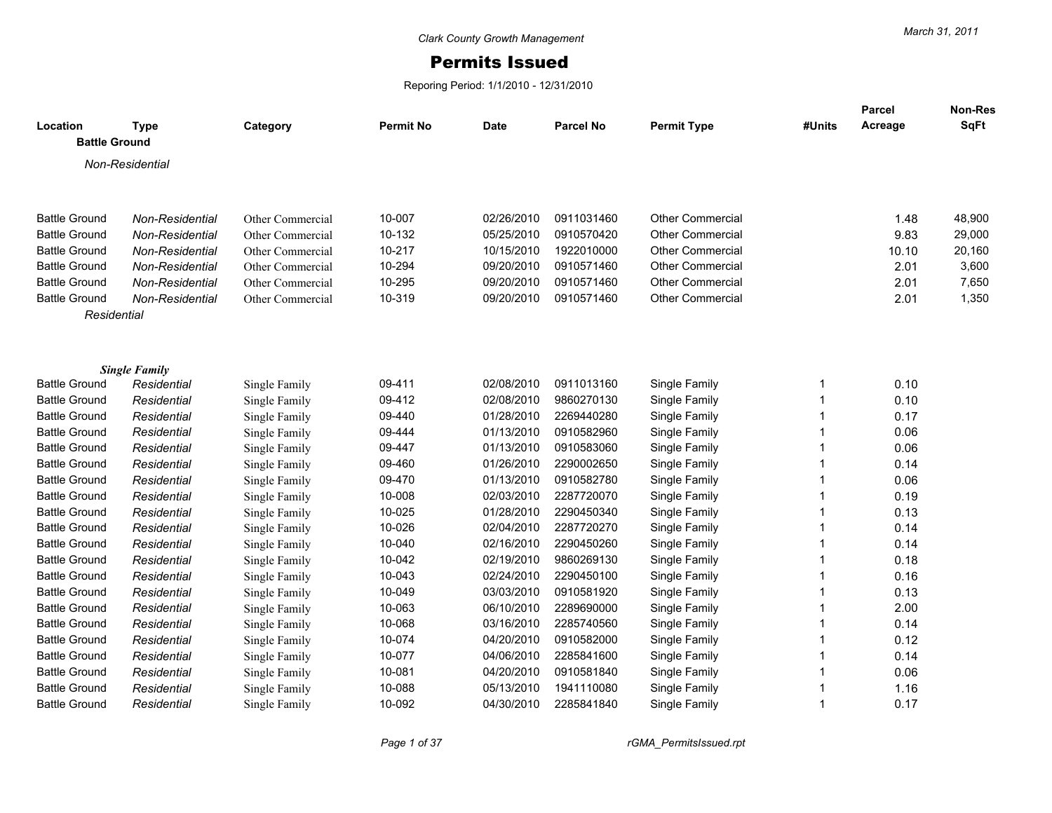## Permits Issued

Reporing Period: 1/1/2010 - 12/31/2010

| Location             | <b>Type</b>                         | Category         | <b>Permit No</b> | <b>Date</b> | <b>Parcel No</b> | <b>Permit Type</b>      | #Units       | Parcel<br>Acreage | Non-Res<br>SqFt |
|----------------------|-------------------------------------|------------------|------------------|-------------|------------------|-------------------------|--------------|-------------------|-----------------|
| <b>Battle Ground</b> |                                     |                  |                  |             |                  |                         |              |                   |                 |
|                      | Non-Residential                     |                  |                  |             |                  |                         |              |                   |                 |
|                      |                                     |                  |                  |             |                  |                         |              |                   |                 |
|                      |                                     |                  |                  |             |                  |                         |              |                   |                 |
| <b>Battle Ground</b> | Non-Residential                     | Other Commercial | 10-007           | 02/26/2010  | 0911031460       | <b>Other Commercial</b> |              | 1.48              | 48,900          |
| <b>Battle Ground</b> | Non-Residential                     | Other Commercial | 10-132           | 05/25/2010  | 0910570420       | <b>Other Commercial</b> |              | 9.83              | 29,000          |
| <b>Battle Ground</b> | Non-Residential                     | Other Commercial | 10-217           | 10/15/2010  | 1922010000       | <b>Other Commercial</b> |              | 10.10             | 20,160          |
| <b>Battle Ground</b> | Non-Residential                     | Other Commercial | 10-294           | 09/20/2010  | 0910571460       | <b>Other Commercial</b> |              | 2.01              | 3,600           |
| <b>Battle Ground</b> | Non-Residential                     | Other Commercial | 10-295           | 09/20/2010  | 0910571460       | <b>Other Commercial</b> |              | 2.01              | 7,650           |
| <b>Battle Ground</b> | Non-Residential                     | Other Commercial | 10-319           | 09/20/2010  | 0910571460       | <b>Other Commercial</b> |              | 2.01              | 1,350           |
| Residential          |                                     |                  |                  |             |                  |                         |              |                   |                 |
|                      |                                     |                  |                  |             |                  |                         |              |                   |                 |
|                      |                                     |                  |                  |             |                  |                         |              |                   |                 |
| <b>Battle Ground</b> | <b>Single Family</b><br>Residential | Single Family    | 09-411           | 02/08/2010  | 0911013160       | Single Family           | 1            | 0.10              |                 |
| <b>Battle Ground</b> | Residential                         | Single Family    | 09-412           | 02/08/2010  | 9860270130       | Single Family           | $\mathbf{1}$ | 0.10              |                 |
| <b>Battle Ground</b> | Residential                         | Single Family    | 09-440           | 01/28/2010  | 2269440280       | Single Family           | $\mathbf{1}$ | 0.17              |                 |
| <b>Battle Ground</b> | Residential                         | Single Family    | 09-444           | 01/13/2010  | 0910582960       | Single Family           | $\mathbf 1$  | 0.06              |                 |
| <b>Battle Ground</b> | Residential                         | Single Family    | 09-447           | 01/13/2010  | 0910583060       | Single Family           | $\mathbf{1}$ | 0.06              |                 |
| <b>Battle Ground</b> | Residential                         | Single Family    | 09-460           | 01/26/2010  | 2290002650       | Single Family           | 1            | 0.14              |                 |
| <b>Battle Ground</b> | Residential                         | Single Family    | 09-470           | 01/13/2010  | 0910582780       | Single Family           | $\mathbf{1}$ | 0.06              |                 |
| <b>Battle Ground</b> | Residential                         | Single Family    | 10-008           | 02/03/2010  | 2287720070       | Single Family           | $\mathbf{1}$ | 0.19              |                 |
| <b>Battle Ground</b> | Residential                         | Single Family    | 10-025           | 01/28/2010  | 2290450340       | Single Family           | $\mathbf{1}$ | 0.13              |                 |
| <b>Battle Ground</b> | Residential                         | Single Family    | 10-026           | 02/04/2010  | 2287720270       | Single Family           | $\mathbf{1}$ | 0.14              |                 |
| <b>Battle Ground</b> | Residential                         | Single Family    | 10-040           | 02/16/2010  | 2290450260       | Single Family           | $\mathbf{1}$ | 0.14              |                 |
| <b>Battle Ground</b> | Residential                         | Single Family    | 10-042           | 02/19/2010  | 9860269130       | Single Family           | 1            | 0.18              |                 |
| <b>Battle Ground</b> | Residential                         | Single Family    | 10-043           | 02/24/2010  | 2290450100       | Single Family           | 1            | 0.16              |                 |
| <b>Battle Ground</b> | Residential                         | Single Family    | 10-049           | 03/03/2010  | 0910581920       | Single Family           | 1            | 0.13              |                 |
| <b>Battle Ground</b> | Residential                         | Single Family    | 10-063           | 06/10/2010  | 2289690000       | Single Family           | 1            | 2.00              |                 |
| <b>Battle Ground</b> | Residential                         | Single Family    | 10-068           | 03/16/2010  | 2285740560       | Single Family           | 1            | 0.14              |                 |
| <b>Battle Ground</b> | Residential                         | Single Family    | 10-074           | 04/20/2010  | 0910582000       | Single Family           | 1            | 0.12              |                 |
| <b>Battle Ground</b> | Residential                         | Single Family    | 10-077           | 04/06/2010  | 2285841600       | Single Family           | 1            | 0.14              |                 |
| <b>Battle Ground</b> | Residential                         | Single Family    | 10-081           | 04/20/2010  | 0910581840       | Single Family           | 1            | 0.06              |                 |
| <b>Battle Ground</b> | Residential                         | Single Family    | 10-088           | 05/13/2010  | 1941110080       | Single Family           | 1            | 1.16              |                 |
| <b>Battle Ground</b> | Residential                         | Single Family    | 10-092           | 04/30/2010  | 2285841840       | Single Family           | 1            | 0.17              |                 |
|                      |                                     |                  |                  |             |                  |                         |              |                   |                 |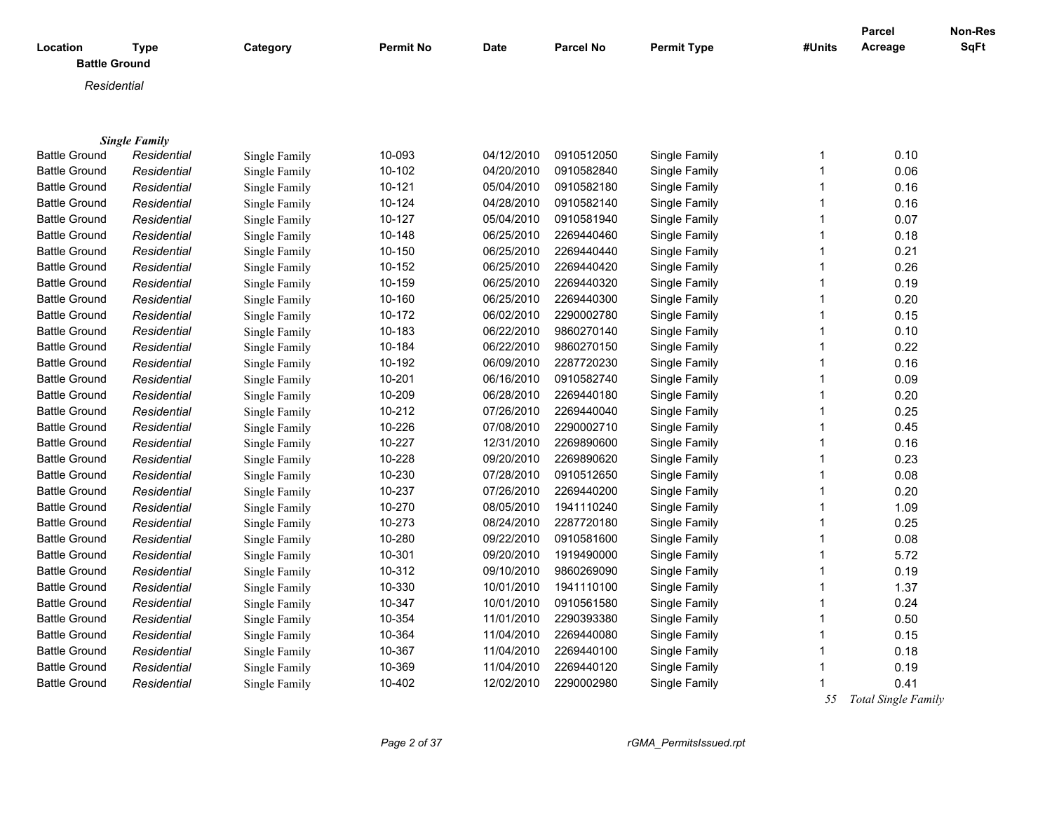| Location<br><b>Battle Ground</b> | <b>Type</b>          | Category      | <b>Permit No</b> | Date       | <b>Parcel No</b> | <b>Permit Type</b> | #Units         | <b>Parcel</b><br>Acreage | <b>Non-Res</b><br><b>SqFt</b> |
|----------------------------------|----------------------|---------------|------------------|------------|------------------|--------------------|----------------|--------------------------|-------------------------------|
| Residential                      |                      |               |                  |            |                  |                    |                |                          |                               |
|                                  |                      |               |                  |            |                  |                    |                |                          |                               |
|                                  |                      |               |                  |            |                  |                    |                |                          |                               |
|                                  | <b>Single Family</b> |               |                  |            |                  |                    |                |                          |                               |
| <b>Battle Ground</b>             | Residential          | Single Family | 10-093           | 04/12/2010 | 0910512050       | Single Family      | $\mathbf 1$    | 0.10                     |                               |
| <b>Battle Ground</b>             | Residential          | Single Family | 10-102           | 04/20/2010 | 0910582840       | Single Family      | $\mathbf{1}$   | 0.06                     |                               |
| <b>Battle Ground</b>             | Residential          | Single Family | 10-121           | 05/04/2010 | 0910582180       | Single Family      | $\mathbf{1}$   | 0.16                     |                               |
| <b>Battle Ground</b>             | Residential          | Single Family | 10-124           | 04/28/2010 | 0910582140       | Single Family      | $\mathbf{1}$   | 0.16                     |                               |
| <b>Battle Ground</b>             | Residential          | Single Family | 10-127           | 05/04/2010 | 0910581940       | Single Family      | $\mathbf{1}$   | 0.07                     |                               |
| <b>Battle Ground</b>             | Residential          | Single Family | 10-148           | 06/25/2010 | 2269440460       | Single Family      | $\mathbf{1}$   | 0.18                     |                               |
| <b>Battle Ground</b>             | Residential          | Single Family | 10-150           | 06/25/2010 | 2269440440       | Single Family      | $\mathbf{1}$   | 0.21                     |                               |
| <b>Battle Ground</b>             | Residential          | Single Family | 10-152           | 06/25/2010 | 2269440420       | Single Family      | $\mathbf{1}$   | 0.26                     |                               |
| <b>Battle Ground</b>             | Residential          | Single Family | 10-159           | 06/25/2010 | 2269440320       | Single Family      | $\mathbf{1}$   | 0.19                     |                               |
| <b>Battle Ground</b>             | Residential          | Single Family | 10-160           | 06/25/2010 | 2269440300       | Single Family      | $\mathbf{1}$   | 0.20                     |                               |
| <b>Battle Ground</b>             | Residential          | Single Family | 10-172           | 06/02/2010 | 2290002780       | Single Family      | $\mathbf{1}$   | 0.15                     |                               |
| <b>Battle Ground</b>             | Residential          | Single Family | 10-183           | 06/22/2010 | 9860270140       | Single Family      | $\mathbf{1}$   | 0.10                     |                               |
| <b>Battle Ground</b>             | Residential          | Single Family | 10-184           | 06/22/2010 | 9860270150       | Single Family      | $\mathbf{1}$   | 0.22                     |                               |
| <b>Battle Ground</b>             | Residential          | Single Family | 10-192           | 06/09/2010 | 2287720230       | Single Family      | $\mathbf{1}$   | 0.16                     |                               |
| <b>Battle Ground</b>             | Residential          | Single Family | 10-201           | 06/16/2010 | 0910582740       | Single Family      | $\mathbf{1}$   | 0.09                     |                               |
| <b>Battle Ground</b>             | Residential          | Single Family | 10-209           | 06/28/2010 | 2269440180       | Single Family      | $\mathbf{1}$   | 0.20                     |                               |
| <b>Battle Ground</b>             | Residential          | Single Family | 10-212           | 07/26/2010 | 2269440040       | Single Family      | $\overline{1}$ | 0.25                     |                               |
| <b>Battle Ground</b>             | Residential          | Single Family | 10-226           | 07/08/2010 | 2290002710       | Single Family      | $\mathbf{1}$   | 0.45                     |                               |
| <b>Battle Ground</b>             | Residential          | Single Family | 10-227           | 12/31/2010 | 2269890600       | Single Family      | $\mathbf{1}$   | 0.16                     |                               |
| <b>Battle Ground</b>             | Residential          | Single Family | 10-228           | 09/20/2010 | 2269890620       | Single Family      | $\mathbf{1}$   | 0.23                     |                               |
| <b>Battle Ground</b>             | Residential          | Single Family | 10-230           | 07/28/2010 | 0910512650       | Single Family      | $\mathbf{1}$   | 0.08                     |                               |
| <b>Battle Ground</b>             | Residential          | Single Family | 10-237           | 07/26/2010 | 2269440200       | Single Family      | $\mathbf{1}$   | 0.20                     |                               |
| <b>Battle Ground</b>             | Residential          | Single Family | 10-270           | 08/05/2010 | 1941110240       | Single Family      | $\mathbf{1}$   | 1.09                     |                               |
| <b>Battle Ground</b>             | Residential          | Single Family | 10-273           | 08/24/2010 | 2287720180       | Single Family      | $\mathbf{1}$   | 0.25                     |                               |
| <b>Battle Ground</b>             | Residential          | Single Family | 10-280           | 09/22/2010 | 0910581600       | Single Family      | $\mathbf{1}$   | 0.08                     |                               |
| <b>Battle Ground</b>             | Residential          | Single Family | 10-301           | 09/20/2010 | 1919490000       | Single Family      | $\mathbf{1}$   | 5.72                     |                               |
| <b>Battle Ground</b>             | Residential          | Single Family | 10-312           | 09/10/2010 | 9860269090       | Single Family      | $\mathbf{1}$   | 0.19                     |                               |
| <b>Battle Ground</b>             | Residential          | Single Family | 10-330           | 10/01/2010 | 1941110100       | Single Family      | $\mathbf{1}$   | 1.37                     |                               |
| <b>Battle Ground</b>             | Residential          | Single Family | 10-347           | 10/01/2010 | 0910561580       | Single Family      | $\mathbf{1}$   | 0.24                     |                               |
| <b>Battle Ground</b>             | Residential          | Single Family | 10-354           | 11/01/2010 | 2290393380       | Single Family      | $\mathbf{1}$   | 0.50                     |                               |
| <b>Battle Ground</b>             | Residential          | Single Family | 10-364           | 11/04/2010 | 2269440080       | Single Family      | $\mathbf{1}$   | 0.15                     |                               |
| <b>Battle Ground</b>             | Residential          | Single Family | 10-367           | 11/04/2010 | 2269440100       | Single Family      | $\mathbf{1}$   | 0.18                     |                               |
| <b>Battle Ground</b>             | Residential          | Single Family | 10-369           | 11/04/2010 | 2269440120       | Single Family      | $\mathbf{1}$   | 0.19                     |                               |
| <b>Battle Ground</b>             | Residential          | Single Family | 10-402           | 12/02/2010 | 2290002980       | Single Family      | $\mathbf{1}$   | 0.41                     |                               |

 *55 Total Single Family*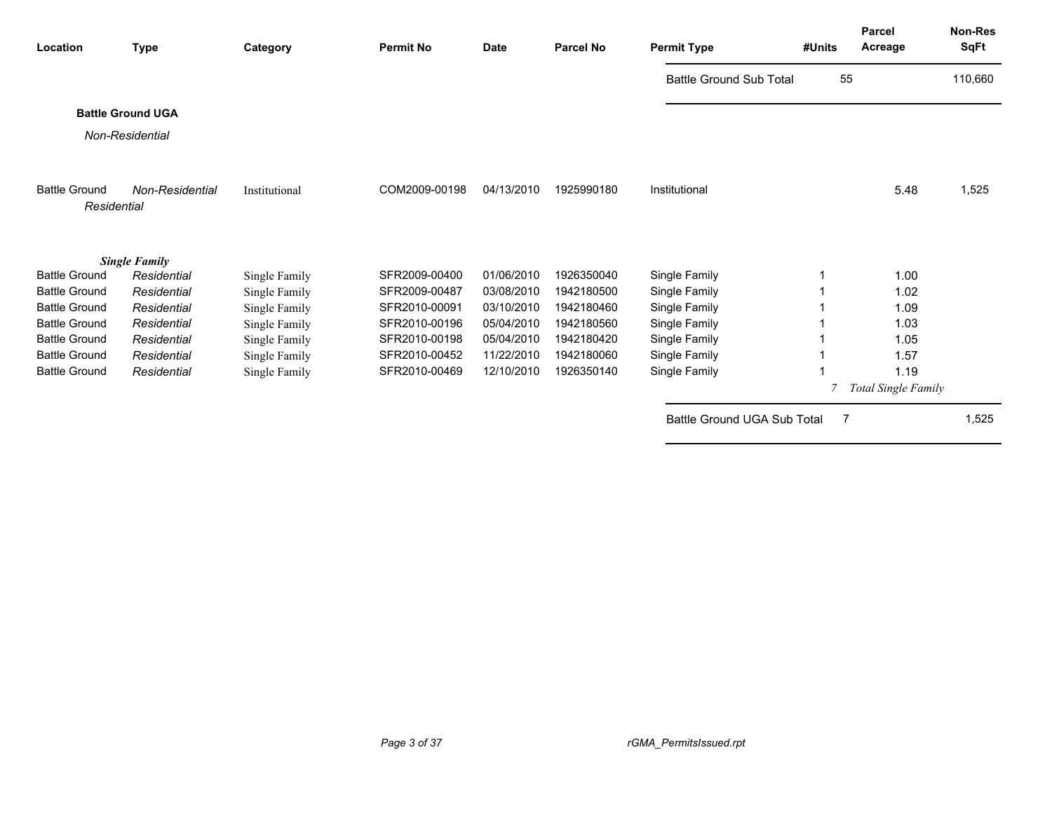| Location                            | <b>Type</b>              | Category      | <b>Permit No</b> | <b>Date</b> | <b>Parcel No</b> | <b>Permit Type</b>             | #Units | <b>Parcel</b><br>Acreage | Non-Res<br><b>SqFt</b> |
|-------------------------------------|--------------------------|---------------|------------------|-------------|------------------|--------------------------------|--------|--------------------------|------------------------|
|                                     |                          |               |                  |             |                  | <b>Battle Ground Sub Total</b> | 55     |                          | 110,660                |
|                                     | <b>Battle Ground UGA</b> |               |                  |             |                  |                                |        |                          |                        |
|                                     | Non-Residential          |               |                  |             |                  |                                |        |                          |                        |
|                                     |                          |               |                  |             |                  |                                |        |                          |                        |
| <b>Battle Ground</b><br>Residential | Non-Residential          | Institutional | COM2009-00198    | 04/13/2010  | 1925990180       | Institutional                  |        | 5.48                     | 1,525                  |
|                                     |                          |               |                  |             |                  |                                |        |                          |                        |
|                                     | <b>Single Family</b>     |               |                  |             |                  |                                |        |                          |                        |
| <b>Battle Ground</b>                | Residential              | Single Family | SFR2009-00400    | 01/06/2010  | 1926350040       | Single Family                  |        | 1.00                     |                        |
| <b>Battle Ground</b>                | Residential              | Single Family | SFR2009-00487    | 03/08/2010  | 1942180500       | Single Family                  |        | 1.02                     |                        |
| <b>Battle Ground</b>                | Residential              | Single Family | SFR2010-00091    | 03/10/2010  | 1942180460       | Single Family                  |        | 1.09                     |                        |
| <b>Battle Ground</b>                | Residential              | Single Family | SFR2010-00196    | 05/04/2010  | 1942180560       | Single Family                  |        | 1.03                     |                        |
| <b>Battle Ground</b>                | Residential              | Single Family | SFR2010-00198    | 05/04/2010  | 1942180420       | Single Family                  |        | 1.05                     |                        |
| <b>Battle Ground</b>                | Residential              | Single Family | SFR2010-00452    | 11/22/2010  | 1942180060       | Single Family                  |        | 1.57                     |                        |
| <b>Battle Ground</b>                | Residential              | Single Family | SFR2010-00469    | 12/10/2010  | 1926350140       | Single Family                  |        | 1.19                     |                        |
|                                     |                          |               |                  |             |                  |                                |        | Total Single Family      |                        |
|                                     |                          |               |                  |             |                  | Battle Ground UGA Sub Total    | 7      |                          | 1,525                  |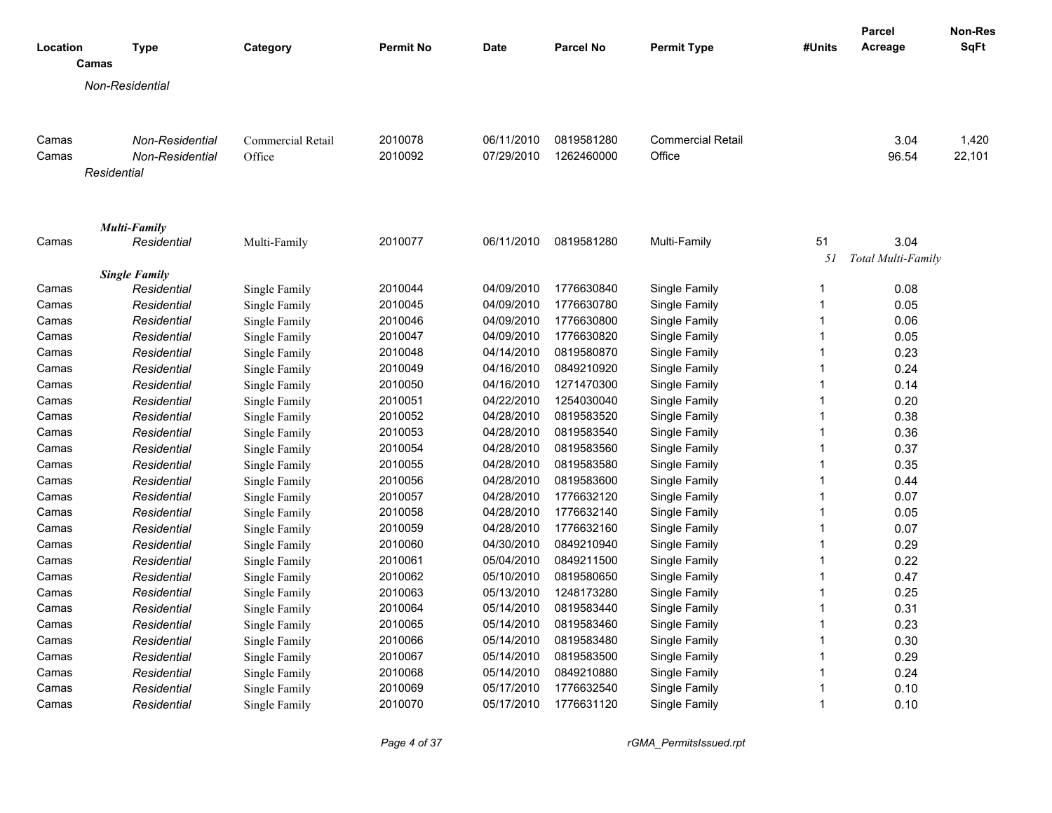|          |                      |                 |                   |                  |             |                  |                          |              | <b>Parcel</b>      | Non-Res     |
|----------|----------------------|-----------------|-------------------|------------------|-------------|------------------|--------------------------|--------------|--------------------|-------------|
| Location |                      | <b>Type</b>     | Category          | <b>Permit No</b> | <b>Date</b> | <b>Parcel No</b> | <b>Permit Type</b>       | #Units       | Acreage            | <b>SqFt</b> |
|          | Camas                |                 |                   |                  |             |                  |                          |              |                    |             |
|          | Non-Residential      |                 |                   |                  |             |                  |                          |              |                    |             |
|          |                      |                 |                   |                  |             |                  |                          |              |                    |             |
|          |                      |                 |                   |                  |             |                  |                          |              |                    |             |
| Camas    |                      | Non-Residential | Commercial Retail | 2010078          | 06/11/2010  | 0819581280       | <b>Commercial Retail</b> |              | 3.04               | 1,420       |
| Camas    |                      | Non-Residential | Office            | 2010092          | 07/29/2010  | 1262460000       | Office                   |              | 96.54              | 22,101      |
|          | Residential          |                 |                   |                  |             |                  |                          |              |                    |             |
|          |                      |                 |                   |                  |             |                  |                          |              |                    |             |
|          |                      |                 |                   |                  |             |                  |                          |              |                    |             |
| Camas    | <b>Multi-Family</b>  | Residential     | Multi-Family      | 2010077          | 06/11/2010  | 0819581280       | Multi-Family             | 51           | 3.04               |             |
|          |                      |                 |                   |                  |             |                  |                          | 51           | Total Multi-Family |             |
|          | <b>Single Family</b> |                 |                   |                  |             |                  |                          |              |                    |             |
| Camas    |                      | Residential     | Single Family     | 2010044          | 04/09/2010  | 1776630840       | Single Family            | 1            | 0.08               |             |
| Camas    |                      | Residential     | Single Family     | 2010045          | 04/09/2010  | 1776630780       | Single Family            | $\mathbf{1}$ | 0.05               |             |
| Camas    |                      | Residential     | Single Family     | 2010046          | 04/09/2010  | 1776630800       | Single Family            | $\mathbf{1}$ | 0.06               |             |
| Camas    |                      | Residential     | Single Family     | 2010047          | 04/09/2010  | 1776630820       | Single Family            | 1            | 0.05               |             |
| Camas    |                      | Residential     | Single Family     | 2010048          | 04/14/2010  | 0819580870       | Single Family            | $\mathbf{1}$ | 0.23               |             |
| Camas    |                      | Residential     | Single Family     | 2010049          | 04/16/2010  | 0849210920       | Single Family            | $\mathbf{1}$ | 0.24               |             |
| Camas    |                      | Residential     | Single Family     | 2010050          | 04/16/2010  | 1271470300       | Single Family            | $\mathbf{1}$ | 0.14               |             |
| Camas    |                      | Residential     | Single Family     | 2010051          | 04/22/2010  | 1254030040       | Single Family            | $\mathbf{1}$ | 0.20               |             |
| Camas    |                      | Residential     | Single Family     | 2010052          | 04/28/2010  | 0819583520       | Single Family            | $\mathbf{1}$ | 0.38               |             |
| Camas    |                      | Residential     | Single Family     | 2010053          | 04/28/2010  | 0819583540       | Single Family            | 1            | 0.36               |             |
| Camas    |                      | Residential     | Single Family     | 2010054          | 04/28/2010  | 0819583560       | Single Family            | $\mathbf{1}$ | 0.37               |             |
| Camas    |                      | Residential     | Single Family     | 2010055          | 04/28/2010  | 0819583580       | Single Family            | $\mathbf{1}$ | 0.35               |             |
| Camas    |                      | Residential     | Single Family     | 2010056          | 04/28/2010  | 0819583600       | Single Family            | 1            | 0.44               |             |
| Camas    |                      | Residential     | Single Family     | 2010057          | 04/28/2010  | 1776632120       | Single Family            | $\mathbf{1}$ | 0.07               |             |
| Camas    |                      | Residential     | Single Family     | 2010058          | 04/28/2010  | 1776632140       | Single Family            | $\mathbf{1}$ | 0.05               |             |
| Camas    |                      | Residential     | Single Family     | 2010059          | 04/28/2010  | 1776632160       | Single Family            | 1            | 0.07               |             |
| Camas    |                      | Residential     | Single Family     | 2010060          | 04/30/2010  | 0849210940       | Single Family            | $\mathbf{1}$ | 0.29               |             |
| Camas    |                      | Residential     | Single Family     | 2010061          | 05/04/2010  | 0849211500       | Single Family            | $\mathbf{1}$ | 0.22               |             |
| Camas    |                      | Residential     | Single Family     | 2010062          | 05/10/2010  | 0819580650       | Single Family            | 1            | 0.47               |             |
| Camas    |                      | Residential     | Single Family     | 2010063          | 05/13/2010  | 1248173280       | Single Family            | 1            | 0.25               |             |
| Camas    |                      | Residential     | Single Family     | 2010064          | 05/14/2010  | 0819583440       | Single Family            | 1            | 0.31               |             |
| Camas    |                      | Residential     | Single Family     | 2010065          | 05/14/2010  | 0819583460       | Single Family            | 1            | 0.23               |             |
| Camas    |                      | Residential     | Single Family     | 2010066          | 05/14/2010  | 0819583480       | Single Family            | 1            | 0.30               |             |
| Camas    |                      | Residential     | Single Family     | 2010067          | 05/14/2010  | 0819583500       | Single Family            | $\mathbf{1}$ | 0.29               |             |
| Camas    |                      | Residential     | Single Family     | 2010068          | 05/14/2010  | 0849210880       | Single Family            | 1            | 0.24               |             |
| Camas    |                      | Residential     | Single Family     | 2010069          | 05/17/2010  | 1776632540       | Single Family            | $\mathbf{1}$ | 0.10               |             |
| Camas    |                      | Residential     | Single Family     | 2010070          | 05/17/2010  | 1776631120       | Single Family            | 1            | 0.10               |             |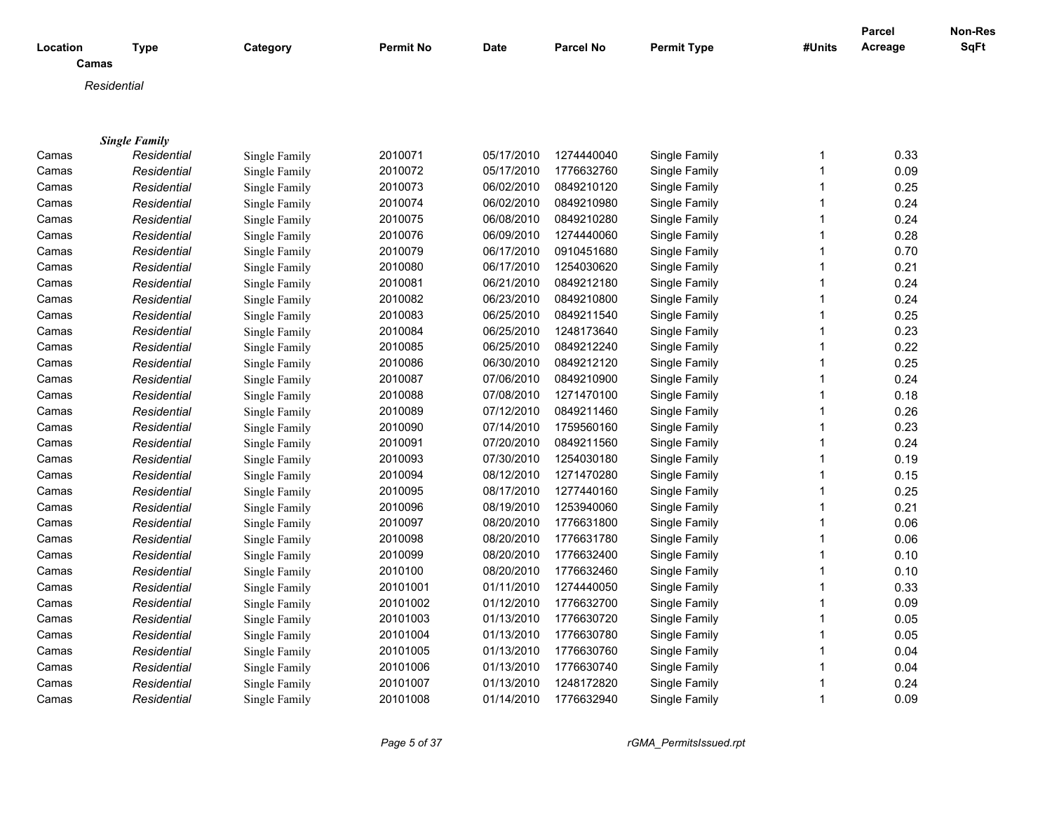|             |                      |               |                  |             |                  |                    |              | <b>Parcel</b> | Non-Res     |
|-------------|----------------------|---------------|------------------|-------------|------------------|--------------------|--------------|---------------|-------------|
| Location    | <b>Type</b>          | Category      | <b>Permit No</b> | <b>Date</b> | <b>Parcel No</b> | <b>Permit Type</b> | #Units       | Acreage       | <b>SqFt</b> |
| Camas       |                      |               |                  |             |                  |                    |              |               |             |
| Residential |                      |               |                  |             |                  |                    |              |               |             |
|             |                      |               |                  |             |                  |                    |              |               |             |
|             |                      |               |                  |             |                  |                    |              |               |             |
|             | <b>Single Family</b> |               |                  |             |                  |                    |              |               |             |
| Camas       | Residential          | Single Family | 2010071          | 05/17/2010  | 1274440040       | Single Family      | 1            | 0.33          |             |
| Camas       | Residential          | Single Family | 2010072          | 05/17/2010  | 1776632760       | Single Family      | $\mathbf{1}$ | 0.09          |             |
| Camas       | Residential          | Single Family | 2010073          | 06/02/2010  | 0849210120       | Single Family      | 1            | 0.25          |             |
| Camas       | Residential          | Single Family | 2010074          | 06/02/2010  | 0849210980       | Single Family      | 1            | 0.24          |             |
| Camas       | Residential          | Single Family | 2010075          | 06/08/2010  | 0849210280       | Single Family      | 1            | 0.24          |             |
| Camas       | Residential          | Single Family | 2010076          | 06/09/2010  | 1274440060       | Single Family      | 1            | 0.28          |             |
| Camas       | Residential          | Single Family | 2010079          | 06/17/2010  | 0910451680       | Single Family      | $\mathbf{1}$ | 0.70          |             |
| Camas       | Residential          | Single Family | 2010080          | 06/17/2010  | 1254030620       | Single Family      | $\mathbf{1}$ | 0.21          |             |
| Camas       | Residential          | Single Family | 2010081          | 06/21/2010  | 0849212180       | Single Family      | $\mathbf{1}$ | 0.24          |             |
| Camas       | Residential          | Single Family | 2010082          | 06/23/2010  | 0849210800       | Single Family      | 1            | 0.24          |             |
| Camas       | Residential          | Single Family | 2010083          | 06/25/2010  | 0849211540       | Single Family      | $\mathbf{1}$ | 0.25          |             |
| Camas       | Residential          | Single Family | 2010084          | 06/25/2010  | 1248173640       | Single Family      | 1            | 0.23          |             |
| Camas       | Residential          | Single Family | 2010085          | 06/25/2010  | 0849212240       | Single Family      | 1            | 0.22          |             |
| Camas       | Residential          | Single Family | 2010086          | 06/30/2010  | 0849212120       | Single Family      | 1            | 0.25          |             |
| Camas       | Residential          | Single Family | 2010087          | 07/06/2010  | 0849210900       | Single Family      | 1            | 0.24          |             |
| Camas       | Residential          | Single Family | 2010088          | 07/08/2010  | 1271470100       | Single Family      | 1            | 0.18          |             |
| Camas       | Residential          | Single Family | 2010089          | 07/12/2010  | 0849211460       | Single Family      | $\mathbf{1}$ | 0.26          |             |
| Camas       | Residential          | Single Family | 2010090          | 07/14/2010  | 1759560160       | Single Family      | 1            | 0.23          |             |
| Camas       | Residential          | Single Family | 2010091          | 07/20/2010  | 0849211560       | Single Family      | $\mathbf{1}$ | 0.24          |             |
| Camas       | Residential          | Single Family | 2010093          | 07/30/2010  | 1254030180       | Single Family      | 1            | 0.19          |             |
| Camas       | Residential          | Single Family | 2010094          | 08/12/2010  | 1271470280       | Single Family      | 1            | 0.15          |             |
| Camas       | Residential          | Single Family | 2010095          | 08/17/2010  | 1277440160       | Single Family      | 1            | 0.25          |             |
| Camas       | Residential          | Single Family | 2010096          | 08/19/2010  | 1253940060       | Single Family      | 1            | 0.21          |             |
| Camas       | Residential          | Single Family | 2010097          | 08/20/2010  | 1776631800       | Single Family      | 1            | 0.06          |             |
| Camas       | Residential          | Single Family | 2010098          | 08/20/2010  | 1776631780       | Single Family      | $\mathbf{1}$ | 0.06          |             |
| Camas       | Residential          | Single Family | 2010099          | 08/20/2010  | 1776632400       | Single Family      | 1            | 0.10          |             |
| Camas       | Residential          | Single Family | 2010100          | 08/20/2010  | 1776632460       | Single Family      | 1            | 0.10          |             |
| Camas       | Residential          | Single Family | 20101001         | 01/11/2010  | 1274440050       | Single Family      | 1            | 0.33          |             |
| Camas       | Residential          | Single Family | 20101002         | 01/12/2010  | 1776632700       | Single Family      | 1            | 0.09          |             |
| Camas       | Residential          | Single Family | 20101003         | 01/13/2010  | 1776630720       | Single Family      | 1            | 0.05          |             |
| Camas       | Residential          | Single Family | 20101004         | 01/13/2010  | 1776630780       | Single Family      | 1            | 0.05          |             |
| Camas       | Residential          | Single Family | 20101005         | 01/13/2010  | 1776630760       | Single Family      | 1            | 0.04          |             |
| Camas       | Residential          | Single Family | 20101006         | 01/13/2010  | 1776630740       | Single Family      | 1            | 0.04          |             |
| Camas       | Residential          | Single Family | 20101007         | 01/13/2010  | 1248172820       | Single Family      | 1            | 0.24          |             |
| Camas       | Residential          | Single Family | 20101008         | 01/14/2010  | 1776632940       | Single Family      | $\mathbf{1}$ | 0.09          |             |

*Page 5 of 37 rGMA\_PermitsIssued.rpt*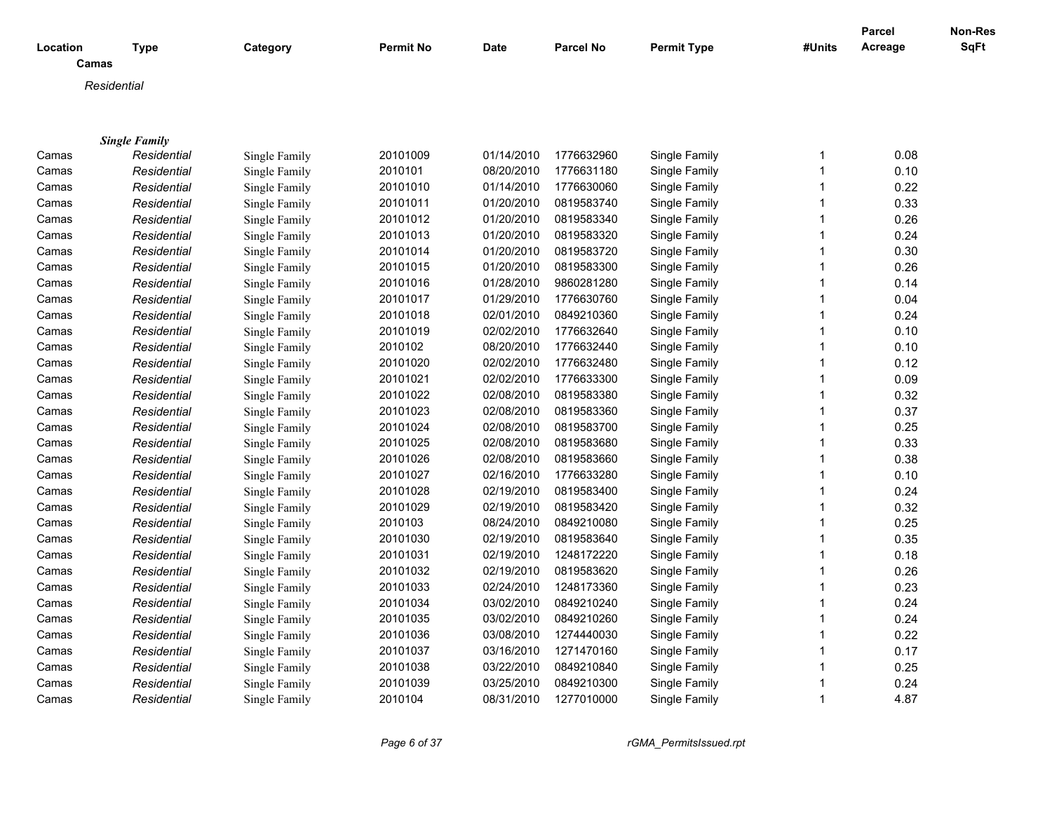|          |                      |               |                  |            |                  |                    |              | Parcel  | Non-Res |
|----------|----------------------|---------------|------------------|------------|------------------|--------------------|--------------|---------|---------|
| Location | <b>Type</b><br>Camas | Category      | <b>Permit No</b> | Date       | <b>Parcel No</b> | <b>Permit Type</b> | #Units       | Acreage | SqFt    |
|          | Residential          |               |                  |            |                  |                    |              |         |         |
|          |                      |               |                  |            |                  |                    |              |         |         |
|          |                      |               |                  |            |                  |                    |              |         |         |
|          | <b>Single Family</b> |               |                  |            |                  |                    |              |         |         |
| Camas    | Residential          | Single Family | 20101009         | 01/14/2010 | 1776632960       | Single Family      | $\mathbf 1$  | 0.08    |         |
| Camas    | Residential          | Single Family | 2010101          | 08/20/2010 | 1776631180       | Single Family      | $\mathbf{1}$ | 0.10    |         |
| Camas    | Residential          | Single Family | 20101010         | 01/14/2010 | 1776630060       | Single Family      | $\mathbf{1}$ | 0.22    |         |
| Camas    | Residential          | Single Family | 20101011         | 01/20/2010 | 0819583740       | Single Family      | $\mathbf{1}$ | 0.33    |         |
| Camas    | Residential          | Single Family | 20101012         | 01/20/2010 | 0819583340       | Single Family      | $\mathbf{1}$ | 0.26    |         |
| Camas    | Residential          | Single Family | 20101013         | 01/20/2010 | 0819583320       | Single Family      | $\mathbf{1}$ | 0.24    |         |
| Camas    | Residential          | Single Family | 20101014         | 01/20/2010 | 0819583720       | Single Family      | 1            | 0.30    |         |
| Camas    | Residential          | Single Family | 20101015         | 01/20/2010 | 0819583300       | Single Family      | $\mathbf 1$  | 0.26    |         |
| Camas    | Residential          | Single Family | 20101016         | 01/28/2010 | 9860281280       | Single Family      | $\mathbf 1$  | 0.14    |         |
| Camas    | Residential          | Single Family | 20101017         | 01/29/2010 | 1776630760       | Single Family      | $\mathbf 1$  | 0.04    |         |
| Camas    | Residential          | Single Family | 20101018         | 02/01/2010 | 0849210360       | Single Family      | $\mathbf{1}$ | 0.24    |         |
| Camas    | Residential          | Single Family | 20101019         | 02/02/2010 | 1776632640       | Single Family      | $\mathbf{1}$ | 0.10    |         |
| Camas    | Residential          | Single Family | 2010102          | 08/20/2010 | 1776632440       | Single Family      | 1            | 0.10    |         |
| Camas    | Residential          | Single Family | 20101020         | 02/02/2010 | 1776632480       | Single Family      | $\mathbf 1$  | 0.12    |         |
| Camas    | Residential          | Single Family | 20101021         | 02/02/2010 | 1776633300       | Single Family      | $\mathbf{1}$ | 0.09    |         |
| Camas    | Residential          | Single Family | 20101022         | 02/08/2010 | 0819583380       | Single Family      | $\mathbf{1}$ | 0.32    |         |
| Camas    | Residential          | Single Family | 20101023         | 02/08/2010 | 0819583360       | Single Family      | $\mathbf{1}$ | 0.37    |         |
| Camas    | Residential          | Single Family | 20101024         | 02/08/2010 | 0819583700       | Single Family      | $\mathbf{1}$ | 0.25    |         |
| Camas    | Residential          | Single Family | 20101025         | 02/08/2010 | 0819583680       | Single Family      | 1            | 0.33    |         |
| Camas    | Residential          | Single Family | 20101026         | 02/08/2010 | 0819583660       | Single Family      | $\mathbf{1}$ | 0.38    |         |
| Camas    | Residential          | Single Family | 20101027         | 02/16/2010 | 1776633280       | Single Family      | $\mathbf{1}$ | 0.10    |         |
| Camas    | Residential          | Single Family | 20101028         | 02/19/2010 | 0819583400       | Single Family      | 1            | 0.24    |         |
| Camas    | Residential          | Single Family | 20101029         | 02/19/2010 | 0819583420       | Single Family      | $\mathbf{1}$ | 0.32    |         |
| Camas    | Residential          | Single Family | 2010103          | 08/24/2010 | 0849210080       | Single Family      | $\mathbf 1$  | 0.25    |         |
| Camas    | Residential          | Single Family | 20101030         | 02/19/2010 | 0819583640       | Single Family      | $\mathbf 1$  | 0.35    |         |
| Camas    | Residential          | Single Family | 20101031         | 02/19/2010 | 1248172220       | Single Family      | 1            | 0.18    |         |
| Camas    | Residential          | Single Family | 20101032         | 02/19/2010 | 0819583620       | Single Family      | $\mathbf{1}$ | 0.26    |         |
| Camas    | Residential          | Single Family | 20101033         | 02/24/2010 | 1248173360       | Single Family      | $\mathbf{1}$ | 0.23    |         |
| Camas    | Residential          | Single Family | 20101034         | 03/02/2010 | 0849210240       | Single Family      | $\mathbf 1$  | 0.24    |         |
| Camas    | Residential          | Single Family | 20101035         | 03/02/2010 | 0849210260       | Single Family      | $\mathbf{1}$ | 0.24    |         |
| Camas    | Residential          | Single Family | 20101036         | 03/08/2010 | 1274440030       | Single Family      | $\mathbf{1}$ | 0.22    |         |
| Camas    | Residential          | Single Family | 20101037         | 03/16/2010 | 1271470160       | Single Family      | $\mathbf{1}$ | 0.17    |         |
| Camas    | Residential          | Single Family | 20101038         | 03/22/2010 | 0849210840       | Single Family      | $\mathbf{1}$ | 0.25    |         |
| Camas    | Residential          | Single Family | 20101039         | 03/25/2010 | 0849210300       | Single Family      | $\mathbf 1$  | 0.24    |         |
| Camas    | Residential          | Single Family | 2010104          | 08/31/2010 | 1277010000       | Single Family      | $\mathbf{1}$ | 4.87    |         |
|          |                      |               |                  |            |                  |                    |              |         |         |

*Page 6 of 37 rGMA\_PermitsIssued.rpt*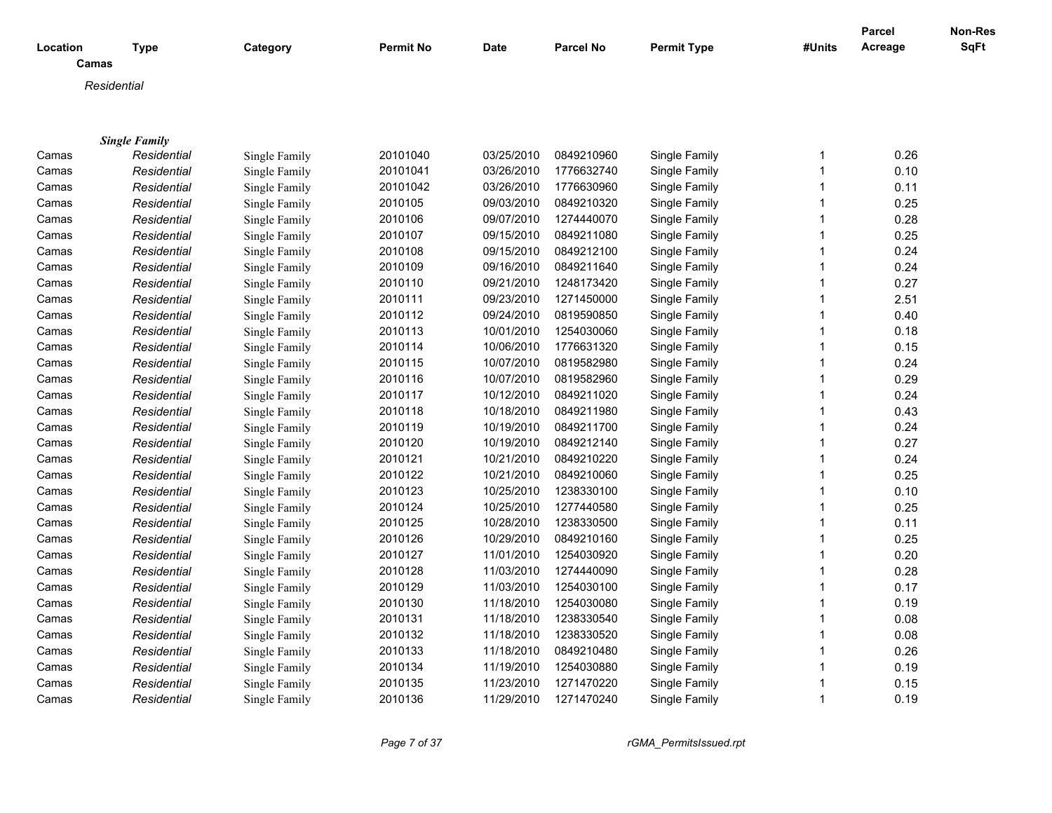|             |                      |               |           |            |                  |                    |              | <b>Parcel</b> | Non-Res     |
|-------------|----------------------|---------------|-----------|------------|------------------|--------------------|--------------|---------------|-------------|
| Location    | Type                 | Category      | Permit No | Date       | <b>Parcel No</b> | <b>Permit Type</b> | #Units       | Acreage       | <b>SqFt</b> |
| Camas       |                      |               |           |            |                  |                    |              |               |             |
| Residential |                      |               |           |            |                  |                    |              |               |             |
|             |                      |               |           |            |                  |                    |              |               |             |
|             |                      |               |           |            |                  |                    |              |               |             |
|             | <b>Single Family</b> |               |           |            |                  |                    |              |               |             |
| Camas       | Residential          | Single Family | 20101040  | 03/25/2010 | 0849210960       | Single Family      | 1            | 0.26          |             |
| Camas       | Residential          | Single Family | 20101041  | 03/26/2010 | 1776632740       | Single Family      | 1            | 0.10          |             |
| Camas       | Residential          | Single Family | 20101042  | 03/26/2010 | 1776630960       | Single Family      | 1            | 0.11          |             |
| Camas       | Residential          | Single Family | 2010105   | 09/03/2010 | 0849210320       | Single Family      | 1            | 0.25          |             |
| Camas       | Residential          | Single Family | 2010106   | 09/07/2010 | 1274440070       | Single Family      | 1            | 0.28          |             |
| Camas       | Residential          | Single Family | 2010107   | 09/15/2010 | 0849211080       | Single Family      | 1            | 0.25          |             |
| Camas       | Residential          | Single Family | 2010108   | 09/15/2010 | 0849212100       | Single Family      | 1            | 0.24          |             |
| Camas       | Residential          | Single Family | 2010109   | 09/16/2010 | 0849211640       | Single Family      | 1            | 0.24          |             |
| Camas       | Residential          | Single Family | 2010110   | 09/21/2010 | 1248173420       | Single Family      | $\mathbf{1}$ | 0.27          |             |
| Camas       | Residential          | Single Family | 2010111   | 09/23/2010 | 1271450000       | Single Family      | 1            | 2.51          |             |
| Camas       | Residential          | Single Family | 2010112   | 09/24/2010 | 0819590850       | Single Family      | 1            | 0.40          |             |
| Camas       | Residential          | Single Family | 2010113   | 10/01/2010 | 1254030060       | Single Family      | 1            | 0.18          |             |
| Camas       | Residential          | Single Family | 2010114   | 10/06/2010 | 1776631320       | Single Family      | 1            | 0.15          |             |
| Camas       | Residential          | Single Family | 2010115   | 10/07/2010 | 0819582980       | Single Family      | 1            | 0.24          |             |
| Camas       | Residential          | Single Family | 2010116   | 10/07/2010 | 0819582960       | Single Family      | 1            | 0.29          |             |
| Camas       | Residential          | Single Family | 2010117   | 10/12/2010 | 0849211020       | Single Family      | 1            | 0.24          |             |
| Camas       | Residential          | Single Family | 2010118   | 10/18/2010 | 0849211980       | Single Family      | $\mathbf{1}$ | 0.43          |             |
| Camas       | Residential          | Single Family | 2010119   | 10/19/2010 | 0849211700       | Single Family      | 1            | 0.24          |             |
| Camas       | Residential          | Single Family | 2010120   | 10/19/2010 | 0849212140       | Single Family      | $\mathbf{1}$ | 0.27          |             |
| Camas       | Residential          | Single Family | 2010121   | 10/21/2010 | 0849210220       | Single Family      | 1            | 0.24          |             |
| Camas       | Residential          | Single Family | 2010122   | 10/21/2010 | 0849210060       | Single Family      | 1            | 0.25          |             |
| Camas       | Residential          | Single Family | 2010123   | 10/25/2010 | 1238330100       | Single Family      | 1            | 0.10          |             |
| Camas       | Residential          | Single Family | 2010124   | 10/25/2010 | 1277440580       | Single Family      | 1            | 0.25          |             |
| Camas       | Residential          | Single Family | 2010125   | 10/28/2010 | 1238330500       | Single Family      | 1            | 0.11          |             |
| Camas       | Residential          | Single Family | 2010126   | 10/29/2010 | 0849210160       | Single Family      | 1            | 0.25          |             |
| Camas       | Residential          | Single Family | 2010127   | 11/01/2010 | 1254030920       | Single Family      | 1            | 0.20          |             |
| Camas       | Residential          | Single Family | 2010128   | 11/03/2010 | 1274440090       | Single Family      | 1            | 0.28          |             |
| Camas       | Residential          | Single Family | 2010129   | 11/03/2010 | 1254030100       | Single Family      | 1            | 0.17          |             |
| Camas       | Residential          | Single Family | 2010130   | 11/18/2010 | 1254030080       | Single Family      | 1            | 0.19          |             |
| Camas       | Residential          | Single Family | 2010131   | 11/18/2010 | 1238330540       | Single Family      | 1            | 0.08          |             |
| Camas       | Residential          | Single Family | 2010132   | 11/18/2010 | 1238330520       | Single Family      | 1            | 0.08          |             |
| Camas       | Residential          | Single Family | 2010133   | 11/18/2010 | 0849210480       | Single Family      | 1            | 0.26          |             |
| Camas       | Residential          | Single Family | 2010134   | 11/19/2010 | 1254030880       | Single Family      | 1            | 0.19          |             |
| Camas       | Residential          | Single Family | 2010135   | 11/23/2010 | 1271470220       | Single Family      | 1            | 0.15          |             |
| Camas       | Residential          | Single Family | 2010136   | 11/29/2010 | 1271470240       | Single Family      | $\mathbf{1}$ | 0.19          |             |

*Page 7 of 37 rGMA\_PermitsIssued.rpt*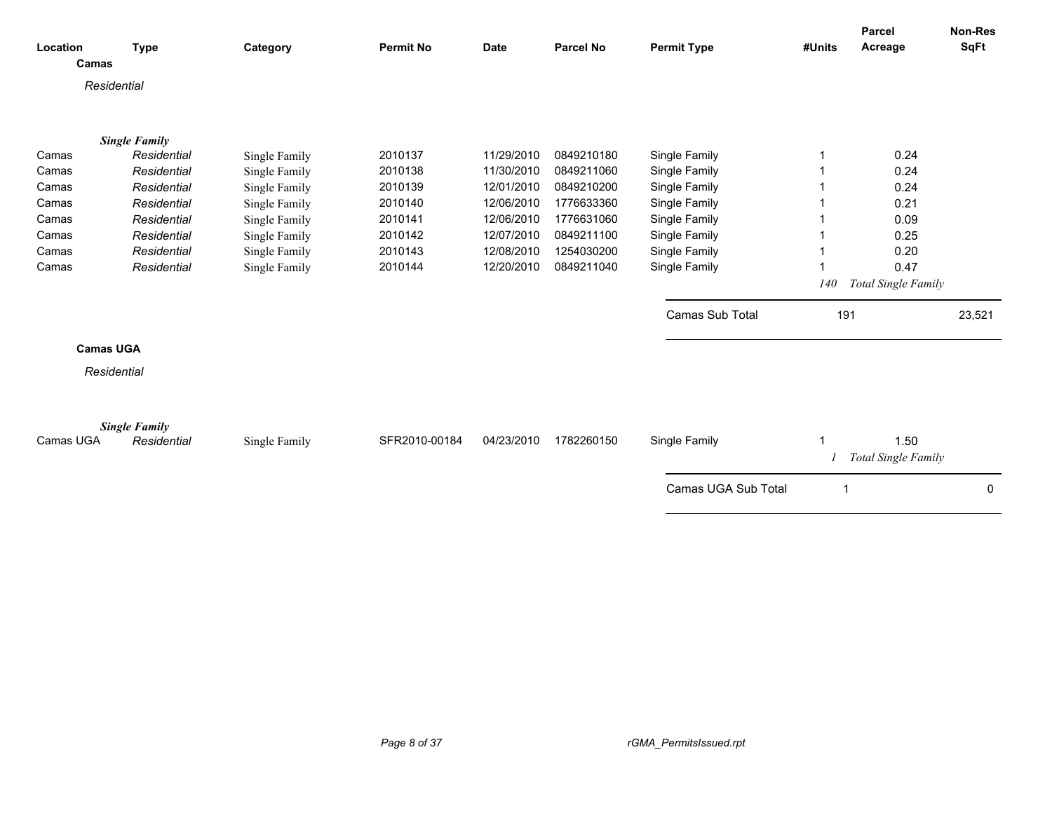| Location<br>Camas | <b>Type</b>          | Category      | <b>Permit No</b> | <b>Date</b> | <b>Parcel No</b> | <b>Permit Type</b>  | #Units     | Parcel<br>Acreage           | <b>Non-Res</b><br><b>SqFt</b> |
|-------------------|----------------------|---------------|------------------|-------------|------------------|---------------------|------------|-----------------------------|-------------------------------|
| Residential       |                      |               |                  |             |                  |                     |            |                             |                               |
|                   | <b>Single Family</b> |               |                  |             |                  |                     |            |                             |                               |
| Camas             | Residential          | Single Family | 2010137          | 11/29/2010  | 0849210180       | Single Family       | 1          | 0.24                        |                               |
| Camas             | Residential          | Single Family | 2010138          | 11/30/2010  | 0849211060       | Single Family       |            | 0.24                        |                               |
| Camas             | Residential          | Single Family | 2010139          | 12/01/2010  | 0849210200       | Single Family       |            | 0.24                        |                               |
| Camas             | Residential          | Single Family | 2010140          | 12/06/2010  | 1776633360       | Single Family       |            | 0.21                        |                               |
| Camas             | Residential          | Single Family | 2010141          | 12/06/2010  | 1776631060       | Single Family       |            | 0.09                        |                               |
| Camas             | Residential          | Single Family | 2010142          | 12/07/2010  | 0849211100       | Single Family       |            | 0.25                        |                               |
| Camas             | Residential          | Single Family | 2010143          | 12/08/2010  | 1254030200       | Single Family       |            | 0.20                        |                               |
| Camas             | Residential          | Single Family | 2010144          | 12/20/2010  | 0849211040       | Single Family       | 1          | 0.47                        |                               |
|                   |                      |               |                  |             |                  |                     | <i>140</i> | Total Single Family         |                               |
|                   |                      |               |                  |             |                  | Camas Sub Total     | 191        |                             | 23,521                        |
| <b>Camas UGA</b>  |                      |               |                  |             |                  |                     |            |                             |                               |
| Residential       |                      |               |                  |             |                  |                     |            |                             |                               |
|                   |                      |               |                  |             |                  |                     |            |                             |                               |
|                   | <b>Single Family</b> |               |                  |             |                  |                     |            |                             |                               |
| Camas UGA         | Residential          | Single Family | SFR2010-00184    | 04/23/2010  | 1782260150       | Single Family       | 1          | 1.50<br>Total Single Family |                               |
|                   |                      |               |                  |             |                  | Camas UGA Sub Total |            |                             | 0                             |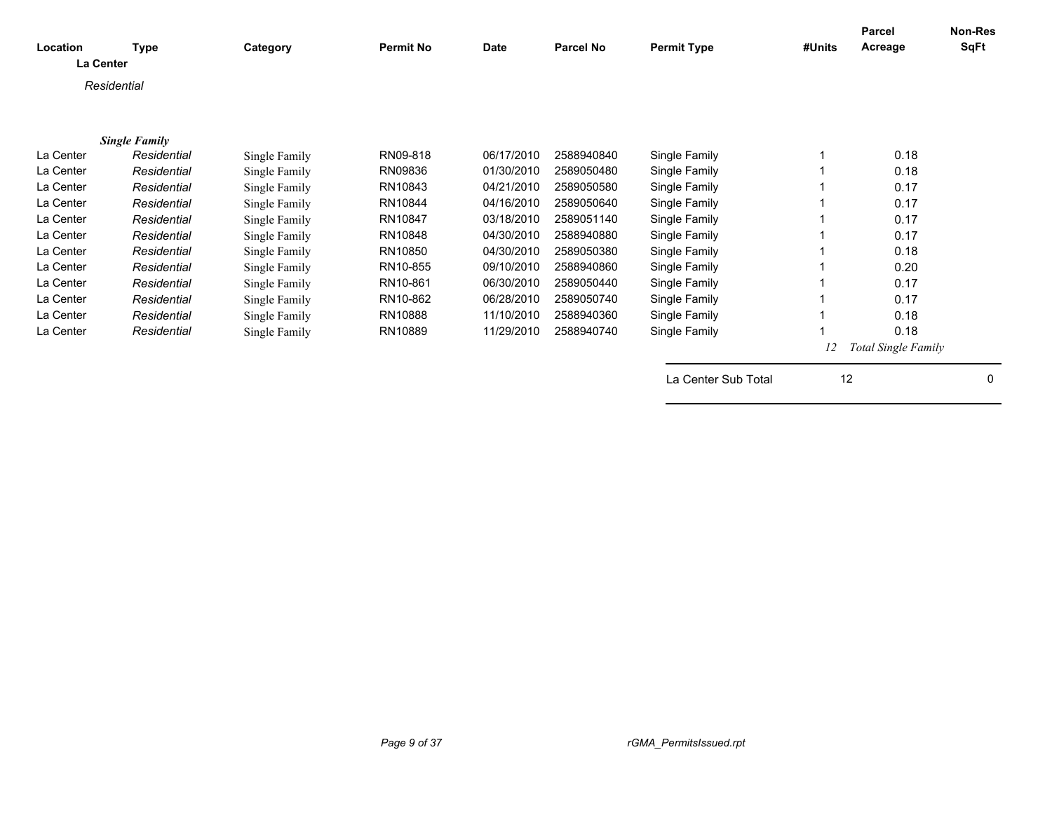| Location<br><b>La Center</b> | <b>Type</b>          | Category      | <b>Permit No</b> | <b>Date</b> | <b>Parcel No</b> | <b>Permit Type</b>  | #Units | <b>Parcel</b><br>Acreage   | <b>Non-Res</b><br><b>SqFt</b> |
|------------------------------|----------------------|---------------|------------------|-------------|------------------|---------------------|--------|----------------------------|-------------------------------|
|                              | Residential          |               |                  |             |                  |                     |        |                            |                               |
|                              |                      |               |                  |             |                  |                     |        |                            |                               |
|                              |                      |               |                  |             |                  |                     |        |                            |                               |
|                              | <b>Single Family</b> |               |                  |             |                  |                     |        |                            |                               |
| La Center                    | Residential          | Single Family | RN09-818         | 06/17/2010  | 2588940840       | Single Family       |        | 0.18                       |                               |
| La Center                    | Residential          | Single Family | RN09836          | 01/30/2010  | 2589050480       | Single Family       |        | 0.18                       |                               |
| La Center                    | Residential          | Single Family | RN10843          | 04/21/2010  | 2589050580       | Single Family       |        | 0.17                       |                               |
| La Center                    | Residential          | Single Family | RN10844          | 04/16/2010  | 2589050640       | Single Family       |        | 0.17                       |                               |
| La Center                    | Residential          | Single Family | RN10847          | 03/18/2010  | 2589051140       | Single Family       |        | 0.17                       |                               |
| La Center                    | Residential          | Single Family | RN10848          | 04/30/2010  | 2588940880       | Single Family       |        | 0.17                       |                               |
| La Center                    | Residential          | Single Family | RN10850          | 04/30/2010  | 2589050380       | Single Family       |        | 0.18                       |                               |
| La Center                    | Residential          | Single Family | RN10-855         | 09/10/2010  | 2588940860       | Single Family       |        | 0.20                       |                               |
| La Center                    | Residential          | Single Family | RN10-861         | 06/30/2010  | 2589050440       | Single Family       |        | 0.17                       |                               |
| La Center                    | Residential          | Single Family | RN10-862         | 06/28/2010  | 2589050740       | Single Family       |        | 0.17                       |                               |
|                              |                      |               | RN10888          | 11/10/2010  | 2588940360       |                     |        |                            |                               |
| La Center                    | Residential          | Single Family |                  |             |                  | Single Family       |        | 0.18                       |                               |
| La Center                    | Residential          | Single Family | RN10889          | 11/29/2010  | 2588940740       | Single Family       |        | 0.18                       |                               |
|                              |                      |               |                  |             |                  |                     | 12     | <b>Total Single Family</b> |                               |
|                              |                      |               |                  |             |                  | La Center Sub Total | 12     |                            | 0                             |
|                              |                      |               |                  |             |                  |                     |        |                            |                               |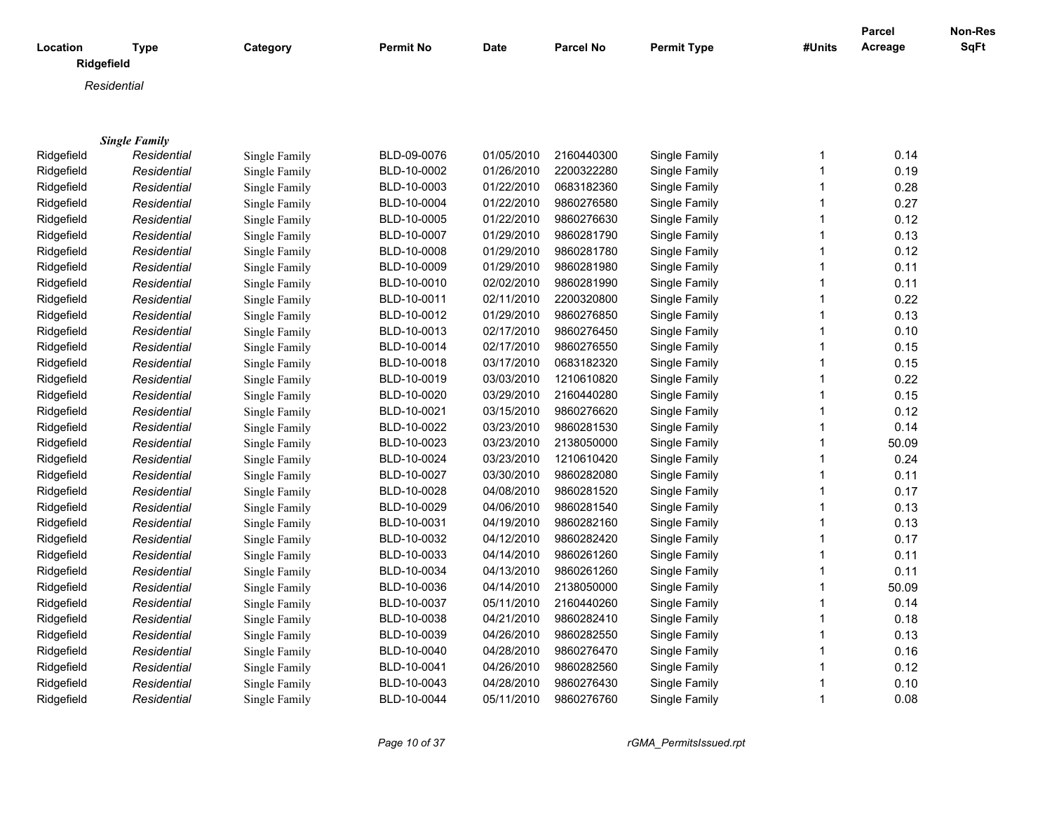|            |                           |               |                  |             |                  |                    |             | <b>Parcel</b> | Non-Res     |
|------------|---------------------------|---------------|------------------|-------------|------------------|--------------------|-------------|---------------|-------------|
| Location   | <b>Type</b><br>Ridgefield | Category      | <b>Permit No</b> | <b>Date</b> | <b>Parcel No</b> | <b>Permit Type</b> | #Units      | Acreage       | <b>SqFt</b> |
|            | Residential               |               |                  |             |                  |                    |             |               |             |
|            |                           |               |                  |             |                  |                    |             |               |             |
|            |                           |               |                  |             |                  |                    |             |               |             |
|            | <b>Single Family</b>      |               |                  |             |                  |                    |             |               |             |
| Ridgefield | Residential               | Single Family | BLD-09-0076      | 01/05/2010  | 2160440300       | Single Family      | $\mathbf 1$ | 0.14          |             |
| Ridgefield | Residential               | Single Family | BLD-10-0002      | 01/26/2010  | 2200322280       | Single Family      | 1           | 0.19          |             |
| Ridgefield | Residential               | Single Family | BLD-10-0003      | 01/22/2010  | 0683182360       | Single Family      | 1           | 0.28          |             |
| Ridgefield | Residential               | Single Family | BLD-10-0004      | 01/22/2010  | 9860276580       | Single Family      |             | 0.27          |             |
| Ridgefield | Residential               | Single Family | BLD-10-0005      | 01/22/2010  | 9860276630       | Single Family      | 1           | 0.12          |             |
| Ridgefield | Residential               | Single Family | BLD-10-0007      | 01/29/2010  | 9860281790       | Single Family      |             | 0.13          |             |
| Ridgefield | Residential               | Single Family | BLD-10-0008      | 01/29/2010  | 9860281780       | Single Family      | 1           | 0.12          |             |
| Ridgefield | Residential               | Single Family | BLD-10-0009      | 01/29/2010  | 9860281980       | Single Family      |             | 0.11          |             |
| Ridgefield | Residential               | Single Family | BLD-10-0010      | 02/02/2010  | 9860281990       | Single Family      |             | 0.11          |             |
| Ridgefield | Residential               | Single Family | BLD-10-0011      | 02/11/2010  | 2200320800       | Single Family      |             | 0.22          |             |
| Ridgefield | Residential               | Single Family | BLD-10-0012      | 01/29/2010  | 9860276850       | Single Family      | 1           | 0.13          |             |
| Ridgefield | Residential               | Single Family | BLD-10-0013      | 02/17/2010  | 9860276450       | Single Family      |             | 0.10          |             |
| Ridgefield | Residential               | Single Family | BLD-10-0014      | 02/17/2010  | 9860276550       | Single Family      | 1           | 0.15          |             |
| Ridgefield | Residential               | Single Family | BLD-10-0018      | 03/17/2010  | 0683182320       | Single Family      |             | 0.15          |             |
| Ridgefield | Residential               | Single Family | BLD-10-0019      | 03/03/2010  | 1210610820       | Single Family      | 1           | 0.22          |             |
| Ridgefield | Residential               | Single Family | BLD-10-0020      | 03/29/2010  | 2160440280       | Single Family      | 1           | 0.15          |             |
| Ridgefield | Residential               | Single Family | BLD-10-0021      | 03/15/2010  | 9860276620       | Single Family      | 1           | 0.12          |             |
| Ridgefield | Residential               | Single Family | BLD-10-0022      | 03/23/2010  | 9860281530       | Single Family      | 1           | 0.14          |             |
| Ridgefield | Residential               | Single Family | BLD-10-0023      | 03/23/2010  | 2138050000       | Single Family      | 1           | 50.09         |             |
| Ridgefield | Residential               | Single Family | BLD-10-0024      | 03/23/2010  | 1210610420       | Single Family      | 1           | 0.24          |             |
| Ridgefield | Residential               | Single Family | BLD-10-0027      | 03/30/2010  | 9860282080       | Single Family      |             | 0.11          |             |
| Ridgefield | Residential               | Single Family | BLD-10-0028      | 04/08/2010  | 9860281520       | Single Family      |             | 0.17          |             |
| Ridgefield | Residential               | Single Family | BLD-10-0029      | 04/06/2010  | 9860281540       | Single Family      |             | 0.13          |             |
| Ridgefield | Residential               | Single Family | BLD-10-0031      | 04/19/2010  | 9860282160       | Single Family      | 1           | 0.13          |             |
| Ridgefield | Residential               | Single Family | BLD-10-0032      | 04/12/2010  | 9860282420       | Single Family      |             | 0.17          |             |
| Ridgefield | Residential               | Single Family | BLD-10-0033      | 04/14/2010  | 9860261260       | Single Family      | 1           | 0.11          |             |
| Ridgefield | Residential               | Single Family | BLD-10-0034      | 04/13/2010  | 9860261260       | Single Family      |             | 0.11          |             |
| Ridgefield | Residential               | Single Family | BLD-10-0036      | 04/14/2010  | 2138050000       | Single Family      | 1           | 50.09         |             |
| Ridgefield | Residential               | Single Family | BLD-10-0037      | 05/11/2010  | 2160440260       | Single Family      |             | 0.14          |             |
| Ridgefield | Residential               | Single Family | BLD-10-0038      | 04/21/2010  | 9860282410       | Single Family      | 1           | 0.18          |             |
| Ridgefield | Residential               | Single Family | BLD-10-0039      | 04/26/2010  | 9860282550       | Single Family      |             | 0.13          |             |
| Ridgefield | Residential               | Single Family | BLD-10-0040      | 04/28/2010  | 9860276470       | Single Family      | 1           | 0.16          |             |
| Ridgefield | Residential               | Single Family | BLD-10-0041      | 04/26/2010  | 9860282560       | Single Family      |             | 0.12          |             |
| Ridgefield | Residential               | Single Family | BLD-10-0043      | 04/28/2010  | 9860276430       | Single Family      |             | 0.10          |             |
| Ridgefield | Residential               | Single Family | BLD-10-0044      | 05/11/2010  | 9860276760       | Single Family      | 1           | 0.08          |             |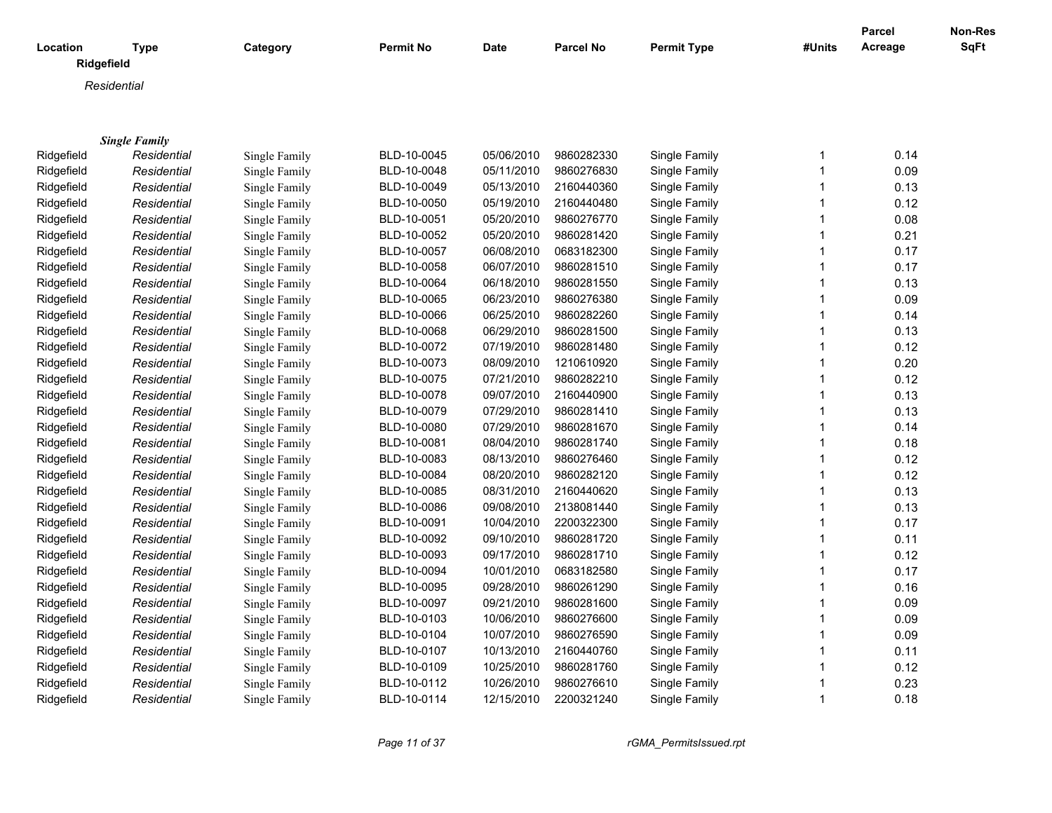|            |                      |               |                  |             |                  |                    |        | <b>Parcel</b> | Non-Res     |
|------------|----------------------|---------------|------------------|-------------|------------------|--------------------|--------|---------------|-------------|
| Location   | <b>Type</b>          | Category      | <b>Permit No</b> | <b>Date</b> | <b>Parcel No</b> | <b>Permit Type</b> | #Units | Acreage       | <b>SqFt</b> |
|            | Ridgefield           |               |                  |             |                  |                    |        |               |             |
|            | Residential          |               |                  |             |                  |                    |        |               |             |
|            |                      |               |                  |             |                  |                    |        |               |             |
|            |                      |               |                  |             |                  |                    |        |               |             |
|            | <b>Single Family</b> |               |                  |             |                  |                    |        |               |             |
| Ridgefield | Residential          | Single Family | BLD-10-0045      | 05/06/2010  | 9860282330       | Single Family      | 1      | 0.14          |             |
| Ridgefield | Residential          | Single Family | BLD-10-0048      | 05/11/2010  | 9860276830       | Single Family      | 1      | 0.09          |             |
| Ridgefield | Residential          | Single Family | BLD-10-0049      | 05/13/2010  | 2160440360       | Single Family      | 1      | 0.13          |             |
| Ridgefield | Residential          | Single Family | BLD-10-0050      | 05/19/2010  | 2160440480       | Single Family      | 1      | 0.12          |             |
| Ridgefield | Residential          | Single Family | BLD-10-0051      | 05/20/2010  | 9860276770       | Single Family      | 1      | 0.08          |             |
| Ridgefield | Residential          | Single Family | BLD-10-0052      | 05/20/2010  | 9860281420       | Single Family      | 1      | 0.21          |             |
| Ridgefield | Residential          | Single Family | BLD-10-0057      | 06/08/2010  | 0683182300       | Single Family      | 1      | 0.17          |             |
| Ridgefield | Residential          | Single Family | BLD-10-0058      | 06/07/2010  | 9860281510       | Single Family      | 1      | 0.17          |             |
| Ridgefield | Residential          | Single Family | BLD-10-0064      | 06/18/2010  | 9860281550       | Single Family      | 1      | 0.13          |             |
| Ridgefield | Residential          | Single Family | BLD-10-0065      | 06/23/2010  | 9860276380       | Single Family      | 1      | 0.09          |             |
| Ridgefield | Residential          | Single Family | BLD-10-0066      | 06/25/2010  | 9860282260       | Single Family      | 1      | 0.14          |             |
| Ridgefield | Residential          | Single Family | BLD-10-0068      | 06/29/2010  | 9860281500       | Single Family      | 1      | 0.13          |             |
| Ridgefield | Residential          | Single Family | BLD-10-0072      | 07/19/2010  | 9860281480       | Single Family      | 1      | 0.12          |             |
| Ridgefield | Residential          | Single Family | BLD-10-0073      | 08/09/2010  | 1210610920       | Single Family      | 1      | 0.20          |             |
| Ridgefield | Residential          | Single Family | BLD-10-0075      | 07/21/2010  | 9860282210       | Single Family      | 1      | 0.12          |             |
| Ridgefield | Residential          | Single Family | BLD-10-0078      | 09/07/2010  | 2160440900       | Single Family      | 1      | 0.13          |             |
| Ridgefield | Residential          | Single Family | BLD-10-0079      | 07/29/2010  | 9860281410       | Single Family      | 1      | 0.13          |             |
| Ridgefield | Residential          | Single Family | BLD-10-0080      | 07/29/2010  | 9860281670       | Single Family      | 1      | 0.14          |             |
| Ridgefield | Residential          | Single Family | BLD-10-0081      | 08/04/2010  | 9860281740       | Single Family      | 1      | 0.18          |             |
| Ridgefield | Residential          | Single Family | BLD-10-0083      | 08/13/2010  | 9860276460       | Single Family      | 1      | 0.12          |             |
| Ridgefield | Residential          | Single Family | BLD-10-0084      | 08/20/2010  | 9860282120       | Single Family      | 1      | 0.12          |             |
| Ridgefield | Residential          | Single Family | BLD-10-0085      | 08/31/2010  | 2160440620       | Single Family      | 1      | 0.13          |             |
| Ridgefield | Residential          | Single Family | BLD-10-0086      | 09/08/2010  | 2138081440       | Single Family      | 1      | 0.13          |             |
| Ridgefield | Residential          | Single Family | BLD-10-0091      | 10/04/2010  | 2200322300       | Single Family      | 1      | 0.17          |             |
| Ridgefield | Residential          | Single Family | BLD-10-0092      | 09/10/2010  | 9860281720       | Single Family      | 1      | 0.11          |             |
| Ridgefield | Residential          | Single Family | BLD-10-0093      | 09/17/2010  | 9860281710       | Single Family      | 1      | 0.12          |             |
| Ridgefield | Residential          | Single Family | BLD-10-0094      | 10/01/2010  | 0683182580       | Single Family      | 1      | 0.17          |             |
| Ridgefield | Residential          | Single Family | BLD-10-0095      | 09/28/2010  | 9860261290       | Single Family      | 1      | 0.16          |             |
| Ridgefield | Residential          | Single Family | BLD-10-0097      | 09/21/2010  | 9860281600       | Single Family      | 1      | 0.09          |             |
| Ridgefield | Residential          | Single Family | BLD-10-0103      | 10/06/2010  | 9860276600       | Single Family      | 1      | 0.09          |             |
| Ridgefield | Residential          | Single Family | BLD-10-0104      | 10/07/2010  | 9860276590       | Single Family      | 1      | 0.09          |             |
| Ridgefield | Residential          | Single Family | BLD-10-0107      | 10/13/2010  | 2160440760       | Single Family      | 1      | 0.11          |             |
| Ridgefield | Residential          | Single Family | BLD-10-0109      | 10/25/2010  | 9860281760       | Single Family      | 1      | 0.12          |             |
| Ridgefield | Residential          | Single Family | BLD-10-0112      | 10/26/2010  | 9860276610       | Single Family      | 1      | 0.23          |             |
| Ridgefield | Residential          | Single Family | BLD-10-0114      | 12/15/2010  | 2200321240       | Single Family      | 1      | 0.18          |             |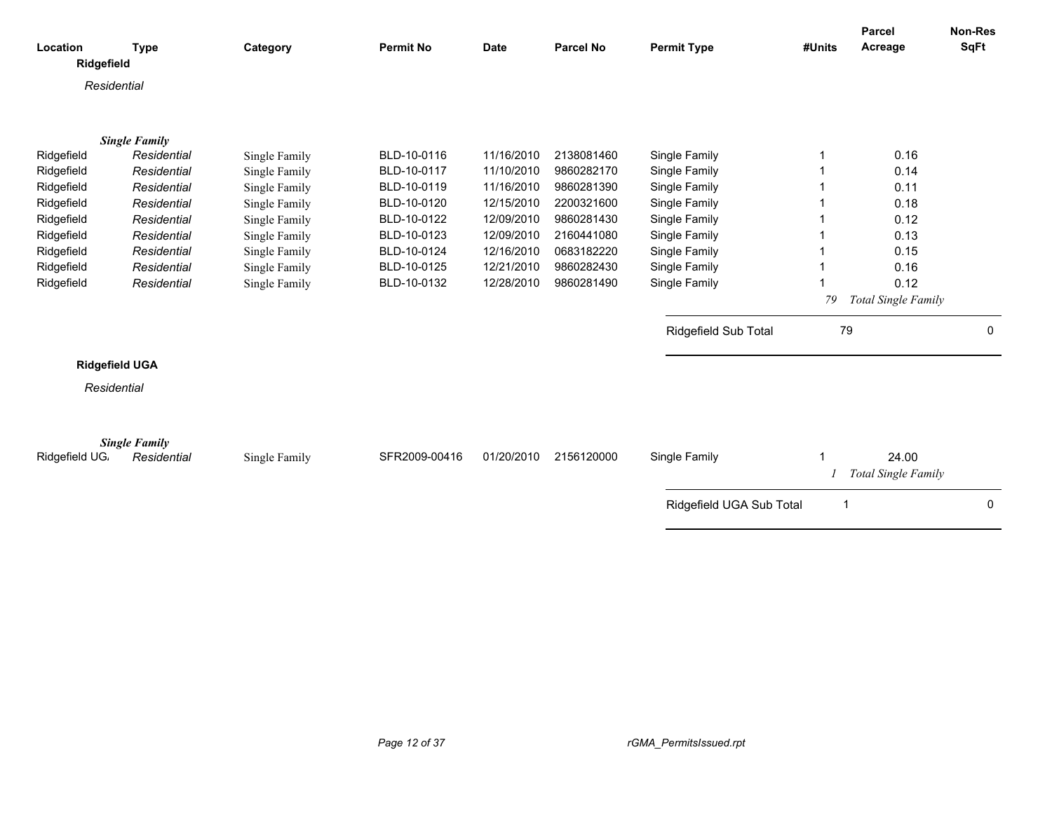|                        |                       |               |                  |             |                  |                          |                | Parcel              | Non-Res     |
|------------------------|-----------------------|---------------|------------------|-------------|------------------|--------------------------|----------------|---------------------|-------------|
| Location<br>Ridgefield | <b>Type</b>           | Category      | <b>Permit No</b> | <b>Date</b> | <b>Parcel No</b> | <b>Permit Type</b>       | #Units         | Acreage             | <b>SqFt</b> |
|                        |                       |               |                  |             |                  |                          |                |                     |             |
| Residential            |                       |               |                  |             |                  |                          |                |                     |             |
|                        |                       |               |                  |             |                  |                          |                |                     |             |
|                        | <b>Single Family</b>  |               |                  |             |                  |                          |                |                     |             |
| Ridgefield             | Residential           | Single Family | BLD-10-0116      | 11/16/2010  | 2138081460       | Single Family            |                | 0.16                |             |
| Ridgefield             | Residential           | Single Family | BLD-10-0117      | 11/10/2010  | 9860282170       | Single Family            |                | 0.14                |             |
| Ridgefield             | Residential           | Single Family | BLD-10-0119      | 11/16/2010  | 9860281390       | Single Family            |                | 0.11                |             |
| Ridgefield             | Residential           | Single Family | BLD-10-0120      | 12/15/2010  | 2200321600       | Single Family            |                | 0.18                |             |
| Ridgefield             | Residential           | Single Family | BLD-10-0122      | 12/09/2010  | 9860281430       | Single Family            |                | 0.12                |             |
| Ridgefield             | Residential           | Single Family | BLD-10-0123      | 12/09/2010  | 2160441080       | Single Family            |                | 0.13                |             |
| Ridgefield             | Residential           | Single Family | BLD-10-0124      | 12/16/2010  | 0683182220       | Single Family            |                | 0.15                |             |
| Ridgefield             | Residential           | Single Family | BLD-10-0125      | 12/21/2010  | 9860282430       | Single Family            |                | 0.16                |             |
| Ridgefield             | Residential           | Single Family | BLD-10-0132      | 12/28/2010  | 9860281490       | Single Family            |                | 0.12                |             |
|                        |                       |               |                  |             |                  |                          | 79             | Total Single Family |             |
|                        |                       |               |                  |             |                  |                          |                |                     |             |
|                        |                       |               |                  |             |                  | Ridgefield Sub Total     | 79             |                     | 0           |
|                        | <b>Ridgefield UGA</b> |               |                  |             |                  |                          |                |                     |             |
| Residential            |                       |               |                  |             |                  |                          |                |                     |             |
|                        |                       |               |                  |             |                  |                          |                |                     |             |
|                        |                       |               |                  |             |                  |                          |                |                     |             |
|                        | <b>Single Family</b>  |               |                  |             |                  |                          |                |                     |             |
| Ridgefield UG.         | Residential           | Single Family | SFR2009-00416    | 01/20/2010  | 2156120000       | Single Family            |                | 24.00               |             |
|                        |                       |               |                  |             |                  |                          |                | Total Single Family |             |
|                        |                       |               |                  |             |                  | Ridgefield UGA Sub Total | $\overline{1}$ |                     | $\Omega$    |
|                        |                       |               |                  |             |                  |                          |                |                     |             |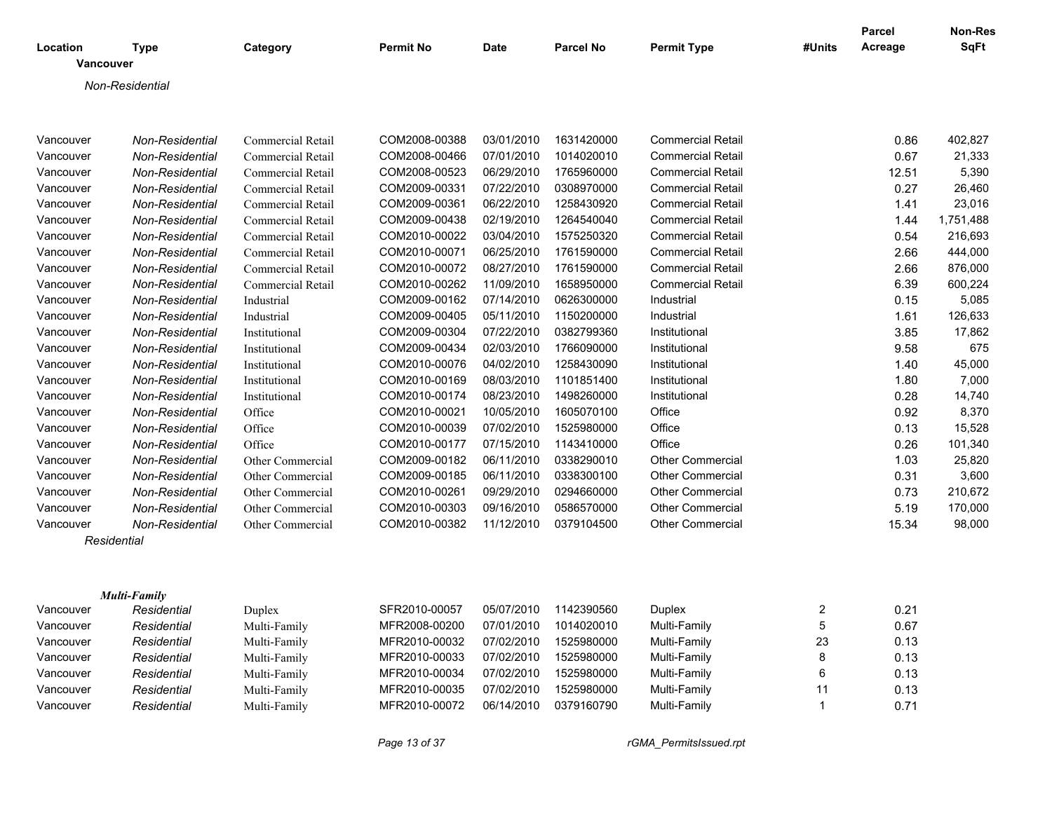| Location  |                                 |                          | <b>Permit No</b> | Date       | <b>Parcel No</b> |                          | #Units                  | Parcel<br>Acreage | <b>Non-Res</b><br><b>SqFt</b> |
|-----------|---------------------------------|--------------------------|------------------|------------|------------------|--------------------------|-------------------------|-------------------|-------------------------------|
|           | <b>Type</b><br><b>Vancouver</b> | Category                 |                  |            |                  | <b>Permit Type</b>       |                         |                   |                               |
|           | Non-Residential                 |                          |                  |            |                  |                          |                         |                   |                               |
|           |                                 |                          |                  |            |                  |                          |                         |                   |                               |
| Vancouver | Non-Residential                 | Commercial Retail        | COM2008-00388    | 03/01/2010 | 1631420000       | <b>Commercial Retail</b> |                         | 0.86              | 402,827                       |
| Vancouver | Non-Residential                 | Commercial Retail        | COM2008-00466    | 07/01/2010 | 1014020010       | <b>Commercial Retail</b> |                         | 0.67              | 21,333                        |
| Vancouver | Non-Residential                 | <b>Commercial Retail</b> | COM2008-00523    | 06/29/2010 | 1765960000       | <b>Commercial Retail</b> |                         | 12.51             | 5,390                         |
| Vancouver | Non-Residential                 | Commercial Retail        | COM2009-00331    | 07/22/2010 | 0308970000       | <b>Commercial Retail</b> |                         | 0.27              | 26,460                        |
| Vancouver | Non-Residential                 | Commercial Retail        | COM2009-00361    | 06/22/2010 | 1258430920       | <b>Commercial Retail</b> |                         | 1.41              | 23,016                        |
| Vancouver | Non-Residential                 | Commercial Retail        | COM2009-00438    | 02/19/2010 | 1264540040       | <b>Commercial Retail</b> |                         | 1.44              | 1,751,488                     |
| Vancouver | Non-Residential                 | <b>Commercial Retail</b> | COM2010-00022    | 03/04/2010 | 1575250320       | <b>Commercial Retail</b> |                         | 0.54              | 216,693                       |
| Vancouver | Non-Residential                 | <b>Commercial Retail</b> | COM2010-00071    | 06/25/2010 | 1761590000       | <b>Commercial Retail</b> |                         | 2.66              | 444,000                       |
| Vancouver | Non-Residential                 | <b>Commercial Retail</b> | COM2010-00072    | 08/27/2010 | 1761590000       | <b>Commercial Retail</b> |                         | 2.66              | 876,000                       |
| Vancouver | Non-Residential                 | Commercial Retail        | COM2010-00262    | 11/09/2010 | 1658950000       | <b>Commercial Retail</b> |                         | 6.39              | 600,224                       |
| Vancouver | Non-Residential                 | Industrial               | COM2009-00162    | 07/14/2010 | 0626300000       | Industrial               |                         | 0.15              | 5,085                         |
| Vancouver | Non-Residential                 | Industrial               | COM2009-00405    | 05/11/2010 | 1150200000       | Industrial               |                         | 1.61              | 126,633                       |
| Vancouver | Non-Residential                 | Institutional            | COM2009-00304    | 07/22/2010 | 0382799360       | Institutional            |                         | 3.85              | 17,862                        |
| Vancouver | Non-Residential                 | Institutional            | COM2009-00434    | 02/03/2010 | 1766090000       | Institutional            |                         | 9.58              | 675                           |
| Vancouver | Non-Residential                 | Institutional            | COM2010-00076    | 04/02/2010 | 1258430090       | Institutional            |                         | 1.40              | 45,000                        |
| Vancouver | Non-Residential                 | Institutional            | COM2010-00169    | 08/03/2010 | 1101851400       | Institutional            |                         | 1.80              | 7,000                         |
| Vancouver | Non-Residential                 | Institutional            | COM2010-00174    | 08/23/2010 | 1498260000       | Institutional            |                         | 0.28              | 14,740                        |
| Vancouver | Non-Residential                 | Office                   | COM2010-00021    | 10/05/2010 | 1605070100       | Office                   |                         | 0.92              | 8,370                         |
| Vancouver | Non-Residential                 | Office                   | COM2010-00039    | 07/02/2010 | 1525980000       | Office                   |                         | 0.13              | 15,528                        |
| Vancouver | Non-Residential                 | Office                   | COM2010-00177    | 07/15/2010 | 1143410000       | Office                   |                         | 0.26              | 101,340                       |
| Vancouver | <b>Non-Residential</b>          | Other Commercial         | COM2009-00182    | 06/11/2010 | 0338290010       | <b>Other Commercial</b>  |                         | 1.03              | 25,820                        |
| Vancouver | Non-Residential                 | Other Commercial         | COM2009-00185    | 06/11/2010 | 0338300100       | Other Commercial         |                         | 0.31              | 3,600                         |
| Vancouver | Non-Residential                 | Other Commercial         | COM2010-00261    | 09/29/2010 | 0294660000       | <b>Other Commercial</b>  |                         | 0.73              | 210,672                       |
| Vancouver | Non-Residential                 | Other Commercial         | COM2010-00303    | 09/16/2010 | 0586570000       | Other Commercial         |                         | 5.19              | 170,000                       |
| Vancouver | Non-Residential                 | Other Commercial         | COM2010-00382    | 11/12/2010 | 0379104500       | <b>Other Commercial</b>  |                         | 15.34             | 98,000                        |
|           | Residential                     |                          |                  |            |                  |                          |                         |                   |                               |
|           |                                 |                          |                  |            |                  |                          |                         |                   |                               |
|           | <b>Multi-Family</b>             |                          |                  |            |                  |                          |                         |                   |                               |
| Vancouver | Residential                     | Duplex                   | SFR2010-00057    | 05/07/2010 | 1142390560       | <b>Duplex</b>            | $\overline{\mathbf{c}}$ | 0.21              |                               |
| Vancouver | Residential                     | Multi-Family             | MFR2008-00200    | 07/01/2010 | 1014020010       | Multi-Family             | 5                       | 0.67              |                               |
| Vancouver | Residential                     | Multi-Family             | MFR2010-00032    | 07/02/2010 | 1525980000       | Multi-Family             | 23                      | 0.13              |                               |
| Vancouver | Residential                     | Multi-Family             | MFR2010-00033    | 07/02/2010 | 1525980000       | Multi-Family             | 8                       | 0.13              |                               |
| Vancouver | Residential                     | Multi-Family             | MFR2010-00034    | 07/02/2010 | 1525980000       | Multi-Family             | 6                       | 0.13              |                               |
| Vancouver | Residential                     | Multi-Family             | MFR2010-00035    | 07/02/2010 | 1525980000       | Multi-Family             | 11                      | 0.13              |                               |
| Vancouver | Residential                     | Multi-Family             | MFR2010-00072    | 06/14/2010 | 0379160790       | Multi-Family             | $\mathbf{1}$            | 0.71              |                               |

*Page 13 of 37 rGMA\_PermitsIssued.rpt*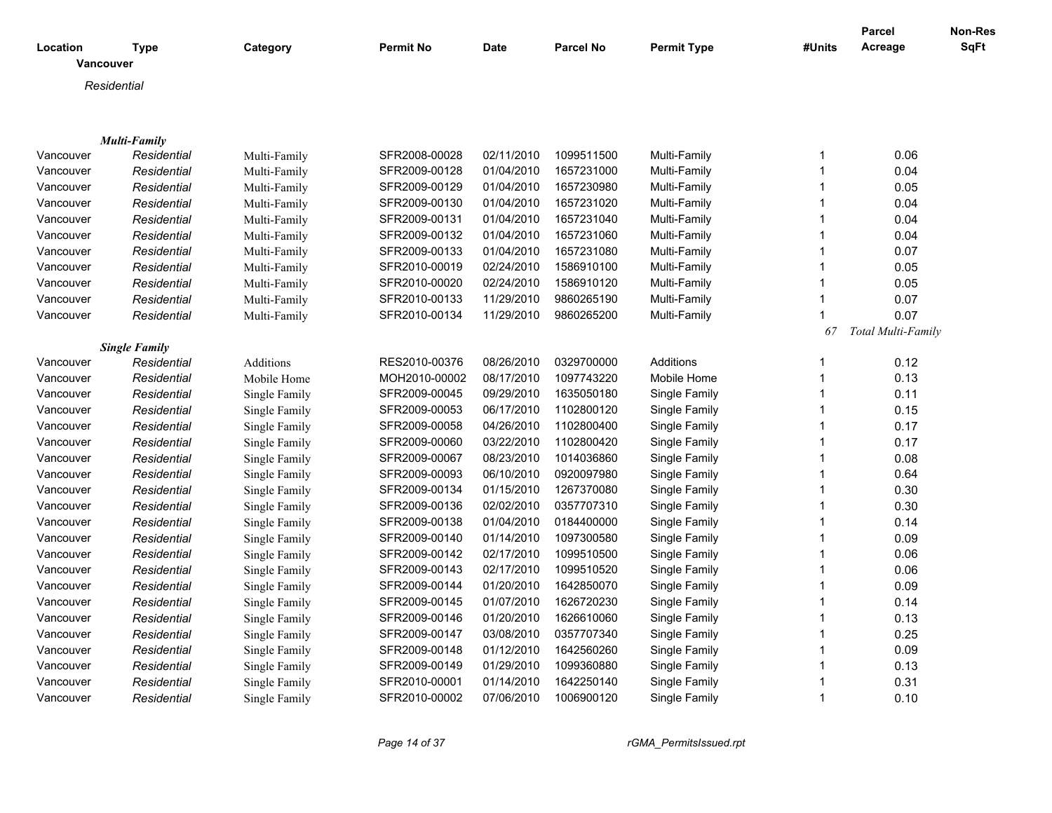| Location  | <b>Type</b>          | Category      | <b>Permit No</b> | <b>Date</b> | <b>Parcel No</b> | <b>Permit Type</b> | #Units       | <b>Parcel</b><br>Acreage | Non-Res<br>SqFt |
|-----------|----------------------|---------------|------------------|-------------|------------------|--------------------|--------------|--------------------------|-----------------|
|           | <b>Vancouver</b>     |               |                  |             |                  |                    |              |                          |                 |
|           | Residential          |               |                  |             |                  |                    |              |                          |                 |
|           |                      |               |                  |             |                  |                    |              |                          |                 |
|           |                      |               |                  |             |                  |                    |              |                          |                 |
|           | <b>Multi-Family</b>  |               |                  |             |                  |                    |              |                          |                 |
| Vancouver | Residential          | Multi-Family  | SFR2008-00028    | 02/11/2010  | 1099511500       | Multi-Family       | $\mathbf{1}$ | 0.06                     |                 |
| Vancouver | Residential          | Multi-Family  | SFR2009-00128    | 01/04/2010  | 1657231000       | Multi-Family       | $\mathbf{1}$ | 0.04                     |                 |
| Vancouver | Residential          | Multi-Family  | SFR2009-00129    | 01/04/2010  | 1657230980       | Multi-Family       | $\mathbf{1}$ | 0.05                     |                 |
| Vancouver | Residential          | Multi-Family  | SFR2009-00130    | 01/04/2010  | 1657231020       | Multi-Family       | $\mathbf{1}$ | 0.04                     |                 |
| Vancouver | Residential          | Multi-Family  | SFR2009-00131    | 01/04/2010  | 1657231040       | Multi-Family       | $\mathbf{1}$ | 0.04                     |                 |
| Vancouver | Residential          | Multi-Family  | SFR2009-00132    | 01/04/2010  | 1657231060       | Multi-Family       | $\mathbf{1}$ | 0.04                     |                 |
| Vancouver | Residential          | Multi-Family  | SFR2009-00133    | 01/04/2010  | 1657231080       | Multi-Family       | $\mathbf{1}$ | 0.07                     |                 |
| Vancouver | Residential          | Multi-Family  | SFR2010-00019    | 02/24/2010  | 1586910100       | Multi-Family       | $\mathbf{1}$ | 0.05                     |                 |
| Vancouver | Residential          | Multi-Family  | SFR2010-00020    | 02/24/2010  | 1586910120       | Multi-Family       | $\mathbf{1}$ | 0.05                     |                 |
| Vancouver | Residential          | Multi-Family  | SFR2010-00133    | 11/29/2010  | 9860265190       | Multi-Family       | $\mathbf{1}$ | 0.07                     |                 |
| Vancouver | Residential          | Multi-Family  | SFR2010-00134    | 11/29/2010  | 9860265200       | Multi-Family       | $\mathbf{1}$ | 0.07                     |                 |
|           |                      |               |                  |             |                  |                    | 67           | Total Multi-Family       |                 |
|           | <b>Single Family</b> |               |                  |             |                  |                    |              |                          |                 |
| Vancouver | Residential          | Additions     | RES2010-00376    | 08/26/2010  | 0329700000       | <b>Additions</b>   | $\mathbf{1}$ | 0.12                     |                 |
| Vancouver | Residential          | Mobile Home   | MOH2010-00002    | 08/17/2010  | 1097743220       | Mobile Home        | $\mathbf{1}$ | 0.13                     |                 |
| Vancouver | Residential          | Single Family | SFR2009-00045    | 09/29/2010  | 1635050180       | Single Family      | $\mathbf{1}$ | 0.11                     |                 |
| Vancouver | Residential          | Single Family | SFR2009-00053    | 06/17/2010  | 1102800120       | Single Family      | $\mathbf{1}$ | 0.15                     |                 |
| Vancouver | Residential          | Single Family | SFR2009-00058    | 04/26/2010  | 1102800400       | Single Family      | $\mathbf{1}$ | 0.17                     |                 |
| Vancouver | Residential          | Single Family | SFR2009-00060    | 03/22/2010  | 1102800420       | Single Family      | $\mathbf 1$  | 0.17                     |                 |
| Vancouver | Residential          | Single Family | SFR2009-00067    | 08/23/2010  | 1014036860       | Single Family      | $\mathbf{1}$ | 0.08                     |                 |
| Vancouver | Residential          | Single Family | SFR2009-00093    | 06/10/2010  | 0920097980       | Single Family      | $\mathbf{1}$ | 0.64                     |                 |
| Vancouver | Residential          | Single Family | SFR2009-00134    | 01/15/2010  | 1267370080       | Single Family      | $\mathbf{1}$ | 0.30                     |                 |
| Vancouver | Residential          | Single Family | SFR2009-00136    | 02/02/2010  | 0357707310       | Single Family      | $\mathbf{1}$ | 0.30                     |                 |
| Vancouver | Residential          | Single Family | SFR2009-00138    | 01/04/2010  | 0184400000       | Single Family      | $\mathbf{1}$ | 0.14                     |                 |
| Vancouver | Residential          | Single Family | SFR2009-00140    | 01/14/2010  | 1097300580       | Single Family      | $\mathbf{1}$ | 0.09                     |                 |
| Vancouver | Residential          | Single Family | SFR2009-00142    | 02/17/2010  | 1099510500       | Single Family      | $\mathbf 1$  | 0.06                     |                 |
| Vancouver | Residential          | Single Family | SFR2009-00143    | 02/17/2010  | 1099510520       | Single Family      | $\mathbf{1}$ | 0.06                     |                 |
| Vancouver | Residential          | Single Family | SFR2009-00144    | 01/20/2010  | 1642850070       | Single Family      | $\mathbf{1}$ | 0.09                     |                 |
| Vancouver | Residential          | Single Family | SFR2009-00145    | 01/07/2010  | 1626720230       | Single Family      | $\mathbf{1}$ | 0.14                     |                 |
| Vancouver | Residential          | Single Family | SFR2009-00146    | 01/20/2010  | 1626610060       | Single Family      | $\mathbf{1}$ | 0.13                     |                 |
| Vancouver | Residential          | Single Family | SFR2009-00147    | 03/08/2010  | 0357707340       | Single Family      | $\mathbf{1}$ | 0.25                     |                 |
| Vancouver | Residential          | Single Family | SFR2009-00148    | 01/12/2010  | 1642560260       | Single Family      | $\mathbf{1}$ | 0.09                     |                 |
| Vancouver | Residential          | Single Family | SFR2009-00149    | 01/29/2010  | 1099360880       | Single Family      | $\mathbf{1}$ | 0.13                     |                 |
| Vancouver | Residential          | Single Family | SFR2010-00001    | 01/14/2010  | 1642250140       | Single Family      | $\mathbf{1}$ | 0.31                     |                 |
| Vancouver | Residential          | Single Family | SFR2010-00002    | 07/06/2010  | 1006900120       | Single Family      | 1            | 0.10                     |                 |
|           |                      |               |                  |             |                  |                    |              |                          |                 |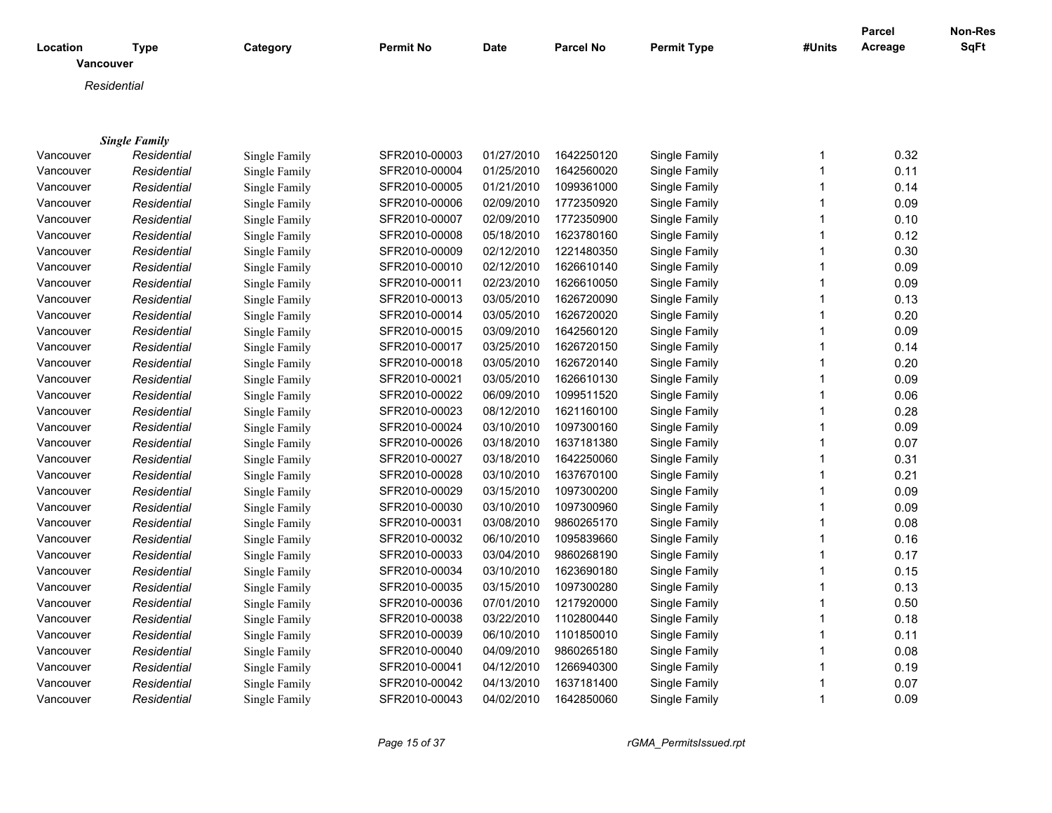|                       |                      |               |                  |             |                  |                    |              | Parcel  | <b>Non-Res</b> |
|-----------------------|----------------------|---------------|------------------|-------------|------------------|--------------------|--------------|---------|----------------|
| Location<br>Vancouver | <b>Type</b>          | Category      | <b>Permit No</b> | <b>Date</b> | <b>Parcel No</b> | <b>Permit Type</b> | #Units       | Acreage | <b>SqFt</b>    |
| Residential           |                      |               |                  |             |                  |                    |              |         |                |
|                       |                      |               |                  |             |                  |                    |              |         |                |
|                       |                      |               |                  |             |                  |                    |              |         |                |
|                       | <b>Single Family</b> |               |                  |             |                  |                    |              |         |                |
| Vancouver             | Residential          | Single Family | SFR2010-00003    | 01/27/2010  | 1642250120       | Single Family      | 1            | 0.32    |                |
| Vancouver             | Residential          | Single Family | SFR2010-00004    | 01/25/2010  | 1642560020       | Single Family      | $\mathbf{1}$ | 0.11    |                |
| Vancouver             | Residential          | Single Family | SFR2010-00005    | 01/21/2010  | 1099361000       | Single Family      | $\mathbf{1}$ | 0.14    |                |
| Vancouver             | Residential          | Single Family | SFR2010-00006    | 02/09/2010  | 1772350920       | Single Family      | $\mathbf{1}$ | 0.09    |                |
| Vancouver             | Residential          | Single Family | SFR2010-00007    | 02/09/2010  | 1772350900       | Single Family      | $\mathbf{1}$ | 0.10    |                |
| Vancouver             | Residential          | Single Family | SFR2010-00008    | 05/18/2010  | 1623780160       | Single Family      | $\mathbf{1}$ | 0.12    |                |
| Vancouver             | Residential          | Single Family | SFR2010-00009    | 02/12/2010  | 1221480350       | Single Family      | $\mathbf{1}$ | 0.30    |                |
| Vancouver             | Residential          | Single Family | SFR2010-00010    | 02/12/2010  | 1626610140       | Single Family      | $\mathbf{1}$ | 0.09    |                |
| Vancouver             | Residential          | Single Family | SFR2010-00011    | 02/23/2010  | 1626610050       | Single Family      | $\mathbf{1}$ | 0.09    |                |
| Vancouver             | Residential          | Single Family | SFR2010-00013    | 03/05/2010  | 1626720090       | Single Family      | $\mathbf{1}$ | 0.13    |                |
| Vancouver             | Residential          | Single Family | SFR2010-00014    | 03/05/2010  | 1626720020       | Single Family      | $\mathbf{1}$ | 0.20    |                |
| Vancouver             | Residential          | Single Family | SFR2010-00015    | 03/09/2010  | 1642560120       | Single Family      | $\mathbf{1}$ | 0.09    |                |
| Vancouver             | Residential          | Single Family | SFR2010-00017    | 03/25/2010  | 1626720150       | Single Family      | $\mathbf{1}$ | 0.14    |                |
| Vancouver             | Residential          | Single Family | SFR2010-00018    | 03/05/2010  | 1626720140       | Single Family      | $\mathbf{1}$ | 0.20    |                |
| Vancouver             | Residential          | Single Family | SFR2010-00021    | 03/05/2010  | 1626610130       | Single Family      | $\mathbf{1}$ | 0.09    |                |
| Vancouver             | Residential          | Single Family | SFR2010-00022    | 06/09/2010  | 1099511520       | Single Family      | $\mathbf{1}$ | 0.06    |                |
| Vancouver             | Residential          | Single Family | SFR2010-00023    | 08/12/2010  | 1621160100       | Single Family      | $\mathbf{1}$ | 0.28    |                |
| Vancouver             | Residential          | Single Family | SFR2010-00024    | 03/10/2010  | 1097300160       | Single Family      | $\mathbf{1}$ | 0.09    |                |
| Vancouver             | Residential          | Single Family | SFR2010-00026    | 03/18/2010  | 1637181380       | Single Family      | $\mathbf{1}$ | 0.07    |                |
| Vancouver             | Residential          | Single Family | SFR2010-00027    | 03/18/2010  | 1642250060       | Single Family      | $\mathbf{1}$ | 0.31    |                |
| Vancouver             | Residential          | Single Family | SFR2010-00028    | 03/10/2010  | 1637670100       | Single Family      | $\mathbf{1}$ | 0.21    |                |
| Vancouver             | Residential          | Single Family | SFR2010-00029    | 03/15/2010  | 1097300200       | Single Family      | $\mathbf{1}$ | 0.09    |                |
| Vancouver             | Residential          | Single Family | SFR2010-00030    | 03/10/2010  | 1097300960       | Single Family      | $\mathbf{1}$ | 0.09    |                |
| Vancouver             | Residential          | Single Family | SFR2010-00031    | 03/08/2010  | 9860265170       | Single Family      | $\mathbf{1}$ | 0.08    |                |
| Vancouver             | Residential          | Single Family | SFR2010-00032    | 06/10/2010  | 1095839660       | Single Family      | $\mathbf{1}$ | 0.16    |                |
| Vancouver             | Residential          | Single Family | SFR2010-00033    | 03/04/2010  | 9860268190       | Single Family      | $\mathbf{1}$ | 0.17    |                |
| Vancouver             | Residential          | Single Family | SFR2010-00034    | 03/10/2010  | 1623690180       | Single Family      | $\mathbf{1}$ | 0.15    |                |
| Vancouver             | Residential          | Single Family | SFR2010-00035    | 03/15/2010  | 1097300280       | Single Family      | $\mathbf{1}$ | 0.13    |                |
| Vancouver             | Residential          | Single Family | SFR2010-00036    | 07/01/2010  | 1217920000       | Single Family      | $\mathbf{1}$ | 0.50    |                |
| Vancouver             | Residential          | Single Family | SFR2010-00038    | 03/22/2010  | 1102800440       | Single Family      | $\mathbf{1}$ | 0.18    |                |
| Vancouver             | Residential          | Single Family | SFR2010-00039    | 06/10/2010  | 1101850010       | Single Family      | $\mathbf{1}$ | 0.11    |                |
| Vancouver             | Residential          | Single Family | SFR2010-00040    | 04/09/2010  | 9860265180       | Single Family      | $\mathbf{1}$ | 0.08    |                |
| Vancouver             | Residential          | Single Family | SFR2010-00041    | 04/12/2010  | 1266940300       | Single Family      | $\mathbf{1}$ | 0.19    |                |
| Vancouver             | Residential          | Single Family | SFR2010-00042    | 04/13/2010  | 1637181400       | Single Family      | $\mathbf 1$  | 0.07    |                |
| Vancouver             | Residential          | Single Family | SFR2010-00043    | 04/02/2010  | 1642850060       | Single Family      | $\mathbf{1}$ | 0.09    |                |

*Page 15 of 37 rGMA\_PermitsIssued.rpt*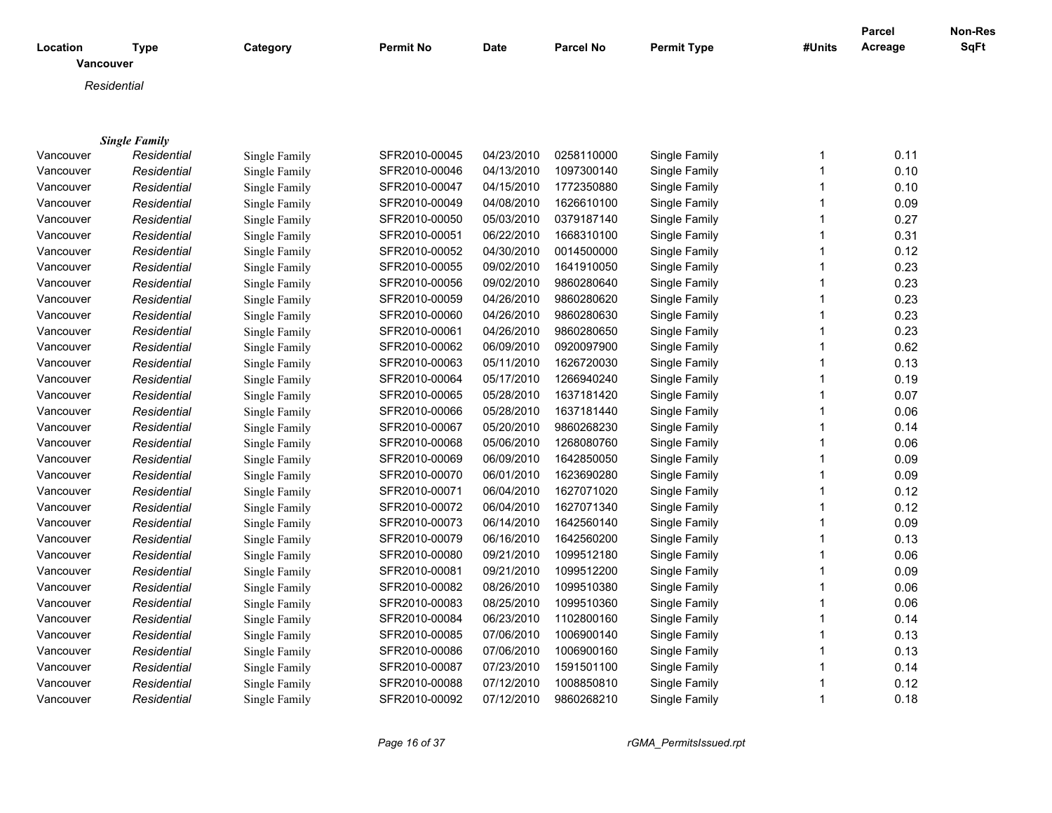|                       |                      |               |                  |             |                  |                    |                | Parcel  | <b>Non-Res</b> |
|-----------------------|----------------------|---------------|------------------|-------------|------------------|--------------------|----------------|---------|----------------|
| Location<br>Vancouver | <b>Type</b>          | Category      | <b>Permit No</b> | <b>Date</b> | <b>Parcel No</b> | <b>Permit Type</b> | #Units         | Acreage | <b>SqFt</b>    |
|                       | Residential          |               |                  |             |                  |                    |                |         |                |
|                       |                      |               |                  |             |                  |                    |                |         |                |
|                       |                      |               |                  |             |                  |                    |                |         |                |
|                       | <b>Single Family</b> |               |                  |             |                  |                    |                |         |                |
| Vancouver             | Residential          | Single Family | SFR2010-00045    | 04/23/2010  | 0258110000       | Single Family      | 1              | 0.11    |                |
| Vancouver             | Residential          | Single Family | SFR2010-00046    | 04/13/2010  | 1097300140       | Single Family      | $\mathbf{1}$   | 0.10    |                |
| Vancouver             | Residential          | Single Family | SFR2010-00047    | 04/15/2010  | 1772350880       | Single Family      | $\mathbf{1}$   | 0.10    |                |
| Vancouver             | Residential          | Single Family | SFR2010-00049    | 04/08/2010  | 1626610100       | Single Family      | $\mathbf{1}$   | 0.09    |                |
| Vancouver             | Residential          | Single Family | SFR2010-00050    | 05/03/2010  | 0379187140       | Single Family      | $\mathbf{1}$   | 0.27    |                |
| Vancouver             | Residential          | Single Family | SFR2010-00051    | 06/22/2010  | 1668310100       | Single Family      | $\mathbf{1}$   | 0.31    |                |
| Vancouver             | Residential          | Single Family | SFR2010-00052    | 04/30/2010  | 0014500000       | Single Family      | $\mathbf{1}$   | 0.12    |                |
| Vancouver             | Residential          | Single Family | SFR2010-00055    | 09/02/2010  | 1641910050       | Single Family      | $\overline{1}$ | 0.23    |                |
| Vancouver             | Residential          | Single Family | SFR2010-00056    | 09/02/2010  | 9860280640       | Single Family      | $\mathbf{1}$   | 0.23    |                |
| Vancouver             | Residential          | Single Family | SFR2010-00059    | 04/26/2010  | 9860280620       | Single Family      | $\mathbf{1}$   | 0.23    |                |
| Vancouver             | Residential          | Single Family | SFR2010-00060    | 04/26/2010  | 9860280630       | Single Family      | $\overline{1}$ | 0.23    |                |
| Vancouver             | Residential          | Single Family | SFR2010-00061    | 04/26/2010  | 9860280650       | Single Family      | $\overline{1}$ | 0.23    |                |
| Vancouver             | Residential          | Single Family | SFR2010-00062    | 06/09/2010  | 0920097900       | Single Family      | $\mathbf{1}$   | 0.62    |                |
| Vancouver             | Residential          | Single Family | SFR2010-00063    | 05/11/2010  | 1626720030       | Single Family      | $\mathbf{1}$   | 0.13    |                |
| Vancouver             | Residential          | Single Family | SFR2010-00064    | 05/17/2010  | 1266940240       | Single Family      | $\mathbf{1}$   | 0.19    |                |
| Vancouver             | Residential          | Single Family | SFR2010-00065    | 05/28/2010  | 1637181420       | Single Family      | $\mathbf{1}$   | 0.07    |                |
| Vancouver             | Residential          | Single Family | SFR2010-00066    | 05/28/2010  | 1637181440       | Single Family      | $\mathbf{1}$   | 0.06    |                |
| Vancouver             | Residential          | Single Family | SFR2010-00067    | 05/20/2010  | 9860268230       | Single Family      | $\mathbf{1}$   | 0.14    |                |
| Vancouver             | Residential          | Single Family | SFR2010-00068    | 05/06/2010  | 1268080760       | Single Family      | $\mathbf{1}$   | 0.06    |                |
| Vancouver             | Residential          | Single Family | SFR2010-00069    | 06/09/2010  | 1642850050       | Single Family      | $\mathbf{1}$   | 0.09    |                |
| Vancouver             | Residential          | Single Family | SFR2010-00070    | 06/01/2010  | 1623690280       | Single Family      | $\mathbf{1}$   | 0.09    |                |
| Vancouver             | Residential          | Single Family | SFR2010-00071    | 06/04/2010  | 1627071020       | Single Family      | $\mathbf{1}$   | 0.12    |                |
| Vancouver             | Residential          | Single Family | SFR2010-00072    | 06/04/2010  | 1627071340       | Single Family      | $\mathbf{1}$   | 0.12    |                |
| Vancouver             | Residential          | Single Family | SFR2010-00073    | 06/14/2010  | 1642560140       | Single Family      | $\overline{1}$ | 0.09    |                |
| Vancouver             | Residential          | Single Family | SFR2010-00079    | 06/16/2010  | 1642560200       | Single Family      | $\mathbf{1}$   | 0.13    |                |
| Vancouver             | Residential          | Single Family | SFR2010-00080    | 09/21/2010  | 1099512180       | Single Family      | $\mathbf{1}$   | 0.06    |                |
| Vancouver             | Residential          | Single Family | SFR2010-00081    | 09/21/2010  | 1099512200       | Single Family      | $\mathbf{1}$   | 0.09    |                |
| Vancouver             | Residential          | Single Family | SFR2010-00082    | 08/26/2010  | 1099510380       | Single Family      | $\mathbf{1}$   | 0.06    |                |
| Vancouver             | Residential          | Single Family | SFR2010-00083    | 08/25/2010  | 1099510360       | Single Family      | $\mathbf{1}$   | 0.06    |                |
| Vancouver             | Residential          | Single Family | SFR2010-00084    | 06/23/2010  | 1102800160       | Single Family      | $\mathbf 1$    | 0.14    |                |
| Vancouver             | Residential          | Single Family | SFR2010-00085    | 07/06/2010  | 1006900140       | Single Family      | $\mathbf{1}$   | 0.13    |                |
| Vancouver             | Residential          | Single Family | SFR2010-00086    | 07/06/2010  | 1006900160       | Single Family      | $\mathbf{1}$   | 0.13    |                |
| Vancouver             | Residential          | Single Family | SFR2010-00087    | 07/23/2010  | 1591501100       | Single Family      | $\mathbf{1}$   | 0.14    |                |
| Vancouver             | Residential          | Single Family | SFR2010-00088    | 07/12/2010  | 1008850810       | Single Family      | $\mathbf 1$    | 0.12    |                |
| Vancouver             | Residential          | Single Family | SFR2010-00092    | 07/12/2010  | 9860268210       | Single Family      | $\mathbf{1}$   | 0.18    |                |

*Page 16 of 37 rGMA\_PermitsIssued.rpt*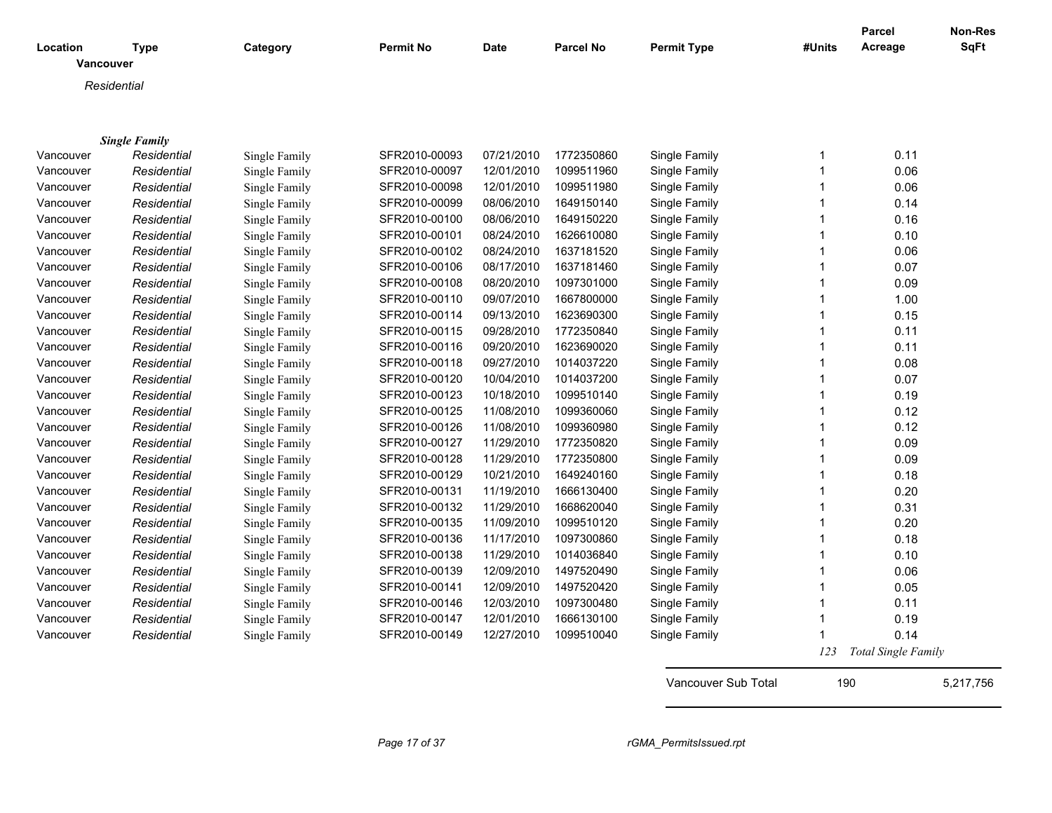| Location  | <b>Type</b>          | Category      | <b>Permit No</b> | Date       | <b>Parcel No</b> | <b>Permit Type</b> | #Units | Parcel<br>Acreage          | Non-Res<br><b>SqFt</b> |
|-----------|----------------------|---------------|------------------|------------|------------------|--------------------|--------|----------------------------|------------------------|
|           | <b>Vancouver</b>     |               |                  |            |                  |                    |        |                            |                        |
|           | Residential          |               |                  |            |                  |                    |        |                            |                        |
|           |                      |               |                  |            |                  |                    |        |                            |                        |
|           |                      |               |                  |            |                  |                    |        |                            |                        |
|           | <b>Single Family</b> |               |                  |            |                  |                    |        |                            |                        |
| Vancouver | Residential          | Single Family | SFR2010-00093    | 07/21/2010 | 1772350860       | Single Family      | 1      | 0.11                       |                        |
| Vancouver | Residential          | Single Family | SFR2010-00097    | 12/01/2010 | 1099511960       | Single Family      | 1      | 0.06                       |                        |
| Vancouver | Residential          | Single Family | SFR2010-00098    | 12/01/2010 | 1099511980       | Single Family      |        | 0.06                       |                        |
| Vancouver | Residential          | Single Family | SFR2010-00099    | 08/06/2010 | 1649150140       | Single Family      |        | 0.14                       |                        |
| Vancouver | Residential          | Single Family | SFR2010-00100    | 08/06/2010 | 1649150220       | Single Family      |        | 0.16                       |                        |
| Vancouver | Residential          | Single Family | SFR2010-00101    | 08/24/2010 | 1626610080       | Single Family      |        | 0.10                       |                        |
| Vancouver | Residential          | Single Family | SFR2010-00102    | 08/24/2010 | 1637181520       | Single Family      |        | 0.06                       |                        |
| Vancouver | Residential          | Single Family | SFR2010-00106    | 08/17/2010 | 1637181460       | Single Family      |        | 0.07                       |                        |
| Vancouver | Residential          | Single Family | SFR2010-00108    | 08/20/2010 | 1097301000       | Single Family      |        | 0.09                       |                        |
| Vancouver | Residential          | Single Family | SFR2010-00110    | 09/07/2010 | 1667800000       | Single Family      |        | 1.00                       |                        |
| Vancouver | Residential          | Single Family | SFR2010-00114    | 09/13/2010 | 1623690300       | Single Family      |        | 0.15                       |                        |
| Vancouver | Residential          | Single Family | SFR2010-00115    | 09/28/2010 | 1772350840       | Single Family      |        | 0.11                       |                        |
| Vancouver | Residential          | Single Family | SFR2010-00116    | 09/20/2010 | 1623690020       | Single Family      |        | 0.11                       |                        |
| Vancouver | Residential          | Single Family | SFR2010-00118    | 09/27/2010 | 1014037220       | Single Family      |        | 0.08                       |                        |
| Vancouver | Residential          | Single Family | SFR2010-00120    | 10/04/2010 | 1014037200       | Single Family      |        | 0.07                       |                        |
| Vancouver | Residential          | Single Family | SFR2010-00123    | 10/18/2010 | 1099510140       | Single Family      |        | 0.19                       |                        |
| Vancouver | Residential          | Single Family | SFR2010-00125    | 11/08/2010 | 1099360060       | Single Family      |        | 0.12                       |                        |
| Vancouver | Residential          | Single Family | SFR2010-00126    | 11/08/2010 | 1099360980       | Single Family      |        | 0.12                       |                        |
| Vancouver | Residential          | Single Family | SFR2010-00127    | 11/29/2010 | 1772350820       | Single Family      |        | 0.09                       |                        |
| Vancouver | Residential          | Single Family | SFR2010-00128    | 11/29/2010 | 1772350800       | Single Family      |        | 0.09                       |                        |
| Vancouver | Residential          | Single Family | SFR2010-00129    | 10/21/2010 | 1649240160       | Single Family      |        | 0.18                       |                        |
| Vancouver | Residential          | Single Family | SFR2010-00131    | 11/19/2010 | 1666130400       | Single Family      |        | 0.20                       |                        |
| Vancouver | Residential          | Single Family | SFR2010-00132    | 11/29/2010 | 1668620040       | Single Family      |        | 0.31                       |                        |
| Vancouver | Residential          | Single Family | SFR2010-00135    | 11/09/2010 | 1099510120       | Single Family      |        | 0.20                       |                        |
| Vancouver | Residential          | Single Family | SFR2010-00136    | 11/17/2010 | 1097300860       | Single Family      |        | 0.18                       |                        |
| Vancouver | Residential          | Single Family | SFR2010-00138    | 11/29/2010 | 1014036840       | Single Family      | 1      | 0.10                       |                        |
| Vancouver | Residential          | Single Family | SFR2010-00139    | 12/09/2010 | 1497520490       | Single Family      |        | 0.06                       |                        |
| Vancouver | Residential          | Single Family | SFR2010-00141    | 12/09/2010 | 1497520420       | Single Family      |        | 0.05                       |                        |
| Vancouver | Residential          | Single Family | SFR2010-00146    | 12/03/2010 | 1097300480       | Single Family      | 1      | 0.11                       |                        |
| Vancouver | Residential          | Single Family | SFR2010-00147    | 12/01/2010 | 1666130100       | Single Family      | 1      | 0.19                       |                        |
| Vancouver | Residential          | Single Family | SFR2010-00149    | 12/27/2010 | 1099510040       | Single Family      |        | 0.14                       |                        |
|           |                      |               |                  |            |                  |                    | 123    | <b>Total Single Family</b> |                        |

Vancouver Sub Total 190 5,217,756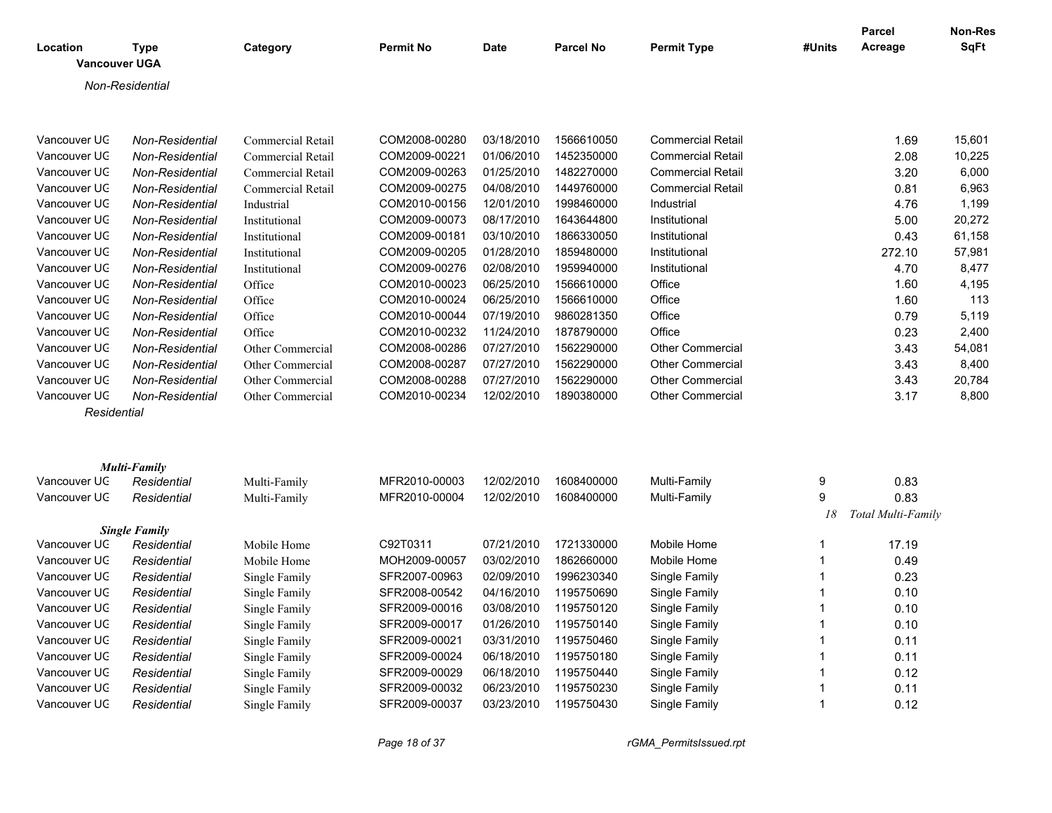| Location<br><b>Vancouver UGA</b> | <b>Type</b>                         | Category                 | <b>Permit No</b>               | <b>Date</b>              | <b>Parcel No</b>         | <b>Permit Type</b>             | #Units | Parcel<br>Acreage  | Non-Res<br><b>SqFt</b> |
|----------------------------------|-------------------------------------|--------------------------|--------------------------------|--------------------------|--------------------------|--------------------------------|--------|--------------------|------------------------|
|                                  | Non-Residential                     |                          |                                |                          |                          |                                |        |                    |                        |
|                                  |                                     |                          |                                |                          |                          |                                |        |                    |                        |
| Vancouver UC                     | Non-Residential                     | <b>Commercial Retail</b> | COM2008-00280                  | 03/18/2010               | 1566610050               | <b>Commercial Retail</b>       |        | 1.69               | 15,601                 |
| Vancouver UC                     | Non-Residential                     | Commercial Retail        | COM2009-00221                  | 01/06/2010               | 1452350000               | <b>Commercial Retail</b>       |        | 2.08               | 10,225                 |
| Vancouver UC                     | Non-Residential                     | Commercial Retail        | COM2009-00263                  | 01/25/2010               | 1482270000               | <b>Commercial Retail</b>       |        | 3.20               | 6,000                  |
| Vancouver UC                     | Non-Residential                     | Commercial Retail        | COM2009-00275                  | 04/08/2010               | 1449760000               | <b>Commercial Retail</b>       |        | 0.81               | 6,963                  |
| Vancouver UC                     | Non-Residential                     | Industrial               | COM2010-00156                  | 12/01/2010               | 1998460000               | Industrial                     |        | 4.76               | 1,199                  |
| Vancouver UC                     | Non-Residential                     | Institutional            | COM2009-00073                  | 08/17/2010               | 1643644800               | Institutional                  |        | 5.00               | 20,272                 |
| Vancouver UC                     | Non-Residential                     | Institutional            | COM2009-00181                  | 03/10/2010               | 1866330050               | Institutional                  |        | 0.43               | 61,158                 |
| Vancouver UC                     | Non-Residential                     | Institutional            | COM2009-00205                  | 01/28/2010               | 1859480000               | Institutional                  |        | 272.10             | 57,981                 |
| Vancouver UC                     | Non-Residential                     | Institutional            | COM2009-00276                  | 02/08/2010               | 1959940000               | Institutional                  |        | 4.70               | 8,477                  |
| Vancouver UC                     | Non-Residential                     | Office                   | COM2010-00023                  | 06/25/2010               | 1566610000               | Office                         |        | 1.60               | 4,195                  |
| Vancouver UC                     | Non-Residential                     | Office                   | COM2010-00024                  | 06/25/2010               | 1566610000               | Office                         |        | 1.60               | 113                    |
| Vancouver UC                     | Non-Residential                     | Office                   | COM2010-00044                  | 07/19/2010               | 9860281350               | Office                         |        | 0.79               | 5,119                  |
| Vancouver UC                     | Non-Residential                     | Office                   | COM2010-00232                  | 11/24/2010               | 1878790000               | Office                         |        | 0.23               | 2,400                  |
| Vancouver UC                     | Non-Residential                     | Other Commercial         | COM2008-00286                  | 07/27/2010               | 1562290000               | <b>Other Commercial</b>        |        | 3.43               | 54,081                 |
| Vancouver UC                     | Non-Residential                     | Other Commercial         | COM2008-00287                  | 07/27/2010               | 1562290000               | <b>Other Commercial</b>        |        | 3.43               | 8,400                  |
| Vancouver UC                     | Non-Residential                     | Other Commercial         | COM2008-00288                  | 07/27/2010               | 1562290000               | <b>Other Commercial</b>        |        | 3.43               | 20,784                 |
| Vancouver UC                     | Non-Residential                     | Other Commercial         | COM2010-00234                  | 12/02/2010               | 1890380000               | <b>Other Commercial</b>        |        | 3.17               | 8,800                  |
| Residential                      |                                     |                          |                                |                          |                          |                                |        |                    |                        |
|                                  |                                     |                          |                                |                          |                          |                                |        |                    |                        |
|                                  |                                     |                          |                                |                          |                          |                                |        |                    |                        |
|                                  | <b>Multi-Family</b>                 |                          |                                |                          |                          |                                |        |                    |                        |
| Vancouver UC                     | Residential                         | Multi-Family             | MFR2010-00003                  | 12/02/2010               | 1608400000               | Multi-Family                   | 9      | 0.83               |                        |
| Vancouver UC                     | Residential                         | Multi-Family             | MFR2010-00004                  | 12/02/2010               | 1608400000               | Multi-Family                   | 9      | 0.83               |                        |
|                                  |                                     |                          |                                |                          |                          |                                | 18     | Total Multi-Family |                        |
| Vancouver UC                     | <b>Single Family</b><br>Residential | Mobile Home              | C92T0311                       | 07/21/2010               | 1721330000               | Mobile Home                    |        | 17.19              |                        |
| Vancouver UC                     | Residential                         | Mobile Home              | MOH2009-00057                  | 03/02/2010               | 1862660000               | Mobile Home                    |        | 0.49               |                        |
| Vancouver UC                     | Residential                         | Single Family            | SFR2007-00963                  | 02/09/2010               | 1996230340               | Single Family                  |        | 0.23               |                        |
| Vancouver UC                     | Residential                         |                          | SFR2008-00542                  | 04/16/2010               | 1195750690               | Single Family                  |        | 0.10               |                        |
| Vancouver UC                     |                                     | Single Family            | SFR2009-00016                  | 03/08/2010               | 1195750120               | Single Family                  | -1     |                    |                        |
|                                  | Residential                         | Single Family            |                                |                          |                          |                                |        | 0.10               |                        |
| Vancouver UC                     | Residential                         | Single Family            | SFR2009-00017                  | 01/26/2010               | 1195750140               | Single Family                  |        | 0.10               |                        |
| Vancouver UC                     | Residential                         | Single Family            | SFR2009-00021                  | 03/31/2010               | 1195750460               | Single Family                  |        | 0.11               |                        |
| Vancouver UC                     | Residential                         | Single Family            | SFR2009-00024                  | 06/18/2010               | 1195750180               | Single Family                  |        | 0.11               |                        |
| Vancouver UC                     | Residential                         | Single Family            | SFR2009-00029                  | 06/18/2010               | 1195750440               | Single Family                  |        | 0.12               |                        |
| Vancouver UC<br>Vancouver UC     | Residential<br>Residential          | Single Family            | SFR2009-00032<br>SFR2009-00037 | 06/23/2010<br>03/23/2010 | 1195750230<br>1195750430 | Single Family<br>Single Family | 1      | 0.11               |                        |
|                                  |                                     | Single Family            |                                |                          |                          |                                |        | 0.12               |                        |

*Page 18 of 37 rGMA\_PermitsIssued.rpt*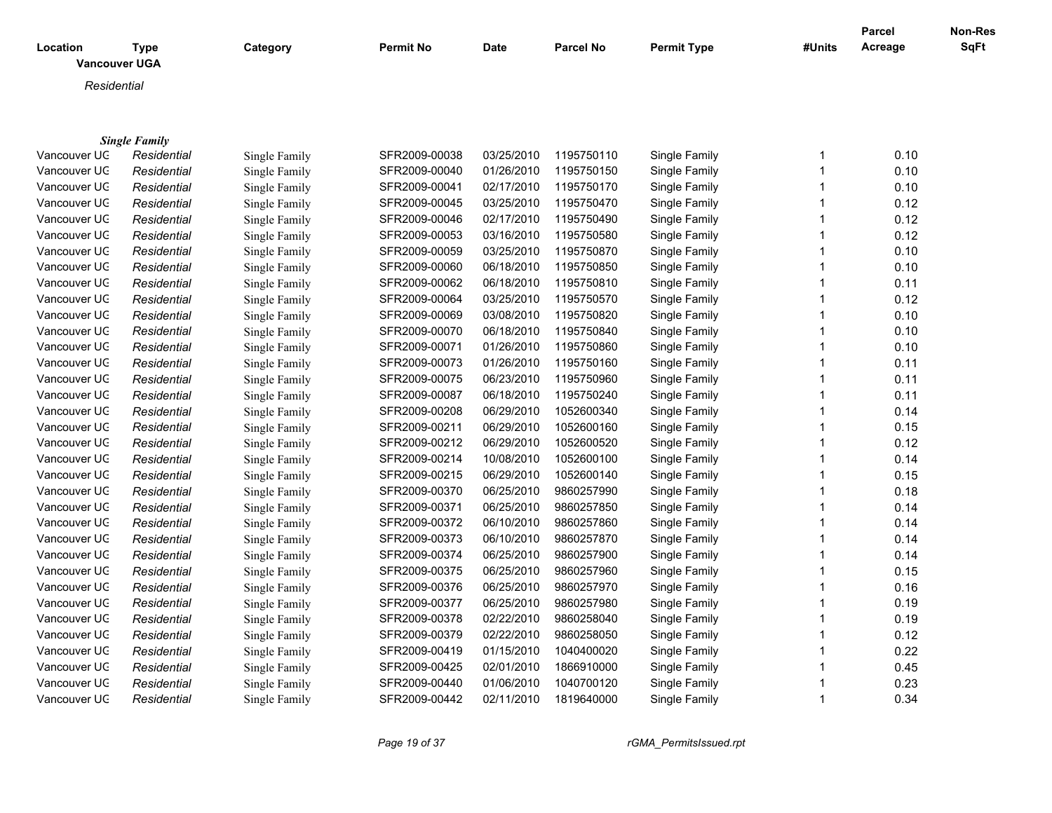| Location     | <b>Type</b><br><b>Vancouver UGA</b> | Category             | Permit No     | Date       | Parcel No  | <b>Permit Type</b> | #Units       | <b>Parcel</b><br>Acreage | Non-Res<br>SqFt |
|--------------|-------------------------------------|----------------------|---------------|------------|------------|--------------------|--------------|--------------------------|-----------------|
|              |                                     |                      |               |            |            |                    |              |                          |                 |
|              | Residential                         |                      |               |            |            |                    |              |                          |                 |
|              |                                     |                      |               |            |            |                    |              |                          |                 |
|              |                                     |                      |               |            |            |                    |              |                          |                 |
| Vancouver UC | <b>Single Family</b><br>Residential | <b>Single Family</b> | SFR2009-00038 | 03/25/2010 | 1195750110 | Single Family      | 1            | 0.10                     |                 |
| Vancouver UC | Residential                         | Single Family        | SFR2009-00040 | 01/26/2010 | 1195750150 | Single Family      | $\mathbf{1}$ | 0.10                     |                 |
| Vancouver UC | Residential                         | Single Family        | SFR2009-00041 | 02/17/2010 | 1195750170 | Single Family      | $\mathbf{1}$ | 0.10                     |                 |
| Vancouver UC | Residential                         | Single Family        | SFR2009-00045 | 03/25/2010 | 1195750470 | Single Family      | $\mathbf{1}$ | 0.12                     |                 |
| Vancouver UC | Residential                         | Single Family        | SFR2009-00046 | 02/17/2010 | 1195750490 | Single Family      | $\mathbf{1}$ | 0.12                     |                 |
| Vancouver UC | Residential                         | Single Family        | SFR2009-00053 | 03/16/2010 | 1195750580 | Single Family      | 1            | 0.12                     |                 |
| Vancouver UC | Residential                         | Single Family        | SFR2009-00059 | 03/25/2010 | 1195750870 | Single Family      | $\mathbf 1$  | 0.10                     |                 |
| Vancouver UC | Residential                         | Single Family        | SFR2009-00060 | 06/18/2010 | 1195750850 | Single Family      | 1            | 0.10                     |                 |
| Vancouver UC | Residential                         | Single Family        | SFR2009-00062 | 06/18/2010 | 1195750810 | Single Family      | $\mathbf{1}$ | 0.11                     |                 |
| Vancouver UC | Residential                         | Single Family        | SFR2009-00064 | 03/25/2010 | 1195750570 | Single Family      |              | 0.12                     |                 |
| Vancouver UC | Residential                         | Single Family        | SFR2009-00069 | 03/08/2010 | 1195750820 | Single Family      | 1            | 0.10                     |                 |
| Vancouver UC | Residential                         | Single Family        | SFR2009-00070 | 06/18/2010 | 1195750840 | Single Family      |              | 0.10                     |                 |
| Vancouver UC | Residential                         | Single Family        | SFR2009-00071 | 01/26/2010 | 1195750860 | Single Family      | 1            | 0.10                     |                 |
| Vancouver UC | Residential                         | Single Family        | SFR2009-00073 | 01/26/2010 | 1195750160 | Single Family      |              | 0.11                     |                 |
| Vancouver UC | Residential                         | Single Family        | SFR2009-00075 | 06/23/2010 | 1195750960 | Single Family      | $\mathbf{1}$ | 0.11                     |                 |
| Vancouver UC | Residential                         | Single Family        | SFR2009-00087 | 06/18/2010 | 1195750240 | Single Family      | 1            | 0.11                     |                 |
| Vancouver UC | Residential                         | Single Family        | SFR2009-00208 | 06/29/2010 | 1052600340 | Single Family      | $\mathbf{1}$ | 0.14                     |                 |
| Vancouver UC | Residential                         | Single Family        | SFR2009-00211 | 06/29/2010 | 1052600160 | Single Family      | $\mathbf{1}$ | 0.15                     |                 |
| Vancouver UC | Residential                         | Single Family        | SFR2009-00212 | 06/29/2010 | 1052600520 | Single Family      | $\mathbf{1}$ | 0.12                     |                 |
| Vancouver UC | Residential                         | Single Family        | SFR2009-00214 | 10/08/2010 | 1052600100 | Single Family      | 1            | 0.14                     |                 |
| Vancouver UC | Residential                         | Single Family        | SFR2009-00215 | 06/29/2010 | 1052600140 | Single Family      | 1            | 0.15                     |                 |
| Vancouver UC | Residential                         | Single Family        | SFR2009-00370 | 06/25/2010 | 9860257990 | Single Family      |              | 0.18                     |                 |
| Vancouver UC | Residential                         | Single Family        | SFR2009-00371 | 06/25/2010 | 9860257850 | Single Family      |              | 0.14                     |                 |
| Vancouver UC | Residential                         | Single Family        | SFR2009-00372 | 06/10/2010 | 9860257860 | Single Family      | 1            | 0.14                     |                 |
| Vancouver UC | Residential                         | Single Family        | SFR2009-00373 | 06/10/2010 | 9860257870 | Single Family      |              | 0.14                     |                 |
| Vancouver UC | Residential                         | Single Family        | SFR2009-00374 | 06/25/2010 | 9860257900 | Single Family      | $\mathbf{1}$ | 0.14                     |                 |
| Vancouver UC | Residential                         | Single Family        | SFR2009-00375 | 06/25/2010 | 9860257960 | Single Family      |              | 0.15                     |                 |
| Vancouver UC | Residential                         | Single Family        | SFR2009-00376 | 06/25/2010 | 9860257970 | Single Family      | 1            | 0.16                     |                 |
| Vancouver UC |                                     |                      | SFR2009-00377 | 06/25/2010 | 9860257980 | Single Family      |              | 0.19                     |                 |
| Vancouver UC | Residential                         | Single Family        | SFR2009-00378 | 02/22/2010 | 9860258040 |                    |              | 0.19                     |                 |
|              | Residential                         | Single Family        |               |            |            | Single Family      |              |                          |                 |
| Vancouver UC | Residential                         | Single Family        | SFR2009-00379 | 02/22/2010 | 9860258050 | Single Family      |              | 0.12                     |                 |
| Vancouver UC | Residential                         | Single Family        | SFR2009-00419 | 01/15/2010 | 1040400020 | Single Family      | 1            | 0.22                     |                 |
| Vancouver UC | Residential                         | Single Family        | SFR2009-00425 | 02/01/2010 | 1866910000 | Single Family      |              | 0.45                     |                 |
| Vancouver UC | Residential                         | Single Family        | SFR2009-00440 | 01/06/2010 | 1040700120 | Single Family      |              | 0.23                     |                 |
| Vancouver UC | Residential                         | Single Family        | SFR2009-00442 | 02/11/2010 | 1819640000 | Single Family      | $\mathbf{1}$ | 0.34                     |                 |

*Page 19 of 37 rGMA\_PermitsIssued.rpt*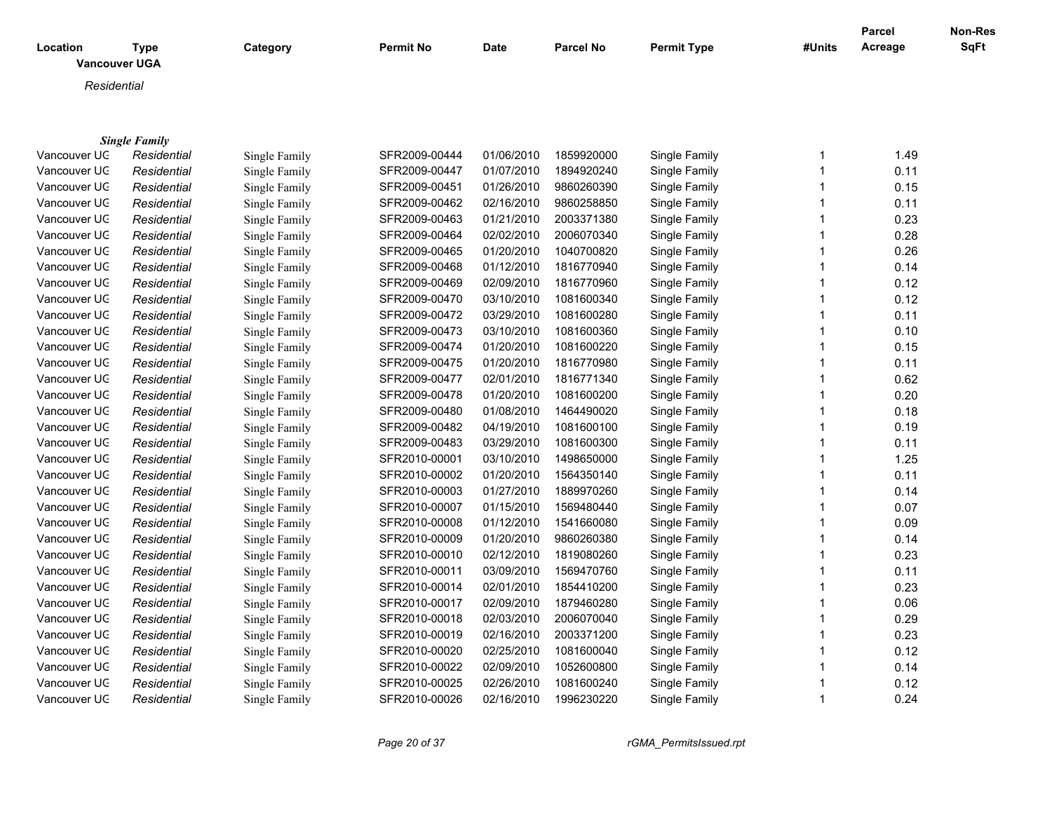| Location     | Type<br><b>Vancouver UGA</b> | Category      | <b>Permit No</b> | <b>Date</b> | <b>Parcel No</b> | <b>Permit Type</b> | #Units | <b>Parcel</b><br>Acreage | Non-Res<br>SqFt |
|--------------|------------------------------|---------------|------------------|-------------|------------------|--------------------|--------|--------------------------|-----------------|
| Residential  |                              |               |                  |             |                  |                    |        |                          |                 |
|              | <b>Single Family</b>         |               |                  |             |                  |                    |        |                          |                 |
| Vancouver UC | Residential                  | Single Family | SFR2009-00444    | 01/06/2010  | 1859920000       | Single Family      |        | 1.49                     |                 |
| Vancouver UC | Residential                  | Single Family | SFR2009-00447    | 01/07/2010  | 1894920240       | Single Family      |        | 0.11                     |                 |
| Vancouver UC | Residential                  | Single Family | SFR2009-00451    | 01/26/2010  | 9860260390       | Single Family      |        | 0.15                     |                 |
| Vancouver UC | Residential                  | Single Family | SFR2009-00462    | 02/16/2010  | 9860258850       | Single Family      |        | 0.11                     |                 |

Vancouver UGA *Residential* Single Family SFR2009-00463 01/21/2010 2003371380 Single Family 1 0.23 Vancouver UGA *Residential* Single Family SFR2009-00464 02/02/2010 2006070340 Single Family 1 0.28 Vancouver UGA *Residential* Single Family SFR2009-00465 01/20/2010 1040700820 Single Family 1 0.26 Vancouver UGA *Residential* Single Family SFR2009-00468 01/12/2010 1816770940 Single Family 1 0.14 Vancouver UGA *Residential* Single Family SFR2009-00469 02/09/2010 1816770960 Single Family 1 0.12 Vancouver UGA *Residential* Single Family SFR2009-00470 03/10/2010 1081600340 Single Family 1 0.12 Vancouver UGA *Residential* Single Family SFR2009-00472 03/29/2010 1081600280 Single Family 1 0.11 Vancouver UGA *Residential* Single Family SFR2009-00473 03/10/2010 1081600360 Single Family 1 0.10 Vancouver UGA *Residential* Single Family SFR2009-00474 01/20/2010 1081600220 Single Family 1 0.15 Vancouver UGA *Residential* Single Family SFR2009-00475 01/20/2010 1816770980 Single Family 1 0.11 Vancouver UGA *Residential* Single Family SFR2009-00477 02/01/2010 1816771340 Single Family 1 0.62 Vancouver UGA *Residential* Single Family SFR2009-00478 01/20/2010 1081600200 Single Family 1 0.20 Vancouver UGA *Residential* Single Family SFR2009-00480 01/08/2010 1464490020 Single Family 1 0.18 Vancouver UGA *Residential* Single Family SFR2009-00482 04/19/2010 1081600100 Single Family 1 0.19 Vancouver UGA *Residential* Single Family SFR2009-00483 03/29/2010 1081600300 Single Family 1 0.11 Vancouver UGA *Residential* Single Family SFR2010-00001 03/10/2010 1498650000 Single Family 1 1.25 Vancouver UGA *Residential* Single Family SFR2010-00002 01/20/2010 1564350140 Single Family 1 0.11

| Vancouver UC | Residential | Single Family | SFR2010-00003 | 01/27/2010 | 1889970260 | Single Family | 0.14 |
|--------------|-------------|---------------|---------------|------------|------------|---------------|------|
| Vancouver UC | Residential | Single Family | SFR2010-00007 | 01/15/2010 | 1569480440 | Single Family | 0.07 |
| Vancouver UC | Residential | Single Family | SFR2010-00008 | 01/12/2010 | 1541660080 | Single Family | 0.09 |
| Vancouver UC | Residential | Single Family | SFR2010-00009 | 01/20/2010 | 9860260380 | Single Family | 0.14 |
| Vancouver UC | Residential | Single Family | SFR2010-00010 | 02/12/2010 | 1819080260 | Single Family | 0.23 |
| Vancouver UC | Residential | Single Family | SFR2010-00011 | 03/09/2010 | 1569470760 | Single Family | 0.11 |
| Vancouver UC | Residential | Single Family | SFR2010-00014 | 02/01/2010 | 1854410200 | Single Family | 0.23 |
| Vancouver UC | Residential | Single Family | SFR2010-00017 | 02/09/2010 | 1879460280 | Single Family | 0.06 |
| Vancouver UC | Residential | Single Family | SFR2010-00018 | 02/03/2010 | 2006070040 | Single Family | 0.29 |
| Vancouver UC | Residential | Single Family | SFR2010-00019 | 02/16/2010 | 2003371200 | Single Family | 0.23 |
| Vancouver UC | Residential | Single Family | SFR2010-00020 | 02/25/2010 | 1081600040 | Single Family | 0.12 |
| Vancouver UC | Residential | Single Family | SFR2010-00022 | 02/09/2010 | 1052600800 | Single Family | 0.14 |
| Vancouver UC | Residential | Single Family | SFR2010-00025 | 02/26/2010 | 1081600240 | Single Family | 0.12 |
| Vancouver UC | Residential | Single Family | SFR2010-00026 | 02/16/2010 | 1996230220 | Single Family | 0.24 |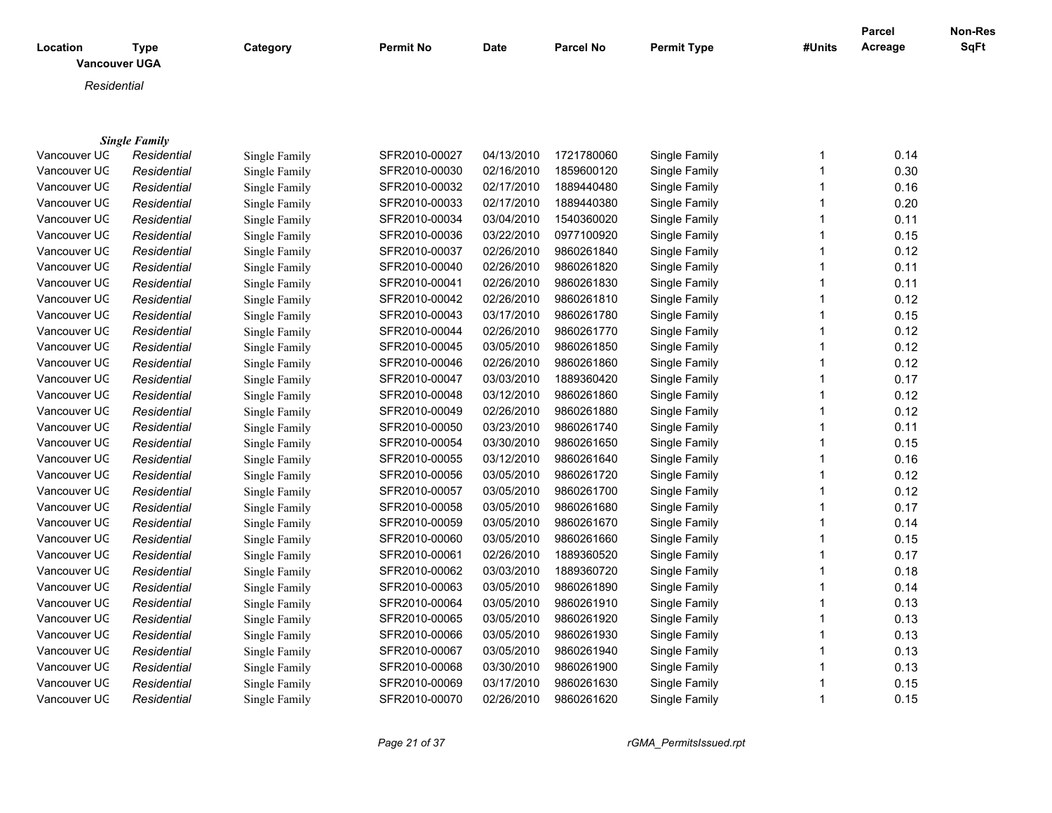| Location     | <b>Type</b><br><b>Vancouver UGA</b> | Category      | <b>Permit No</b> | <b>Date</b> | <b>Parcel No</b> | <b>Permit Type</b> | #Units | Parcel<br>Acreage | Non-Res<br><b>SqFt</b> |
|--------------|-------------------------------------|---------------|------------------|-------------|------------------|--------------------|--------|-------------------|------------------------|
| Residential  |                                     |               |                  |             |                  |                    |        |                   |                        |
|              |                                     |               |                  |             |                  |                    |        |                   |                        |
|              | <b>Single Family</b>                |               |                  |             |                  |                    |        |                   |                        |
| Vancouver UC | Residential                         | Single Family | SFR2010-00027    | 04/13/2010  | 1721780060       | Single Family      | 1      | 0.14              |                        |
| Vancouver UC | Residential                         | Single Family | SFR2010-00030    | 02/16/2010  | 1859600120       | Single Family      | 1      | 0.30              |                        |
| Vancouver UC | Residential                         | Single Family | SFR2010-00032    | 02/17/2010  | 1889440480       | Single Family      |        | 0.16              |                        |
| Vancouver UC | Residential                         | Single Family | SFR2010-00033    | 02/17/2010  | 1889440380       | Single Family      |        | 0.20              |                        |
| Vancouver UC | Residential                         | Single Family | SFR2010-00034    | 03/04/2010  | 1540360020       | Single Family      |        | 0.11              |                        |
| Vancouver UC | Residential                         | Single Family | SFR2010-00036    | 03/22/2010  | 0977100920       | Single Family      |        | 0.15              |                        |
| Vancouver UC | Residential                         | Single Family | SFR2010-00037    | 02/26/2010  | 9860261840       | Single Family      |        | 0.12              |                        |
| Vancouver UC | Residential                         | Single Family | SFR2010-00040    | 02/26/2010  | 9860261820       | Single Family      |        | 0.11              |                        |
| Vancouver UC | Residential                         | Single Family | SFR2010-00041    | 02/26/2010  | 9860261830       | Single Family      | 1      | 0.11              |                        |
| Vancouver UC | Residential                         | Single Family | SFR2010-00042    | 02/26/2010  | 9860261810       | Single Family      |        | 0.12              |                        |
| Vancouver UC | Residential                         | Single Family | SFR2010-00043    | 03/17/2010  | 9860261780       | Single Family      |        | 0.15              |                        |
| Vancouver UC | Residential                         | Single Family | SFR2010-00044    | 02/26/2010  | 9860261770       | Single Family      |        | 0.12              |                        |
| Vancouver UC | Residential                         | Single Family | SFR2010-00045    | 03/05/2010  | 9860261850       | Single Family      |        | 0.12              |                        |
| Vancouver UC | Residential                         | Single Family | SFR2010-00046    | 02/26/2010  | 9860261860       | Single Family      | 1      | 0.12              |                        |
| Vancouver UC | Residential                         | Single Family | SFR2010-00047    | 03/03/2010  | 1889360420       | Single Family      | 1      | 0.17              |                        |
| Vancouver UC | Residential                         | Single Family | SFR2010-00048    | 03/12/2010  | 9860261860       | Single Family      |        | 0.12              |                        |
| Vancouver UC | Residential                         | Single Family | SFR2010-00049    | 02/26/2010  | 9860261880       | Single Family      |        | 0.12              |                        |
| Vancouver UC | Residential                         | Single Family | SFR2010-00050    | 03/23/2010  | 9860261740       | Single Family      |        | 0.11              |                        |
| Vancouver UC | Residential                         | Single Family | SFR2010-00054    | 03/30/2010  | 9860261650       | Single Family      |        | 0.15              |                        |
| Vancouver UC | Residential                         | Single Family | SFR2010-00055    | 03/12/2010  | 9860261640       | Single Family      | 1      | 0.16              |                        |
| Vancouver UC | Residential                         | Single Family | SFR2010-00056    | 03/05/2010  | 9860261720       | Single Family      |        | 0.12              |                        |
| Vancouver UC | Residential                         | Single Family | SFR2010-00057    | 03/05/2010  | 9860261700       | Single Family      |        | 0.12              |                        |
| Vancouver UC | Residential                         | Single Family | SFR2010-00058    | 03/05/2010  | 9860261680       | Single Family      |        | 0.17              |                        |
| Vancouver UC | Residential                         | Single Family | SFR2010-00059    | 03/05/2010  | 9860261670       | Single Family      |        | 0.14              |                        |
| Vancouver UC | Residential                         | Single Family | SFR2010-00060    | 03/05/2010  | 9860261660       | Single Family      |        | 0.15              |                        |
| Vancouver UC | Residential                         | Single Family | SFR2010-00061    | 02/26/2010  | 1889360520       | Single Family      | 1      | 0.17              |                        |

Vancouver UGA *Residential* Single Family SFR2010-00062 03/03/2010 1889360720 Single Family 1 0.18 Vancouver UGA *Residential* Single Family SFR2010-00063 03/05/2010 9860261890 Single Family 1 0.14 Vancouver UGA *Residential* Single Family SFR2010-00064 03/05/2010 9860261910 Single Family 1 0.13 Vancouver UGA *Residential* Single Family SFR2010-00065 03/05/2010 9860261920 Single Family 1 0.13 Vancouver UGA *Residential* Single Family SFR2010-00066 03/05/2010 9860261930 Single Family 1 0.13 Vancouver UGA *Residential* Single Family SFR2010-00067 03/05/2010 9860261940 Single Family 1 0.13 Vancouver UGA *Residential* Single Family SFR2010-00068 03/30/2010 9860261900 Single Family 1 0.13 Vancouver UGA *Residential* Single Family SFR2010-00069 03/17/2010 9860261630 Single Family 1 0.15 Vancouver UGA *Residential* Single Family SFR2010-00070 02/26/2010 9860261620 Single Family 1 0.15

*Page 21 of 37 rGMA\_PermitsIssued.rpt*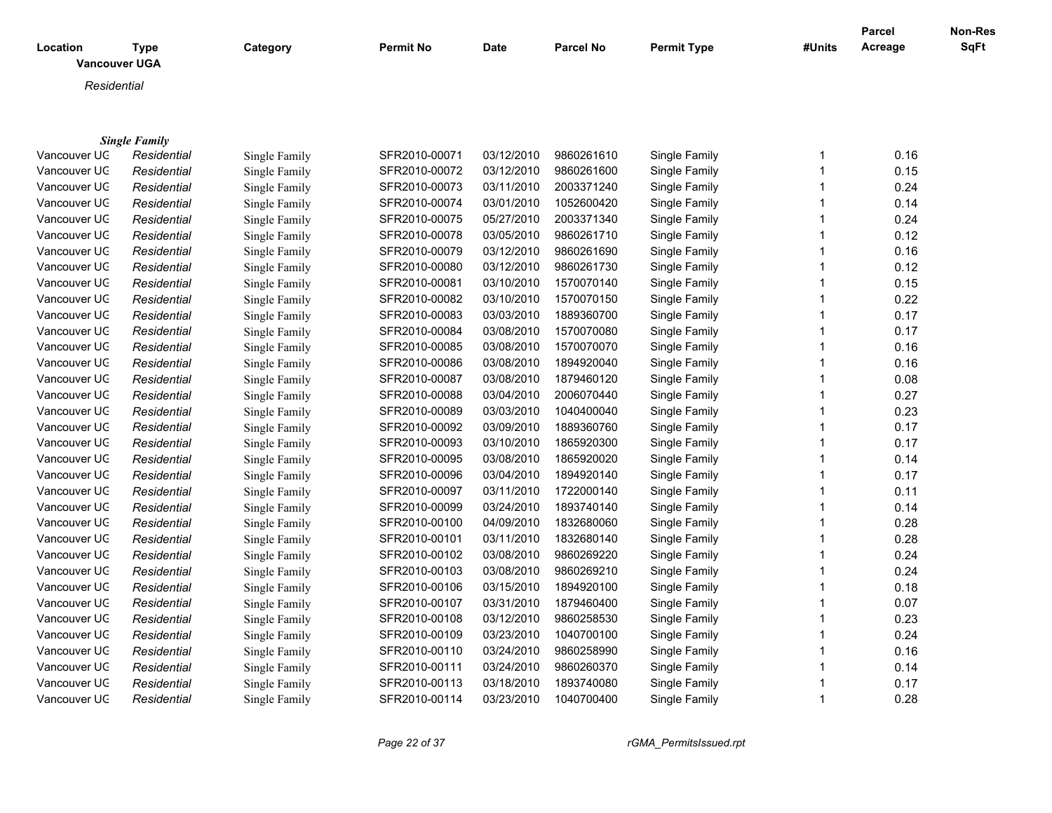| Location     | <b>Type</b><br><b>Vancouver UGA</b> | Category      | <b>Permit No</b> | Date       | <b>Parcel No</b> | <b>Permit Type</b> | #Units | <b>Parcel</b><br>Acreage | <b>Non-Res</b><br>SqFt |
|--------------|-------------------------------------|---------------|------------------|------------|------------------|--------------------|--------|--------------------------|------------------------|
| Residential  |                                     |               |                  |            |                  |                    |        |                          |                        |
|              |                                     |               |                  |            |                  |                    |        |                          |                        |
|              | <b>Single Family</b>                |               |                  |            |                  |                    |        |                          |                        |
| Vancouver UC | Residential                         | Single Family | SFR2010-00071    | 03/12/2010 | 9860261610       | Single Family      |        | 0.16                     |                        |
| Vancouver UC | Residential                         | Single Family | SFR2010-00072    | 03/12/2010 | 9860261600       | Single Family      |        | 0.15                     |                        |
| Vancouver UC | Residential                         | Single Family | SFR2010-00073    | 03/11/2010 | 2003371240       | Single Family      |        | 0.24                     |                        |
| Vancouver UC | Residential                         | Single Family | SFR2010-00074    | 03/01/2010 | 1052600420       | Single Family      |        | 0.14                     |                        |
| Vancouver UC | Residential                         | Single Family | SFR2010-00075    | 05/27/2010 | 2003371340       | Single Family      |        | 0.24                     |                        |
| Vancouver UC | Residential                         | Single Family | SFR2010-00078    | 03/05/2010 | 9860261710       | Single Family      |        | 0.12                     |                        |
| Vancouver UC | Residential                         | Single Family | SFR2010-00079    | 03/12/2010 | 9860261690       | Single Family      |        | 0.16                     |                        |
| Vancouver UC | Residential                         | Single Family | SFR2010-00080    | 03/12/2010 | 9860261730       | Single Family      |        | 0.12                     |                        |
| Vancouver UC | Residential                         | Single Family | SFR2010-00081    | 03/10/2010 | 1570070140       | Single Family      |        | 0.15                     |                        |
| Vancouver UC | Residential                         | Single Family | SFR2010-00082    | 03/10/2010 | 1570070150       | Single Family      |        | 0.22                     |                        |
| Vancouver UC | Residential                         | Single Family | SFR2010-00083    | 03/03/2010 | 1889360700       | Single Family      |        | 0.17                     |                        |
| Vancouver UC | Residential                         | Single Family | SFR2010-00084    | 03/08/2010 | 1570070080       | Single Family      |        | 0.17                     |                        |
| Vancouver UC | Residential                         | Single Family | SFR2010-00085    | 03/08/2010 | 1570070070       | Single Family      |        | 0.16                     |                        |
| Vancouver UC | Residential                         | Single Family | SFR2010-00086    | 03/08/2010 | 1894920040       | Single Family      |        | 0.16                     |                        |
| Vancouver UC | Residential                         | Single Family | SFR2010-00087    | 03/08/2010 | 1879460120       | Single Family      |        | 0.08                     |                        |
| Vancouver UC | Residential                         | Single Family | SFR2010-00088    | 03/04/2010 | 2006070440       | Single Family      |        | 0.27                     |                        |
| Vancouver UC | Residential                         | Single Family | SFR2010-00089    | 03/03/2010 | 1040400040       | Single Family      |        | 0.23                     |                        |

| Vancouver UC | Residential | Single Family | SFR2010-00097 | 03/11/2010 | 1722000140 | Single Family | 0.11 |
|--------------|-------------|---------------|---------------|------------|------------|---------------|------|
| Vancouver UC | Residential | Single Family | SFR2010-00099 | 03/24/2010 | 1893740140 | Single Family | 0.14 |
| Vancouver UC | Residential | Single Family | SFR2010-00100 | 04/09/2010 | 1832680060 | Single Family | 0.28 |
| Vancouver UC | Residential | Single Family | SFR2010-00101 | 03/11/2010 | 1832680140 | Single Family | 0.28 |
| Vancouver UC | Residential | Single Family | SFR2010-00102 | 03/08/2010 | 9860269220 | Single Family | 0.24 |
| Vancouver UC | Residential | Single Family | SFR2010-00103 | 03/08/2010 | 9860269210 | Single Family | 0.24 |
| Vancouver UC | Residential | Single Family | SFR2010-00106 | 03/15/2010 | 1894920100 | Single Family | 0.18 |
| Vancouver UC | Residential | Single Family | SFR2010-00107 | 03/31/2010 | 1879460400 | Single Family | 0.07 |
| Vancouver UC | Residential | Single Family | SFR2010-00108 | 03/12/2010 | 9860258530 | Single Family | 0.23 |
| Vancouver UC | Residential | Single Family | SFR2010-00109 | 03/23/2010 | 1040700100 | Single Family | 0.24 |
| Vancouver UC | Residential | Single Family | SFR2010-00110 | 03/24/2010 | 9860258990 | Single Family | 0.16 |
| Vancouver UC | Residential | Single Family | SFR2010-00111 | 03/24/2010 | 9860260370 | Single Family | 0.14 |
| Vancouver UC | Residential | Single Family | SFR2010-00113 | 03/18/2010 | 1893740080 | Single Family | 0.17 |
| Vancouver UC | Residential | Single Family | SFR2010-00114 | 03/23/2010 | 1040700400 | Single Family | 0.28 |
|              |             |               |               |            |            |               |      |

Vancouver UGA *Residential* Single Family SFR2010-00092 03/09/2010 1889360760 Single Family 1 0.17 Vancouver UGA *Residential* Single Family SFR2010-00093 03/10/2010 1865920300 Single Family 1 0.17 Vancouver UGA *Residential* Single Family SFR2010-00095 03/08/2010 1865920020 Single Family 1 0.14 Vancouver UGA *Residential* Single Family SFR2010-00096 03/04/2010 1894920140 Single Family 1 0.17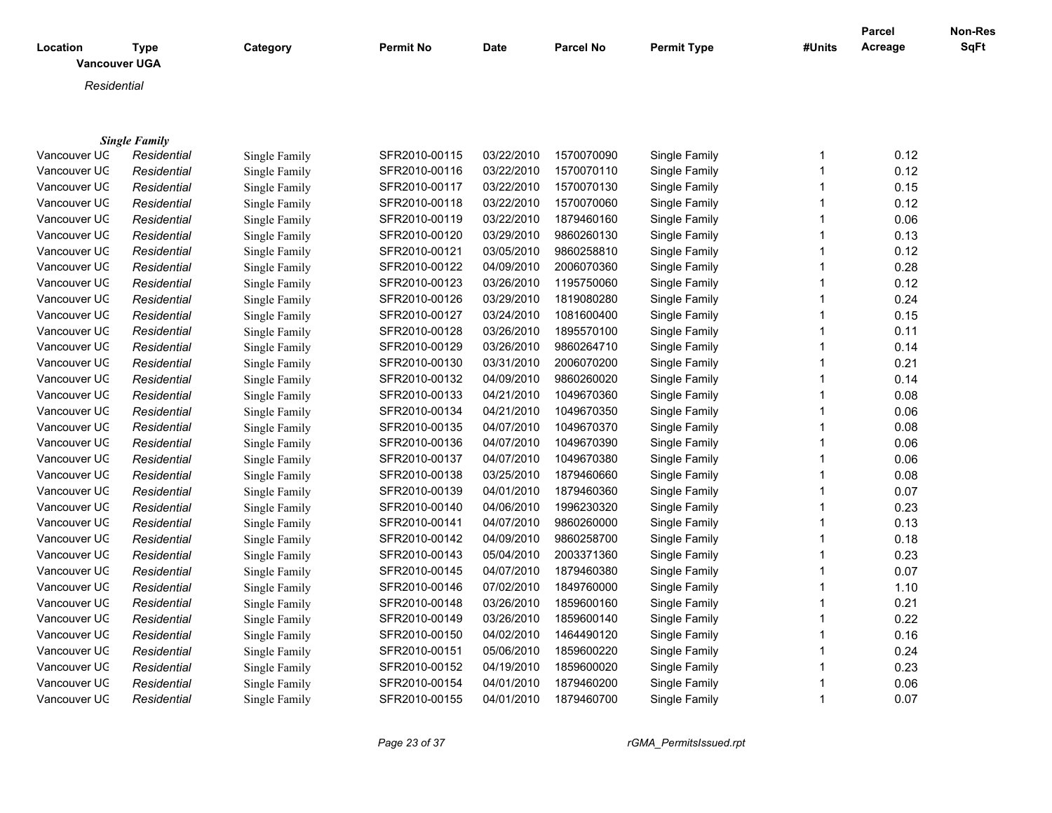| Location<br><b>Vancouver UGA</b> | <b>Type</b>          | Category      | Permit No     | Date       | Parcel No  | <b>Permit Type</b> | #Units       | <b>Parcel</b><br>Acreage | Non-Res<br>SqFt |
|----------------------------------|----------------------|---------------|---------------|------------|------------|--------------------|--------------|--------------------------|-----------------|
|                                  |                      |               |               |            |            |                    |              |                          |                 |
| Residential                      |                      |               |               |            |            |                    |              |                          |                 |
|                                  |                      |               |               |            |            |                    |              |                          |                 |
|                                  | <b>Single Family</b> |               |               |            |            |                    |              |                          |                 |
| Vancouver UC                     | Residential          | Single Family | SFR2010-00115 | 03/22/2010 | 1570070090 | Single Family      | 1            | 0.12                     |                 |
| Vancouver UC                     | Residential          | Single Family | SFR2010-00116 | 03/22/2010 | 1570070110 | Single Family      | $\mathbf{1}$ | 0.12                     |                 |
| Vancouver UC                     | Residential          | Single Family | SFR2010-00117 | 03/22/2010 | 1570070130 | Single Family      | 1            | 0.15                     |                 |
| Vancouver UC                     | Residential          | Single Family | SFR2010-00118 | 03/22/2010 | 1570070060 | Single Family      | $\mathbf{1}$ | 0.12                     |                 |
| Vancouver UC                     | Residential          | Single Family | SFR2010-00119 | 03/22/2010 | 1879460160 | Single Family      | $\mathbf{1}$ | 0.06                     |                 |
| Vancouver UC                     | Residential          | Single Family | SFR2010-00120 | 03/29/2010 | 9860260130 | Single Family      | 1            | 0.13                     |                 |
| Vancouver UC                     | Residential          | Single Family | SFR2010-00121 | 03/05/2010 | 9860258810 | Single Family      | $\mathbf{1}$ | 0.12                     |                 |
| Vancouver UC                     | Residential          | Single Family | SFR2010-00122 | 04/09/2010 | 2006070360 | Single Family      | 1            | 0.28                     |                 |
| Vancouver UC                     | Residential          | Single Family | SFR2010-00123 | 03/26/2010 | 1195750060 | Single Family      | $\mathbf{1}$ | 0.12                     |                 |
| Vancouver UC                     | Residential          | Single Family | SFR2010-00126 | 03/29/2010 | 1819080280 | Single Family      | 1            | 0.24                     |                 |
| Vancouver UC                     | Residential          | Single Family | SFR2010-00127 | 03/24/2010 | 1081600400 | Single Family      | 1            | 0.15                     |                 |
| Vancouver UC                     | Residential          | Single Family | SFR2010-00128 | 03/26/2010 | 1895570100 | Single Family      | 1            | 0.11                     |                 |
| Vancouver UC                     | Residential          | Single Family | SFR2010-00129 | 03/26/2010 | 9860264710 | Single Family      | 1            | 0.14                     |                 |
| Vancouver UC                     | Residential          | Single Family | SFR2010-00130 | 03/31/2010 | 2006070200 | Single Family      | 1            | 0.21                     |                 |
| Vancouver UC                     | Residential          | Single Family | SFR2010-00132 | 04/09/2010 | 9860260020 | Single Family      | $\mathbf{1}$ | 0.14                     |                 |
| Vancouver UC                     | Residential          | Single Family | SFR2010-00133 | 04/21/2010 | 1049670360 | Single Family      | $\mathbf{1}$ | 0.08                     |                 |
| Vancouver UC                     | Residential          | Single Family | SFR2010-00134 | 04/21/2010 | 1049670350 | Single Family      | $\mathbf{1}$ | 0.06                     |                 |
| Vancouver UC                     | Residential          | Single Family | SFR2010-00135 | 04/07/2010 | 1049670370 | Single Family      | $\mathbf{1}$ | 0.08                     |                 |
| Vancouver UC                     | Residential          | Single Family | SFR2010-00136 | 04/07/2010 | 1049670390 | Single Family      | $\mathbf{1}$ | 0.06                     |                 |
| Vancouver UC                     | Residential          | Single Family | SFR2010-00137 | 04/07/2010 | 1049670380 | Single Family      | $\mathbf{1}$ | 0.06                     |                 |
| Vancouver UC                     | Residential          | Single Family | SFR2010-00138 | 03/25/2010 | 1879460660 | Single Family      | $\mathbf{1}$ | 0.08                     |                 |
| Vancouver UC                     | Residential          | Single Family | SFR2010-00139 | 04/01/2010 | 1879460360 | Single Family      | $\mathbf{1}$ | 0.07                     |                 |
| Vancouver UC                     | Residential          | Single Family | SFR2010-00140 | 04/06/2010 | 1996230320 | Single Family      |              | 0.23                     |                 |
| Vancouver UC                     | Residential          | Single Family | SFR2010-00141 | 04/07/2010 | 9860260000 | Single Family      | 1            | 0.13                     |                 |
| Vancouver UC                     | Residential          | Single Family | SFR2010-00142 | 04/09/2010 | 9860258700 | Single Family      | 1            | 0.18                     |                 |
| Vancouver UC                     | Residential          | Single Family | SFR2010-00143 | 05/04/2010 | 2003371360 | Single Family      | $\mathbf{1}$ | 0.23                     |                 |
| Vancouver UC                     | Residential          | Single Family | SFR2010-00145 | 04/07/2010 | 1879460380 | Single Family      | 1            | 0.07                     |                 |
| Vancouver UC                     | Residential          | Single Family | SFR2010-00146 | 07/02/2010 | 1849760000 | Single Family      | $\mathbf{1}$ | 1.10                     |                 |
| Vancouver UC                     | Residential          | Single Family | SFR2010-00148 | 03/26/2010 | 1859600160 | Single Family      | 1            | 0.21                     |                 |
| Vancouver UC                     | Residential          | Single Family | SFR2010-00149 | 03/26/2010 | 1859600140 | Single Family      | 1            | 0.22                     |                 |
| Vancouver UC                     | Residential          | Single Family | SFR2010-00150 | 04/02/2010 | 1464490120 | Single Family      | 1            | 0.16                     |                 |
| Vancouver UC                     | Residential          | Single Family | SFR2010-00151 | 05/06/2010 | 1859600220 | Single Family      | 1            | 0.24                     |                 |
| Vancouver UC                     | Residential          | Single Family | SFR2010-00152 | 04/19/2010 | 1859600020 | Single Family      | 1            | 0.23                     |                 |
| Vancouver UC                     | Residential          | Single Family | SFR2010-00154 | 04/01/2010 | 1879460200 | Single Family      | 1            | 0.06                     |                 |
| Vancouver UC                     | Residential          | Single Family | SFR2010-00155 | 04/01/2010 | 1879460700 | Single Family      | $\mathbf{1}$ | 0.07                     |                 |
|                                  |                      |               |               |            |            |                    |              |                          |                 |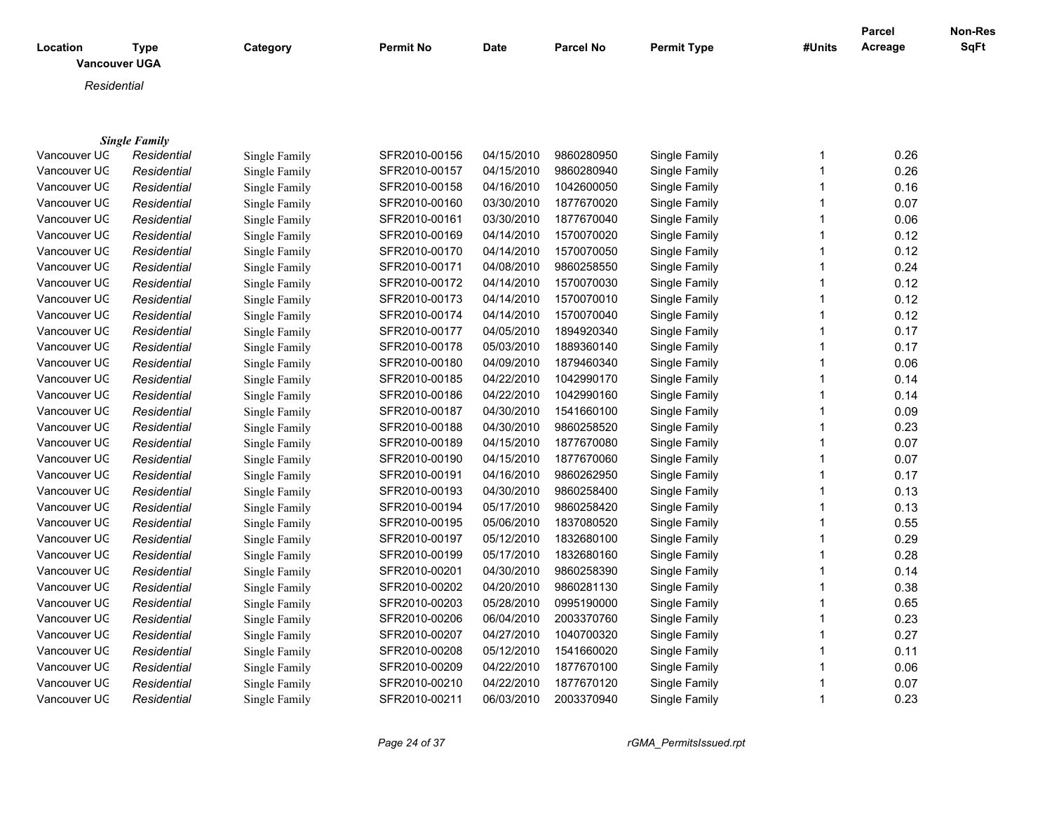| <b>Location</b> | <b>Type</b><br><b>Vancouver UGA</b> | Category      | <b>Permit No</b> | <b>Date</b> | <b>Parcel No</b> | <b>Permit Type</b> | #Units | <b>Parcel</b><br>Acreage | Non-Res<br>SqFt |
|-----------------|-------------------------------------|---------------|------------------|-------------|------------------|--------------------|--------|--------------------------|-----------------|
| Residential     |                                     |               |                  |             |                  |                    |        |                          |                 |
|                 |                                     |               |                  |             |                  |                    |        |                          |                 |
| Vancouver UC    | <b>Single Family</b><br>Residential | Single Family | SFR2010-00156    | 04/15/2010  | 9860280950       | Single Family      |        | 0.26                     |                 |
| Vancouver UC    | Residential                         | Single Family | SFR2010-00157    | 04/15/2010  | 9860280940       | Single Family      |        | 0.26                     |                 |
| Vancouver UC    | Residential                         | Single Family | SFR2010-00158    | 04/16/2010  | 1042600050       | Single Family      |        | 0.16                     |                 |
| Vancouver UC    | Residential                         | Single Family | SFR2010-00160    | 03/30/2010  | 1877670020       | Single Family      |        | 0.07                     |                 |
| Vancouver UC    | Residential                         |               | SFR2010-00161    | 03/30/2010  | 1877670040       | Single Family      |        | 0.06                     |                 |
|                 |                                     | Single Family |                  |             |                  |                    |        |                          |                 |
| Vancouver UC    | Residential                         | Single Family | SFR2010-00169    | 04/14/2010  | 1570070020       | Single Family      |        | 0.12                     |                 |
| Vancouver UC    | Residential                         | Single Family | SFR2010-00170    | 04/14/2010  | 1570070050       | Single Family      |        | 0.12                     |                 |
| Vancouver UC    | Residential                         | Single Family | SFR2010-00171    | 04/08/2010  | 9860258550       | Single Family      |        | 0.24                     |                 |
| Vancouver UC    | Residential                         | Single Family | SFR2010-00172    | 04/14/2010  | 1570070030       | Single Family      |        | 0.12                     |                 |
| Vancouver UC    | Residential                         | Single Family | SFR2010-00173    | 04/14/2010  | 1570070010       | Single Family      |        | 0.12                     |                 |
| Vancouver UC    | Residential                         | Single Family | SFR2010-00174    | 04/14/2010  | 1570070040       | Single Family      |        | 0.12                     |                 |
| Vancouver UC    | Residential                         | Single Family | SFR2010-00177    | 04/05/2010  | 1894920340       | Single Family      |        | 0.17                     |                 |
| Vancouver UC    | Residential                         | Single Family | SFR2010-00178    | 05/03/2010  | 1889360140       | Single Family      |        | 0.17                     |                 |

Vancouver UGA *Residential* Single Family SFR2010-00180 04/09/2010 1879460340 Single Family 1 0.06 Vancouver UGA *Residential* Single Family SFR2010-00185 04/22/2010 1042990170 Single Family 1 0.14 Vancouver UGA *Residential* Single Family SFR2010-00186 04/22/2010 1042990160 Single Family 1 0.14 Vancouver UGA *Residential* Single Family SFR2010-00187 04/30/2010 1541660100 Single Family 1 0.09 Vancouver UGA *Residential* Single Family SFR2010-00188 04/30/2010 9860258520 Single Family 1 0.23 Vancouver UGA *Residential* Single Family SFR2010-00189 04/15/2010 1877670080 Single Family 1 0.07 Vancouver UGA *Residential* Single Family SFR2010-00190 04/15/2010 1877670060 Single Family 1 0.07 Vancouver UGA *Residential* Single Family SFR2010-00191 04/16/2010 9860262950 Single Family 1 0.17 Vancouver UGA *Residential* Single Family SFR2010-00193 04/30/2010 9860258400 Single Family 1 0.13 Vancouver UGA *Residential* Single Family SFR2010-00194 05/17/2010 9860258420 Single Family 1 0.13 Vancouver UGA *Residential* Single Family SFR2010-00195 05/06/2010 1837080520 Single Family 1 0.55 Vancouver UGA *Residential* Single Family SFR2010-00197 05/12/2010 1832680100 Single Family 1 0.29 Vancouver UGA *Residential* Single Family SFR2010-00199 05/17/2010 1832680160 Single Family 1 0.28 Vancouver UGA *Residential* Single Family SFR2010-00201 04/30/2010 9860258390 Single Family 1 0.14 Vancouver UGA *Residential* Single Family SFR2010-00202 04/20/2010 9860281130 Single Family 1 0.38 Vancouver UGA *Residential* Single Family SFR2010-00203 05/28/2010 0995190000 Single Family 1 0.65 Vancouver UGA *Residential* Single Family SFR2010-00206 06/04/2010 2003370760 Single Family 1 0.23 Vancouver UGA *Residential* Single Family SFR2010-00207 04/27/2010 1040700320 Single Family 1 0.27 Vancouver UGA *Residential* Single Family SFR2010-00208 05/12/2010 1541660020 Single Family 1 0.11 Vancouver UGA *Residential* Single Family SFR2010-00209 04/22/2010 1877670100 Single Family 1 0.06 Vancouver UGA *Residential* Single Family SFR2010-00210 04/22/2010 1877670120 Single Family 1 0.07 Vancouver UGA *Residential* Single Family SFR2010-00211 06/03/2010 2003370940 Single Family 1 0.23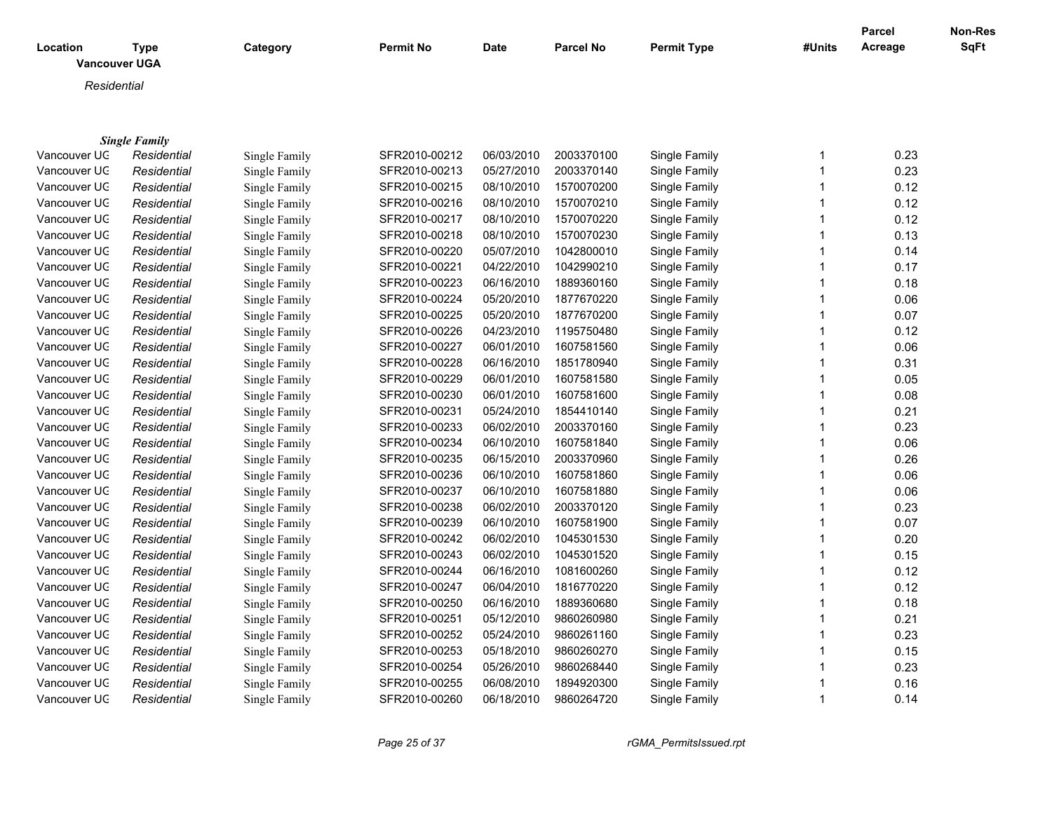| Location      | Type<br><b>Vancouver UGA</b> | Category      | <b>Permit No</b> | Date       | <b>Parcel No</b> | <b>Permit Type</b> | #Units | <b>Parcel</b><br>Acreage | Non-Res<br><b>SqFt</b> |
|---------------|------------------------------|---------------|------------------|------------|------------------|--------------------|--------|--------------------------|------------------------|
| Residential   |                              |               |                  |            |                  |                    |        |                          |                        |
|               | <b>Single Family</b>         |               |                  |            |                  |                    |        |                          |                        |
| Vancouver UC  | Residential                  | Single Family | SFR2010-00212    | 06/03/2010 | 2003370100       | Single Family      |        | 0.23                     |                        |
| Vancouver UC  | Residential                  | Single Family | SFR2010-00213    | 05/27/2010 | 2003370140       | Single Family      |        | 0.23                     |                        |
| Vancouver LIC | Residential                  | Single Family | SER2010-00215    | 08/10/2010 | 1570070200       | Single Family      |        | 0.12                     |                        |

| vancouver UG | Residential | Single Family | SFR2010-00213 | 05/27/2010 | 2003370140 | Single Family | 0.23 |
|--------------|-------------|---------------|---------------|------------|------------|---------------|------|
| Vancouver UC | Residential | Single Family | SFR2010-00215 | 08/10/2010 | 1570070200 | Single Family | 0.12 |
| Vancouver UC | Residential | Single Family | SFR2010-00216 | 08/10/2010 | 1570070210 | Single Family | 0.12 |
| Vancouver UC | Residential | Single Family | SFR2010-00217 | 08/10/2010 | 1570070220 | Single Family | 0.12 |
| Vancouver UC | Residential | Single Family | SFR2010-00218 | 08/10/2010 | 1570070230 | Single Family | 0.13 |
| Vancouver UC | Residential | Single Family | SFR2010-00220 | 05/07/2010 | 1042800010 | Single Family | 0.14 |
| Vancouver UC | Residential | Single Family | SFR2010-00221 | 04/22/2010 | 1042990210 | Single Family | 0.17 |
| Vancouver UC | Residential | Single Family | SFR2010-00223 | 06/16/2010 | 1889360160 | Single Family | 0.18 |
| Vancouver UC | Residential | Single Family | SFR2010-00224 | 05/20/2010 | 1877670220 | Single Family | 0.06 |
| Vancouver UC | Residential | Single Family | SFR2010-00225 | 05/20/2010 | 1877670200 | Single Family | 0.07 |
| Vancouver UC | Residential | Single Family | SFR2010-00226 | 04/23/2010 | 1195750480 | Single Family | 0.12 |
| Vancouver UC | Residential | Single Family | SFR2010-00227 | 06/01/2010 | 1607581560 | Single Family | 0.06 |
| Vancouver UC | Residential | Single Family | SFR2010-00228 | 06/16/2010 | 1851780940 | Single Family | 0.31 |
| Vancouver UC | Residential | Single Family | SFR2010-00229 | 06/01/2010 | 1607581580 | Single Family | 0.05 |
| Vancouver UC | Residential | Single Family | SFR2010-00230 | 06/01/2010 | 1607581600 | Single Family | 0.08 |
| Vancouver UC | Residential | Single Family | SFR2010-00231 | 05/24/2010 | 1854410140 | Single Family | 0.21 |
| Vancouver UC | Residential | Single Family | SFR2010-00233 | 06/02/2010 | 2003370160 | Single Family | 0.23 |
| Vancouver UC | Residential | Single Family | SFR2010-00234 | 06/10/2010 | 1607581840 | Single Family | 0.06 |
| Vancouver UC | Residential | Single Family | SFR2010-00235 | 06/15/2010 | 2003370960 | Single Family | 0.26 |
| Vancouver UC | Residential | Single Family | SFR2010-00236 | 06/10/2010 | 1607581860 | Single Family | 0.06 |
| Vancouver UC | Residential | Single Family | SFR2010-00237 | 06/10/2010 | 1607581880 | Single Family | 0.06 |
| Vancouver UC | Residential | Single Family | SFR2010-00238 | 06/02/2010 | 2003370120 | Single Family | 0.23 |
| Vancouver UC | Residential | Single Family | SFR2010-00239 | 06/10/2010 | 1607581900 | Single Family | 0.07 |
| Vancouver UC | Residential | Single Family | SFR2010-00242 | 06/02/2010 | 1045301530 | Single Family | 0.20 |
| Vancouver UC | Residential | Single Family | SFR2010-00243 | 06/02/2010 | 1045301520 | Single Family | 0.15 |
| Vancouver UC | Residential | Single Family | SFR2010-00244 | 06/16/2010 | 1081600260 | Single Family | 0.12 |
| Vancouver UC | Residential | Single Family | SFR2010-00247 | 06/04/2010 | 1816770220 | Single Family | 0.12 |
| Vancouver UC | Residential | Single Family | SFR2010-00250 | 06/16/2010 | 1889360680 | Single Family | 0.18 |
| Vancouver UC | Residential | Single Family | SFR2010-00251 | 05/12/2010 | 9860260980 | Single Family | 0.21 |
| Vancouver UC | Residential | Single Family | SFR2010-00252 | 05/24/2010 | 9860261160 | Single Family | 0.23 |
| Vancouver UC | Residential | Single Family | SFR2010-00253 | 05/18/2010 | 9860260270 | Single Family | 0.15 |
| Vancouver UC | Residential | Single Family | SFR2010-00254 | 05/26/2010 | 9860268440 | Single Family | 0.23 |
| Vancouver UC | Residential | Single Family | SFR2010-00255 | 06/08/2010 | 1894920300 | Single Family | 0.16 |
| Vancouver UC | Residential | Single Family | SFR2010-00260 | 06/18/2010 | 9860264720 | Single Family | 0.14 |
|              |             |               |               |            |            |               |      |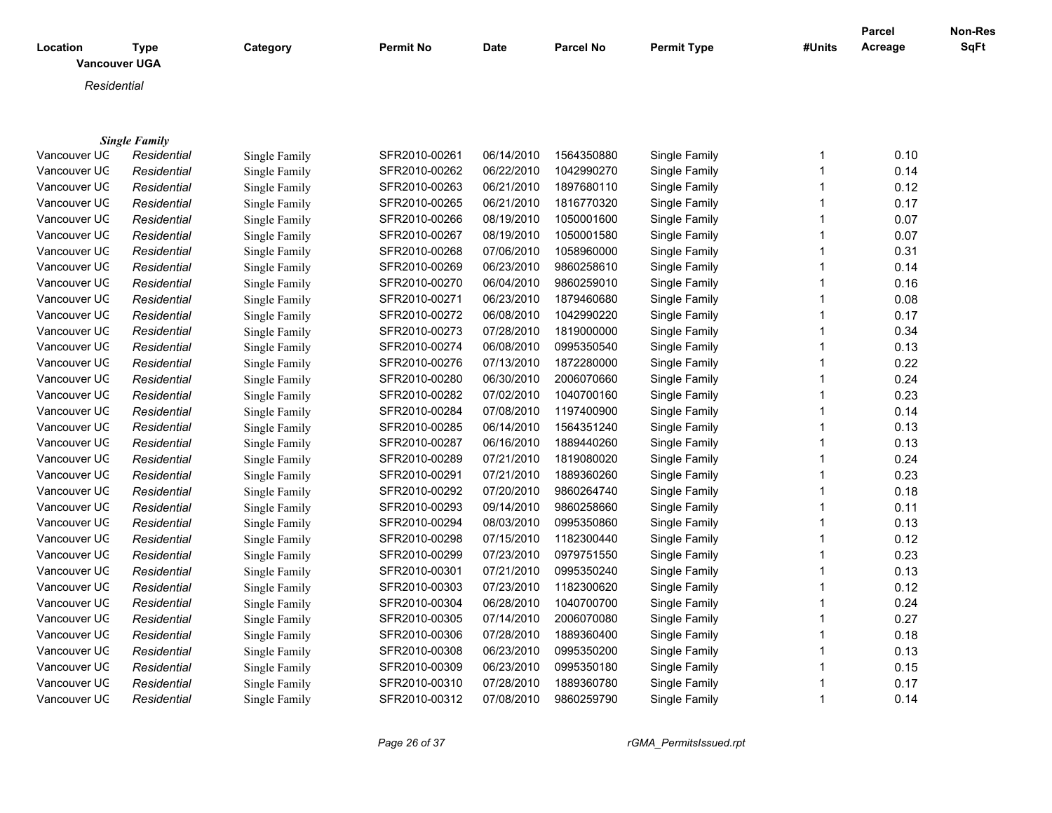| <b>Location</b><br><b>Vancouver UGA</b> | Type                 | Category      | <b>Permit No</b>                                 | <b>Date</b> | <b>Parcel No</b>                                    | <b>Permit Type</b> | #Units | Parcel<br>Acreage | Non-Res<br><b>SqFt</b> |
|-----------------------------------------|----------------------|---------------|--------------------------------------------------|-------------|-----------------------------------------------------|--------------------|--------|-------------------|------------------------|
| Residential                             |                      |               |                                                  |             |                                                     |                    |        |                   |                        |
|                                         |                      |               |                                                  |             |                                                     |                    |        |                   |                        |
|                                         | <b>Single Family</b> |               |                                                  |             |                                                     |                    |        |                   |                        |
| Vancouver UC                            | Residential          | Single Family | SFR2010-00261                                    | 06/14/2010  | 1564350880                                          | Single Family      |        | 0.10              |                        |
| Vancouver UC                            | Residential          | Single Family | SFR2010-00262                                    | 06/22/2010  | 1042990270                                          | Single Family      |        | 0.14              |                        |
| Vancouver UC                            | Residential          | Single Family | SFR2010-00263                                    | 06/21/2010  | 1897680110                                          | Single Family      |        | 0.12              |                        |
| Vancouver UC                            | Residential          | Single Family | SFR2010-00265                                    | 06/21/2010  | 1816770320                                          | Single Family      |        | 0.17              |                        |
| Vancouver UC                            | Residential          | Single Family | SFR2010-00266                                    | 08/19/2010  | 1050001600                                          | Single Family      |        | 0.07              |                        |
| Vancouver UC                            | Residential          | Single Family | SFR2010-00267                                    | 08/19/2010  | 1050001580                                          | Single Family      |        | 0.07              |                        |
| Vancouver UC                            | Residential          | Single Family | SFR2010-00268                                    | 07/06/2010  | 1058960000                                          | Single Family      |        | 0.31              |                        |
| Vancouver UC                            | Residential          | Single Family | SFR2010-00269                                    | 06/23/2010  | 9860258610                                          | Single Family      |        | 0.14              |                        |
| $\overline{a}$                          |                      |               | $\sim$ $\sim$ $\sim$ $\sim$ $\sim$ $\sim$ $\sim$ | 0.01010010  | $\begin{array}{c} \n\text{maxmin} \\ \n\end{array}$ |                    |        |                   |                        |

| Vancouver UC | Residential | Single Family | SFR2010-00268 | 07/06/2010 | 1058960000 | Single Family | 0.31 |
|--------------|-------------|---------------|---------------|------------|------------|---------------|------|
| Vancouver UC | Residential | Single Family | SFR2010-00269 | 06/23/2010 | 9860258610 | Single Family | 0.14 |
| Vancouver UC | Residential | Single Family | SFR2010-00270 | 06/04/2010 | 9860259010 | Single Family | 0.16 |
| Vancouver UC | Residential | Single Family | SFR2010-00271 | 06/23/2010 | 1879460680 | Single Family | 0.08 |
| Vancouver UC | Residential | Single Family | SFR2010-00272 | 06/08/2010 | 1042990220 | Single Family | 0.17 |
| Vancouver UC | Residential | Single Family | SFR2010-00273 | 07/28/2010 | 1819000000 | Single Family | 0.34 |
| Vancouver UC | Residential | Single Family | SFR2010-00274 | 06/08/2010 | 0995350540 | Single Family | 0.13 |
| Vancouver UC | Residential | Single Family | SFR2010-00276 | 07/13/2010 | 1872280000 | Single Family | 0.22 |
| Vancouver UC | Residential | Single Family | SFR2010-00280 | 06/30/2010 | 2006070660 | Single Family | 0.24 |
| Vancouver UC | Residential | Single Family | SFR2010-00282 | 07/02/2010 | 1040700160 | Single Family | 0.23 |
| Vancouver UC | Residential | Single Family | SFR2010-00284 | 07/08/2010 | 1197400900 | Single Family | 0.14 |
| Vancouver UC | Residential | Single Family | SFR2010-00285 | 06/14/2010 | 1564351240 | Single Family | 0.13 |
| Vancouver UC | Residential | Single Family | SFR2010-00287 | 06/16/2010 | 1889440260 | Single Family | 0.13 |
| Vancouver UC | Residential | Single Family | SFR2010-00289 | 07/21/2010 | 1819080020 | Single Family | 0.24 |
| Vancouver UC | Residential | Single Family | SFR2010-00291 | 07/21/2010 | 1889360260 | Single Family | 0.23 |
| Vancouver UC | Residential | Single Family | SFR2010-00292 | 07/20/2010 | 9860264740 | Single Family | 0.18 |
| Vancouver UC | Residential | Single Family | SFR2010-00293 | 09/14/2010 | 9860258660 | Single Family | 0.11 |
| Vancouver UC | Residential | Single Family | SFR2010-00294 | 08/03/2010 | 0995350860 | Single Family | 0.13 |
| Vancouver UC | Residential | Single Family | SFR2010-00298 | 07/15/2010 | 1182300440 | Single Family | 0.12 |
| Vancouver UC | Residential | Single Family | SFR2010-00299 | 07/23/2010 | 0979751550 | Single Family | 0.23 |
| Vancouver UC | Residential | Single Family | SFR2010-00301 | 07/21/2010 | 0995350240 | Single Family | 0.13 |
| Vancouver UC | Residential | Single Family | SFR2010-00303 | 07/23/2010 | 1182300620 | Single Family | 0.12 |
| Vancouver UC | Residential | Single Family | SFR2010-00304 | 06/28/2010 | 1040700700 | Single Family | 0.24 |
| Vancouver UC | Residential | Single Family | SFR2010-00305 | 07/14/2010 | 2006070080 | Single Family | 0.27 |
| Vancouver UC | Residential | Single Family | SFR2010-00306 | 07/28/2010 | 1889360400 | Single Family | 0.18 |
| Vancouver UC | Residential | Single Family | SFR2010-00308 | 06/23/2010 | 0995350200 | Single Family | 0.13 |
| Vancouver UC | Residential | Single Family | SFR2010-00309 | 06/23/2010 | 0995350180 | Single Family | 0.15 |
| Vancouver UC | Residential | Single Family | SFR2010-00310 | 07/28/2010 | 1889360780 | Single Family | 0.17 |
| Vancouver UC | Residential | Single Family | SFR2010-00312 | 07/08/2010 | 9860259790 | Single Family | 0.14 |
|              |             |               |               |            |            |               |      |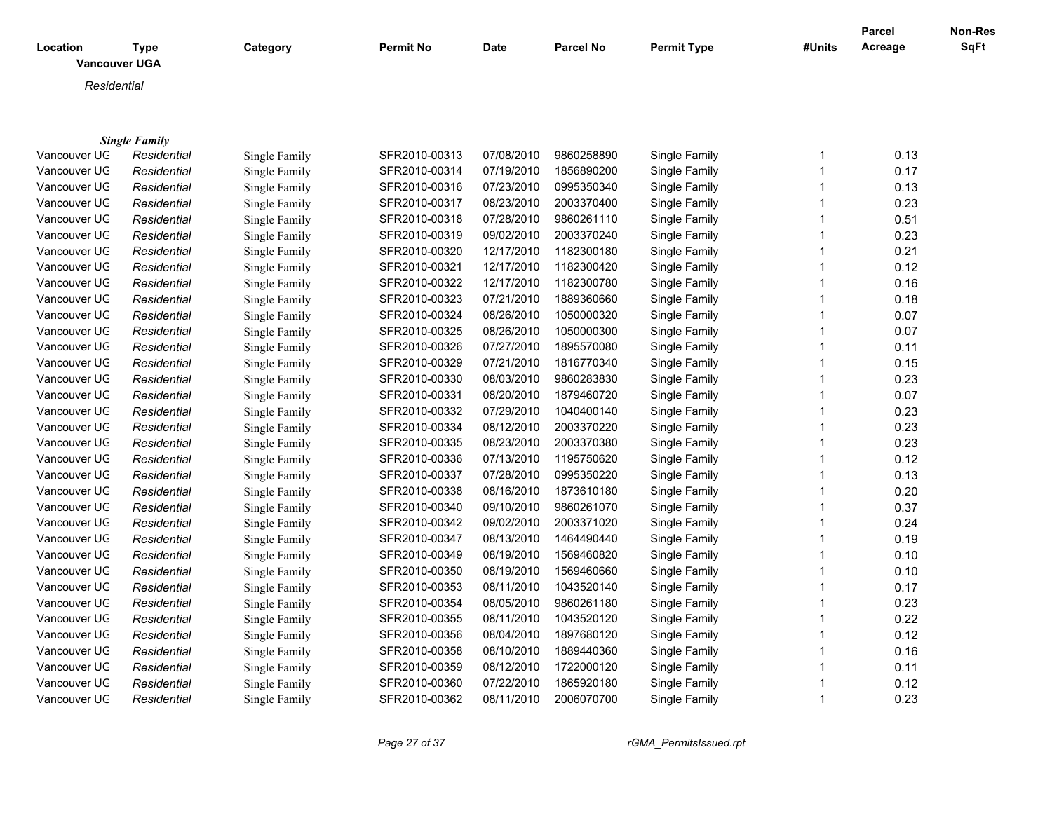| Location | <b>Type</b><br><b>Vancouver UGA</b> | Category | <b>Permit No</b> | <b>Date</b> | <b>Parcel No</b> | <b>Permit Type</b> | #Units | Parcel<br>Acreage | <b>Non-Res</b><br><b>SqFt</b> |
|----------|-------------------------------------|----------|------------------|-------------|------------------|--------------------|--------|-------------------|-------------------------------|
|          | Residential                         |          |                  |             |                  |                    |        |                   |                               |
|          |                                     |          |                  |             |                  |                    |        |                   |                               |

|              | <b>Single Family</b> |               |               |            |            |               |   |      |
|--------------|----------------------|---------------|---------------|------------|------------|---------------|---|------|
| Vancouver UC | Residential          | Single Family | SFR2010-00313 | 07/08/2010 | 9860258890 | Single Family |   | 0.13 |
| Vancouver UC | Residential          | Single Family | SFR2010-00314 | 07/19/2010 | 1856890200 | Single Family |   | 0.17 |
| Vancouver UC | Residential          | Single Family | SFR2010-00316 | 07/23/2010 | 0995350340 | Single Family |   | 0.13 |
| Vancouver UC | Residential          | Single Family | SFR2010-00317 | 08/23/2010 | 2003370400 | Single Family |   | 0.23 |
| Vancouver UC | Residential          | Single Family | SFR2010-00318 | 07/28/2010 | 9860261110 | Single Family |   | 0.51 |
| Vancouver UC | Residential          | Single Family | SFR2010-00319 | 09/02/2010 | 2003370240 | Single Family |   | 0.23 |
| Vancouver UC | Residential          | Single Family | SFR2010-00320 | 12/17/2010 | 1182300180 | Single Family |   | 0.21 |
| Vancouver UC | Residential          | Single Family | SFR2010-00321 | 12/17/2010 | 1182300420 | Single Family |   | 0.12 |
| Vancouver UC | Residential          | Single Family | SFR2010-00322 | 12/17/2010 | 1182300780 | Single Family |   | 0.16 |
| Vancouver UC | Residential          | Single Family | SFR2010-00323 | 07/21/2010 | 1889360660 | Single Family |   | 0.18 |
| Vancouver UC | Residential          | Single Family | SFR2010-00324 | 08/26/2010 | 1050000320 | Single Family |   | 0.07 |
| Vancouver UC | Residential          | Single Family | SFR2010-00325 | 08/26/2010 | 1050000300 | Single Family |   | 0.07 |
| Vancouver UC | Residential          | Single Family | SFR2010-00326 | 07/27/2010 | 1895570080 | Single Family |   | 0.11 |
| Vancouver UC | Residential          | Single Family | SFR2010-00329 | 07/21/2010 | 1816770340 | Single Family |   | 0.15 |
| Vancouver UC | Residential          | Single Family | SFR2010-00330 | 08/03/2010 | 9860283830 | Single Family |   | 0.23 |
| Vancouver UC | Residential          | Single Family | SFR2010-00331 | 08/20/2010 | 1879460720 | Single Family |   | 0.07 |
| Vancouver UC | Residential          | Single Family | SFR2010-00332 | 07/29/2010 | 1040400140 | Single Family |   | 0.23 |
| Vancouver UC | Residential          | Single Family | SFR2010-00334 | 08/12/2010 | 2003370220 | Single Family |   | 0.23 |
| Vancouver UC | Residential          | Single Family | SFR2010-00335 | 08/23/2010 | 2003370380 | Single Family |   | 0.23 |
| Vancouver UC | Residential          | Single Family | SFR2010-00336 | 07/13/2010 | 1195750620 | Single Family |   | 0.12 |
| Vancouver UC | Residential          | Single Family | SFR2010-00337 | 07/28/2010 | 0995350220 | Single Family |   | 0.13 |
| Vancouver UC | Residential          | Single Family | SFR2010-00338 | 08/16/2010 | 1873610180 | Single Family |   | 0.20 |
| Vancouver UC | Residential          | Single Family | SFR2010-00340 | 09/10/2010 | 9860261070 | Single Family |   | 0.37 |
| Vancouver UC | Residential          | Single Family | SFR2010-00342 | 09/02/2010 | 2003371020 | Single Family |   | 0.24 |
| Vancouver UC | Residential          | Single Family | SFR2010-00347 | 08/13/2010 | 1464490440 | Single Family |   | 0.19 |
| Vancouver UC | Residential          | Single Family | SFR2010-00349 | 08/19/2010 | 1569460820 | Single Family |   | 0.10 |
| Vancouver UC | Residential          | Single Family | SFR2010-00350 | 08/19/2010 | 1569460660 | Single Family |   | 0.10 |
| Vancouver UC | Residential          | Single Family | SFR2010-00353 | 08/11/2010 | 1043520140 | Single Family |   | 0.17 |
| Vancouver UC | Residential          | Single Family | SFR2010-00354 | 08/05/2010 | 9860261180 | Single Family |   | 0.23 |
| Vancouver UC | Residential          | Single Family | SFR2010-00355 | 08/11/2010 | 1043520120 | Single Family |   | 0.22 |
| Vancouver UC | Residential          | Single Family | SFR2010-00356 | 08/04/2010 | 1897680120 | Single Family |   | 0.12 |
| Vancouver UC | Residential          | Single Family | SFR2010-00358 | 08/10/2010 | 1889440360 | Single Family |   | 0.16 |
| Vancouver UC | Residential          | Single Family | SFR2010-00359 | 08/12/2010 | 1722000120 | Single Family |   | 0.11 |
| Vancouver UC | Residential          | Single Family | SFR2010-00360 | 07/22/2010 | 1865920180 | Single Family |   | 0.12 |
| Vancouver UC | Residential          | Single Family | SFR2010-00362 | 08/11/2010 | 2006070700 | Single Family | 1 | 0.23 |

*Page 27 of 37 rGMA\_PermitsIssued.rpt*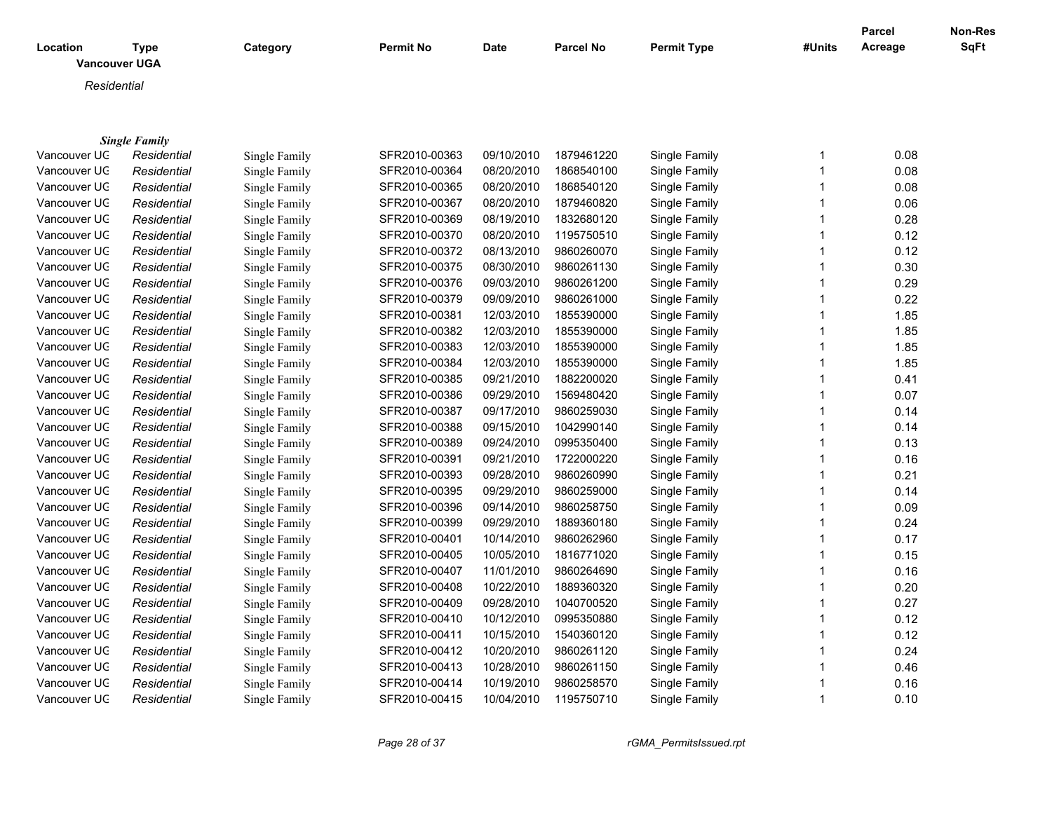| Location     | <b>Type</b><br><b>Vancouver UGA</b> | Category      | <b>Permit No</b> | <b>Date</b> | <b>Parcel No</b> | <b>Permit Type</b> | #Units | Parcel<br>Acreage | Non-Res<br><b>SqFt</b> |
|--------------|-------------------------------------|---------------|------------------|-------------|------------------|--------------------|--------|-------------------|------------------------|
|              | Residential                         |               |                  |             |                  |                    |        |                   |                        |
|              |                                     |               |                  |             |                  |                    |        |                   |                        |
|              |                                     |               |                  |             |                  |                    |        |                   |                        |
|              | <b>Single Family</b>                |               |                  |             |                  |                    |        |                   |                        |
| Vancouver UC | Residential                         | Single Family | SFR2010-00363    | 09/10/2010  | 1879461220       | Single Family      | 1      | 0.08              |                        |
| Vancouver UC | Residential                         | Single Family | SFR2010-00364    | 08/20/2010  | 1868540100       | Single Family      | 1      | 0.08              |                        |
| Vancouver UC | Residential                         | Single Family | SFR2010-00365    | 08/20/2010  | 1868540120       | Single Family      |        | 0.08              |                        |
| Vancouver UC | Residential                         | Single Family | SFR2010-00367    | 08/20/2010  | 1879460820       | Single Family      |        | 0.06              |                        |
| Vancouver UC | Residential                         | Single Family | SFR2010-00369    | 08/19/2010  | 1832680120       | Single Family      |        | 0.28              |                        |
| Vancouver UC | Residential                         | Single Family | SFR2010-00370    | 08/20/2010  | 1195750510       | Single Family      |        | 0.12              |                        |
| Vancouver UC | Residential                         | Single Family | SFR2010-00372    | 08/13/2010  | 9860260070       | Single Family      |        | 0.12              |                        |
| Vancouver UC | Residential                         | Single Family | SFR2010-00375    | 08/30/2010  | 9860261130       | Single Family      |        | 0.30              |                        |
| Vancouver UC | Residential                         | Single Family | SFR2010-00376    | 09/03/2010  | 9860261200       | Single Family      |        | 0.29              |                        |
| Vancouver UC | Residential                         | Single Family | SFR2010-00379    | 09/09/2010  | 9860261000       | Single Family      |        | 0.22              |                        |
| Vancouver UC | Residential                         | Single Family | SFR2010-00381    | 12/03/2010  | 1855390000       | Single Family      |        | 1.85              |                        |
| Vancouver UC | Residential                         | Single Family | SFR2010-00382    | 12/03/2010  | 1855390000       | Single Family      |        | 1.85              |                        |
| Vancouver UC | Residential                         | Single Family | SFR2010-00383    | 12/03/2010  | 1855390000       | Single Family      |        | 1.85              |                        |
| Vancouver UC | Residential                         | Single Family | SFR2010-00384    | 12/03/2010  | 1855390000       | Single Family      | 1      | 1.85              |                        |
| Vancouver UC | Residential                         | Single Family | SFR2010-00385    | 09/21/2010  | 1882200020       | Single Family      | 1      | 0.41              |                        |
| Vancouver UC | Residential                         | Single Family | SFR2010-00386    | 09/29/2010  | 1569480420       | Single Family      |        | 0.07              |                        |
| Vancouver UC | Residential                         | Single Family | SFR2010-00387    | 09/17/2010  | 9860259030       | Single Family      |        | 0.14              |                        |
| Vancouver UC | Residential                         | Single Family | SFR2010-00388    | 09/15/2010  | 1042990140       | Single Family      |        | 0.14              |                        |
| Vancouver UC | Residential                         | Single Family | SFR2010-00389    | 09/24/2010  | 0995350400       | Single Family      |        | 0.13              |                        |
| Vancouver UC | Residential                         | Single Family | SFR2010-00391    | 09/21/2010  | 1722000220       | Single Family      |        | 0.16              |                        |
| Vancouver UC | Residential                         | Single Family | SFR2010-00393    | 09/28/2010  | 9860260990       | Single Family      |        | 0.21              |                        |
| Vancouver UC | Residential                         | Single Family | SFR2010-00395    | 09/29/2010  | 9860259000       | Single Family      |        | 0.14              |                        |
| Vancouver UC | Residential                         | Single Family | SFR2010-00396    | 09/14/2010  | 9860258750       | Single Family      |        | 0.09              |                        |
| Vancouver UC | Residential                         | Single Family | SFR2010-00399    | 09/29/2010  | 1889360180       | Single Family      |        | 0.24              |                        |
| Vancouver UC | Residential                         | Single Family | SFR2010-00401    | 10/14/2010  | 9860262960       | Single Family      |        | 0.17              |                        |
| Vancouver UC | Residential                         | Single Family | SFR2010-00405    | 10/05/2010  | 1816771020       | Single Family      | 1      | 0.15              |                        |

Vancouver UGA *Residential* Single Family SFR2010-00407 11/01/2010 9860264690 Single Family 1 0.16 Vancouver UGA *Residential* Single Family SFR2010-00408 10/22/2010 1889360320 Single Family 1 0.20 Vancouver UGA *Residential* Single Family SFR2010-00409 09/28/2010 1040700520 Single Family 1 0.27 Vancouver UGA *Residential* Single Family SFR2010-00410 10/12/2010 0995350880 Single Family 1 0.12 Vancouver UGA *Residential* Single Family SFR2010-00411 10/15/2010 1540360120 Single Family 1 0.12 Vancouver UGA *Residential* Single Family SFR2010-00412 10/20/2010 9860261120 Single Family 1 0.24 Vancouver UGA *Residential* Single Family SFR2010-00413 10/28/2010 9860261150 Single Family 1 0.46 Vancouver UGA *Residential* Single Family SFR2010-00414 10/19/2010 9860258570 Single Family 1 0.16 Vancouver UGA *Residential* Single Family SFR2010-00415 10/04/2010 1195750710 Single Family 1 0.10

*Page 28 of 37 rGMA\_PermitsIssued.rpt*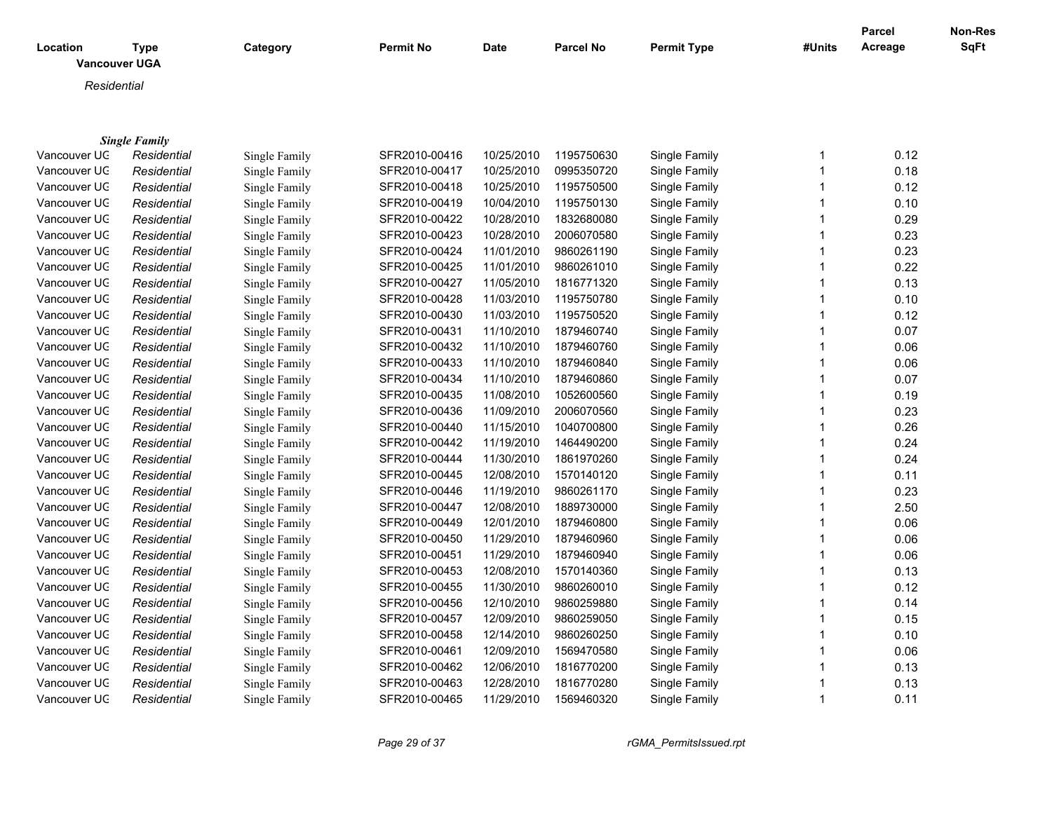| Location     | <b>Type</b>          | Category      | Permit No     | Date       | Parcel No  | <b>Permit Type</b> | #Units       | Parcel<br>Acreage | Non-Res<br>SqFt |
|--------------|----------------------|---------------|---------------|------------|------------|--------------------|--------------|-------------------|-----------------|
|              | <b>Vancouver UGA</b> |               |               |            |            |                    |              |                   |                 |
|              | Residential          |               |               |            |            |                    |              |                   |                 |
|              |                      |               |               |            |            |                    |              |                   |                 |
|              |                      |               |               |            |            |                    |              |                   |                 |
|              | <b>Single Family</b> |               |               |            |            |                    |              |                   |                 |
| Vancouver UC | Residential          | Single Family | SFR2010-00416 | 10/25/2010 | 1195750630 | Single Family      | 1            | 0.12              |                 |
| Vancouver UC | Residential          | Single Family | SFR2010-00417 | 10/25/2010 | 0995350720 | Single Family      | $\mathbf{1}$ | 0.18              |                 |
| Vancouver UC | Residential          | Single Family | SFR2010-00418 | 10/25/2010 | 1195750500 | Single Family      | $\mathbf{1}$ | 0.12              |                 |
| Vancouver UC | Residential          | Single Family | SFR2010-00419 | 10/04/2010 | 1195750130 | Single Family      | $\mathbf{1}$ | 0.10              |                 |
| Vancouver UC | Residential          | Single Family | SFR2010-00422 | 10/28/2010 | 1832680080 | Single Family      | $\mathbf{1}$ | 0.29              |                 |
| Vancouver UC | Residential          | Single Family | SFR2010-00423 | 10/28/2010 | 2006070580 | Single Family      | 1            | 0.23              |                 |
| Vancouver UC | Residential          | Single Family | SFR2010-00424 | 11/01/2010 | 9860261190 | Single Family      | 1            | 0.23              |                 |
| Vancouver UC | Residential          | Single Family | SFR2010-00425 | 11/01/2010 | 9860261010 | Single Family      |              | 0.22              |                 |
| Vancouver UC | Residential          | Single Family | SFR2010-00427 | 11/05/2010 | 1816771320 | Single Family      | 1            | 0.13              |                 |
| Vancouver UC | Residential          | Single Family | SFR2010-00428 | 11/03/2010 | 1195750780 | Single Family      |              | 0.10              |                 |
| Vancouver UC | Residential          | Single Family | SFR2010-00430 | 11/03/2010 | 1195750520 | Single Family      | 1            | 0.12              |                 |
| Vancouver UC | Residential          | Single Family | SFR2010-00431 | 11/10/2010 | 1879460740 | Single Family      |              | 0.07              |                 |
| Vancouver UC | Residential          | Single Family | SFR2010-00432 | 11/10/2010 | 1879460760 | Single Family      | $\mathbf{1}$ | 0.06              |                 |
| Vancouver UC | Residential          | Single Family | SFR2010-00433 | 11/10/2010 | 1879460840 | Single Family      |              | 0.06              |                 |
| Vancouver UC | Residential          | Single Family | SFR2010-00434 | 11/10/2010 | 1879460860 | Single Family      | 1            | 0.07              |                 |
| Vancouver UC | Residential          | Single Family | SFR2010-00435 | 11/08/2010 | 1052600560 | Single Family      |              | 0.19              |                 |
| Vancouver UC | Residential          | Single Family | SFR2010-00436 | 11/09/2010 | 2006070560 | Single Family      | $\mathbf{1}$ | 0.23              |                 |
| Vancouver UC | Residential          | Single Family | SFR2010-00440 | 11/15/2010 | 1040700800 | Single Family      |              | 0.26              |                 |
| Vancouver UC | Residential          | Single Family | SFR2010-00442 | 11/19/2010 | 1464490200 | Single Family      | 1            | 0.24              |                 |
| Vancouver UC | Residential          | Single Family | SFR2010-00444 | 11/30/2010 | 1861970260 | Single Family      |              | 0.24              |                 |
| Vancouver UC | Residential          | Single Family | SFR2010-00445 | 12/08/2010 | 1570140120 | Single Family      | $\mathbf{1}$ | 0.11              |                 |
| Vancouver UC | Residential          | Single Family | SFR2010-00446 | 11/19/2010 | 9860261170 | Single Family      | $\mathbf{1}$ | 0.23              |                 |
| Vancouver UC | Residential          | Single Family | SFR2010-00447 | 12/08/2010 | 1889730000 | Single Family      | $\mathbf{1}$ | 2.50              |                 |
| Vancouver UC | Residential          | Single Family | SFR2010-00449 | 12/01/2010 | 1879460800 | Single Family      | 1            | 0.06              |                 |
| Vancouver UC | Residential          | Single Family | SFR2010-00450 | 11/29/2010 | 1879460960 | Single Family      | $\mathbf{1}$ | 0.06              |                 |
| Vancouver UC | Residential          | Single Family | SFR2010-00451 | 11/29/2010 | 1879460940 | Single Family      | $\mathbf{1}$ | 0.06              |                 |
| Vancouver UC | Residential          | Single Family | SFR2010-00453 | 12/08/2010 | 1570140360 | Single Family      | $\mathbf{1}$ | 0.13              |                 |
| Vancouver UC | Residential          | Single Family | SFR2010-00455 | 11/30/2010 | 9860260010 | Single Family      | 1            | 0.12              |                 |
| Vancouver UC | Residential          | Single Family | SFR2010-00456 | 12/10/2010 | 9860259880 | Single Family      | $\mathbf{1}$ | 0.14              |                 |
| Vancouver UC | Residential          | Single Family | SFR2010-00457 | 12/09/2010 | 9860259050 | Single Family      | 1            | 0.15              |                 |
| Vancouver UC | Residential          | Single Family | SFR2010-00458 | 12/14/2010 | 9860260250 | Single Family      |              | 0.10              |                 |
| Vancouver UC | Residential          | Single Family | SFR2010-00461 | 12/09/2010 | 1569470580 | Single Family      | 1            | 0.06              |                 |
| Vancouver UC | Residential          | Single Family | SFR2010-00462 | 12/06/2010 | 1816770200 | Single Family      |              | 0.13              |                 |
| Vancouver UC | Residential          | Single Family | SFR2010-00463 | 12/28/2010 | 1816770280 | Single Family      |              | 0.13              |                 |
| Vancouver UC | Residential          | Single Family | SFR2010-00465 | 11/29/2010 | 1569460320 | Single Family      | $\mathbf{1}$ | 0.11              |                 |
|              |                      |               |               |            |            |                    |              |                   |                 |

*Page 29 of 37 rGMA\_PermitsIssued.rpt*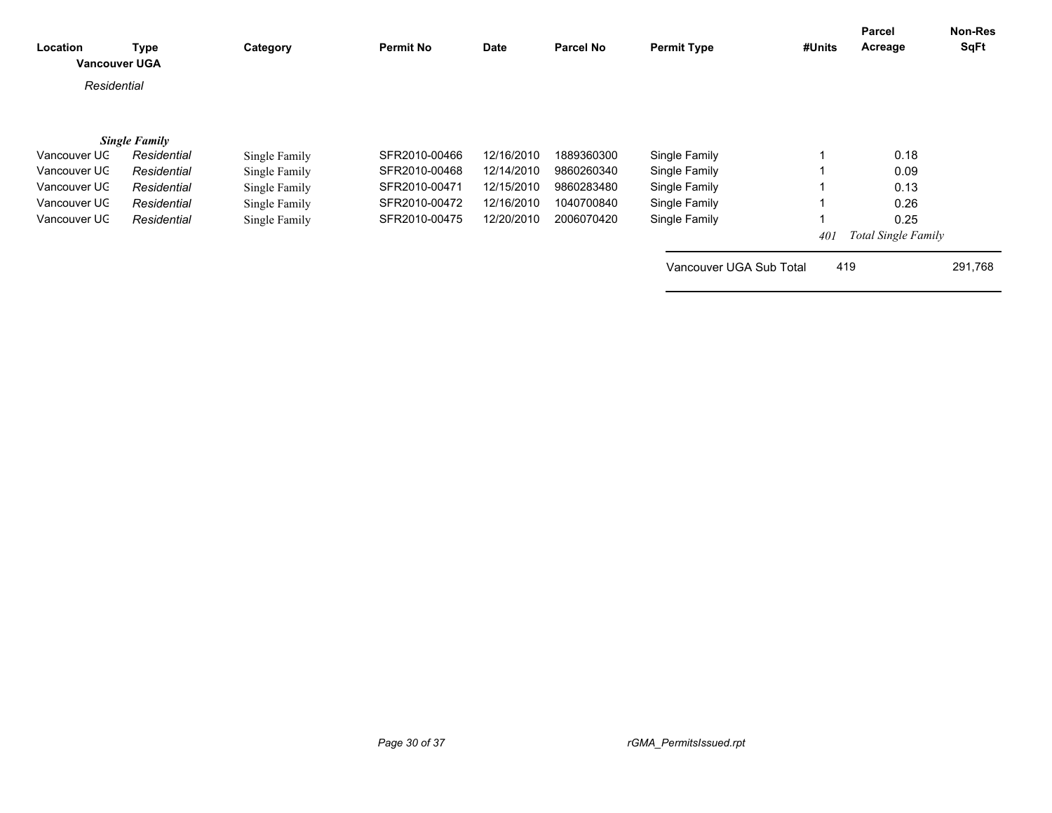| <b>Location</b> | <b>Type</b><br><b>Vancouver UGA</b> | Category      | <b>Permit No</b> | <b>Date</b> | <b>Parcel No</b> | <b>Permit Type</b>      | #Units | Parcel<br>Acreage          | <b>Non-Res</b><br><b>SqFt</b> |
|-----------------|-------------------------------------|---------------|------------------|-------------|------------------|-------------------------|--------|----------------------------|-------------------------------|
| Residential     |                                     |               |                  |             |                  |                         |        |                            |                               |
|                 | <b>Single Family</b>                |               |                  |             |                  |                         |        |                            |                               |
| Vancouver UC    | Residential                         | Single Family | SFR2010-00466    | 12/16/2010  | 1889360300       | Single Family           |        | 0.18                       |                               |
| Vancouver UC    | Residential                         | Single Family | SFR2010-00468    | 12/14/2010  | 9860260340       | Single Family           |        | 0.09                       |                               |
| Vancouver UC    | Residential                         | Single Family | SFR2010-00471    | 12/15/2010  | 9860283480       | Single Family           |        | 0.13                       |                               |
| Vancouver UC    | Residential                         | Single Family | SFR2010-00472    | 12/16/2010  | 1040700840       | Single Family           |        | 0.26                       |                               |
| Vancouver UC    | Residential                         | Single Family | SFR2010-00475    | 12/20/2010  | 2006070420       | Single Family           |        | 0.25                       |                               |
|                 |                                     |               |                  |             |                  |                         | 401    | <b>Total Single Family</b> |                               |
|                 |                                     |               |                  |             |                  | Vancouver UGA Sub Total | 419    |                            | 291,768                       |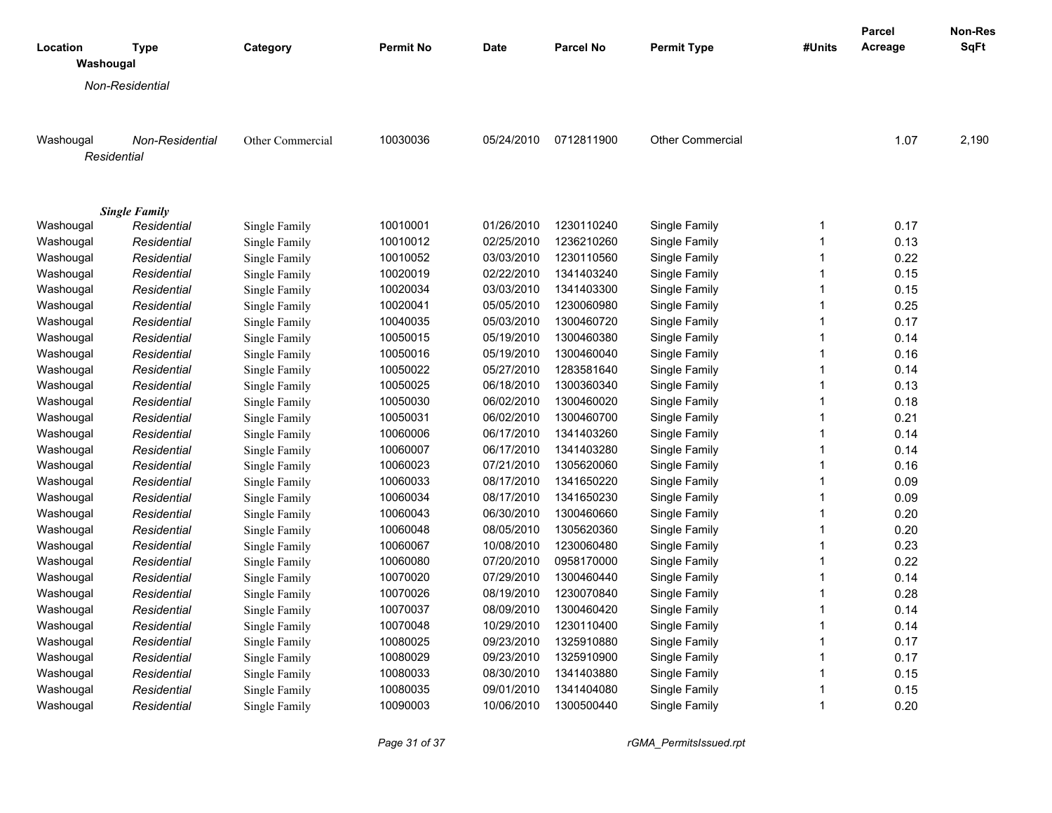|                       |                      |                  |                  |            |                  |                         |              | <b>Parcel</b> | Non-Res     |
|-----------------------|----------------------|------------------|------------------|------------|------------------|-------------------------|--------------|---------------|-------------|
| Location<br>Washougal | <b>Type</b>          | Category         | <b>Permit No</b> | Date       | <b>Parcel No</b> | <b>Permit Type</b>      | #Units       | Acreage       | <b>SqFt</b> |
|                       | Non-Residential      |                  |                  |            |                  |                         |              |               |             |
|                       |                      |                  |                  |            |                  |                         |              |               |             |
| Washougal             | Non-Residential      | Other Commercial | 10030036         | 05/24/2010 | 0712811900       | <b>Other Commercial</b> |              | 1.07          | 2,190       |
| Residential           |                      |                  |                  |            |                  |                         |              |               |             |
|                       |                      |                  |                  |            |                  |                         |              |               |             |
|                       | <b>Single Family</b> |                  |                  |            |                  |                         |              |               |             |
| Washougal             | Residential          | Single Family    | 10010001         | 01/26/2010 | 1230110240       | Single Family           | 1            | 0.17          |             |
| Washougal             | Residential          | Single Family    | 10010012         | 02/25/2010 | 1236210260       | Single Family           | $\mathbf{1}$ | 0.13          |             |
| Washougal             | Residential          | Single Family    | 10010052         | 03/03/2010 | 1230110560       | Single Family           | $\mathbf{1}$ | 0.22          |             |
| Washougal             | Residential          | Single Family    | 10020019         | 02/22/2010 | 1341403240       | Single Family           | $\mathbf{1}$ | 0.15          |             |
| Washougal             | Residential          | Single Family    | 10020034         | 03/03/2010 | 1341403300       | Single Family           | $\mathbf{1}$ | 0.15          |             |
| Washougal             | Residential          | Single Family    | 10020041         | 05/05/2010 | 1230060980       | Single Family           | $\mathbf{1}$ | 0.25          |             |
| Washougal             | Residential          | Single Family    | 10040035         | 05/03/2010 | 1300460720       | Single Family           | $\mathbf{1}$ | 0.17          |             |
| Washougal             | Residential          | Single Family    | 10050015         | 05/19/2010 | 1300460380       | Single Family           | 1            | 0.14          |             |
| Washougal             | Residential          | Single Family    | 10050016         | 05/19/2010 | 1300460040       | Single Family           | $\mathbf{1}$ | 0.16          |             |
| Washougal             | Residential          | Single Family    | 10050022         | 05/27/2010 | 1283581640       | Single Family           | 1            | 0.14          |             |
| Washougal             | Residential          | Single Family    | 10050025         | 06/18/2010 | 1300360340       | Single Family           | $\mathbf{1}$ | 0.13          |             |
| Washougal             | Residential          | Single Family    | 10050030         | 06/02/2010 | 1300460020       | Single Family           | $\mathbf{1}$ | 0.18          |             |
| Washougal             | Residential          | Single Family    | 10050031         | 06/02/2010 | 1300460700       | Single Family           | $\mathbf{1}$ | 0.21          |             |
| Washougal             | Residential          | Single Family    | 10060006         | 06/17/2010 | 1341403260       | Single Family           | $\mathbf{1}$ | 0.14          |             |
| Washougal             | Residential          | Single Family    | 10060007         | 06/17/2010 | 1341403280       | Single Family           | $\mathbf{1}$ | 0.14          |             |
| Washougal             | Residential          | Single Family    | 10060023         | 07/21/2010 | 1305620060       | Single Family           | $\mathbf{1}$ | 0.16          |             |
| Washougal             | Residential          | Single Family    | 10060033         | 08/17/2010 | 1341650220       | Single Family           | $\mathbf{1}$ | 0.09          |             |
| Washougal             | Residential          | Single Family    | 10060034         | 08/17/2010 | 1341650230       | Single Family           | $\mathbf{1}$ | 0.09          |             |
| Washougal             | Residential          | Single Family    | 10060043         | 06/30/2010 | 1300460660       | Single Family           | $\mathbf{1}$ | 0.20          |             |
| Washougal             | Residential          | Single Family    | 10060048         | 08/05/2010 | 1305620360       | Single Family           | $\mathbf{1}$ | 0.20          |             |
| Washougal             | Residential          | Single Family    | 10060067         | 10/08/2010 | 1230060480       | Single Family           | 1            | 0.23          |             |
| Washougal             | Residential          | Single Family    | 10060080         | 07/20/2010 | 0958170000       | Single Family           | $\mathbf{1}$ | 0.22          |             |
| Washougal             | Residential          | Single Family    | 10070020         | 07/29/2010 | 1300460440       | Single Family           | $\mathbf{1}$ | 0.14          |             |
| Washougal             | Residential          | Single Family    | 10070026         | 08/19/2010 | 1230070840       | Single Family           | 1            | 0.28          |             |
| Washougal             | Residential          | Single Family    | 10070037         | 08/09/2010 | 1300460420       | Single Family           | $\mathbf{1}$ | 0.14          |             |
| Washougal             | Residential          | Single Family    | 10070048         | 10/29/2010 | 1230110400       | Single Family           | $\mathbf{1}$ | 0.14          |             |
| Washougal             | Residential          | Single Family    | 10080025         | 09/23/2010 | 1325910880       | Single Family           | $\mathbf{1}$ | 0.17          |             |
| Washougal             | Residential          | Single Family    | 10080029         | 09/23/2010 | 1325910900       | Single Family           | $\mathbf{1}$ | 0.17          |             |
| Washougal             | Residential          | Single Family    | 10080033         | 08/30/2010 | 1341403880       | Single Family           | $\mathbf{1}$ | 0.15          |             |
| Washougal             | Residential          | Single Family    | 10080035         | 09/01/2010 | 1341404080       | Single Family           | 1            | 0.15          |             |
| Washougal             | Residential          | Single Family    | 10090003         | 10/06/2010 | 1300500440       | Single Family           | $\mathbf{1}$ | 0.20          |             |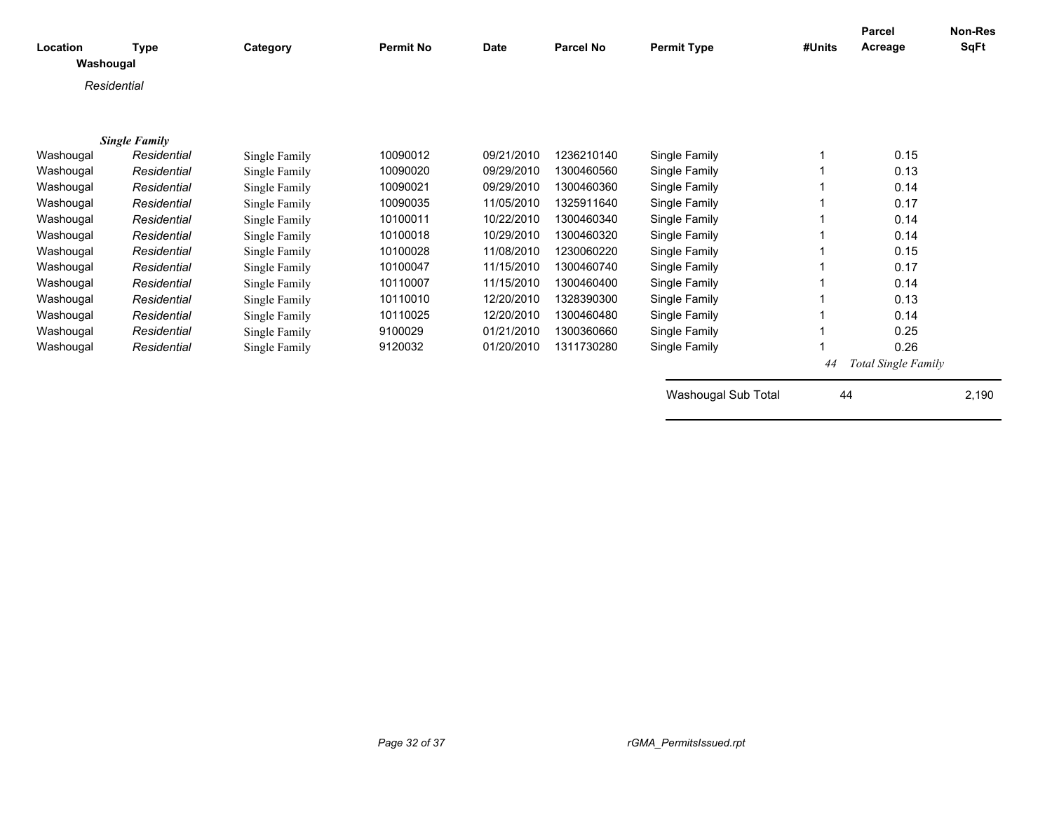| Location<br>Washougal | Type                 | Category      | <b>Permit No</b> | <b>Date</b> | <b>Parcel No</b> | <b>Permit Type</b>  | #Units | Parcel<br>Acreage   | <b>Non-Res</b><br><b>SqFt</b> |
|-----------------------|----------------------|---------------|------------------|-------------|------------------|---------------------|--------|---------------------|-------------------------------|
|                       |                      |               |                  |             |                  |                     |        |                     |                               |
|                       | Residential          |               |                  |             |                  |                     |        |                     |                               |
|                       |                      |               |                  |             |                  |                     |        |                     |                               |
|                       | <b>Single Family</b> |               |                  |             |                  |                     |        |                     |                               |
| Washougal             | Residential          | Single Family | 10090012         | 09/21/2010  | 1236210140       | Single Family       |        | 0.15                |                               |
| Washougal             | Residential          | Single Family | 10090020         | 09/29/2010  | 1300460560       | Single Family       |        | 0.13                |                               |
| Washougal             | Residential          | Single Family | 10090021         | 09/29/2010  | 1300460360       | Single Family       |        | 0.14                |                               |
| Washougal             | Residential          | Single Family | 10090035         | 11/05/2010  | 1325911640       | Single Family       |        | 0.17                |                               |
| Washougal             | Residential          | Single Family | 10100011         | 10/22/2010  | 1300460340       | Single Family       |        | 0.14                |                               |
| Washougal             | Residential          | Single Family | 10100018         | 10/29/2010  | 1300460320       | Single Family       |        | 0.14                |                               |
| Washougal             | Residential          | Single Family | 10100028         | 11/08/2010  | 1230060220       | Single Family       |        | 0.15                |                               |
| Washougal             | Residential          | Single Family | 10100047         | 11/15/2010  | 1300460740       | Single Family       |        | 0.17                |                               |
| Washougal             | Residential          | Single Family | 10110007         | 11/15/2010  | 1300460400       | Single Family       |        | 0.14                |                               |
| Washougal             | Residential          | Single Family | 10110010         | 12/20/2010  | 1328390300       | Single Family       |        | 0.13                |                               |
| Washougal             | Residential          | Single Family | 10110025         | 12/20/2010  | 1300460480       | Single Family       |        | 0.14                |                               |
| Washougal             | Residential          | Single Family | 9100029          | 01/21/2010  | 1300360660       | Single Family       |        | 0.25                |                               |
| Washougal             | Residential          | Single Family | 9120032          | 01/20/2010  | 1311730280       | Single Family       |        | 0.26                |                               |
|                       |                      |               |                  |             |                  |                     | 44     | Total Single Family |                               |
|                       |                      |               |                  |             |                  | Washougal Sub Total | 44     |                     | 2,190                         |
|                       |                      |               |                  |             |                  |                     |        |                     |                               |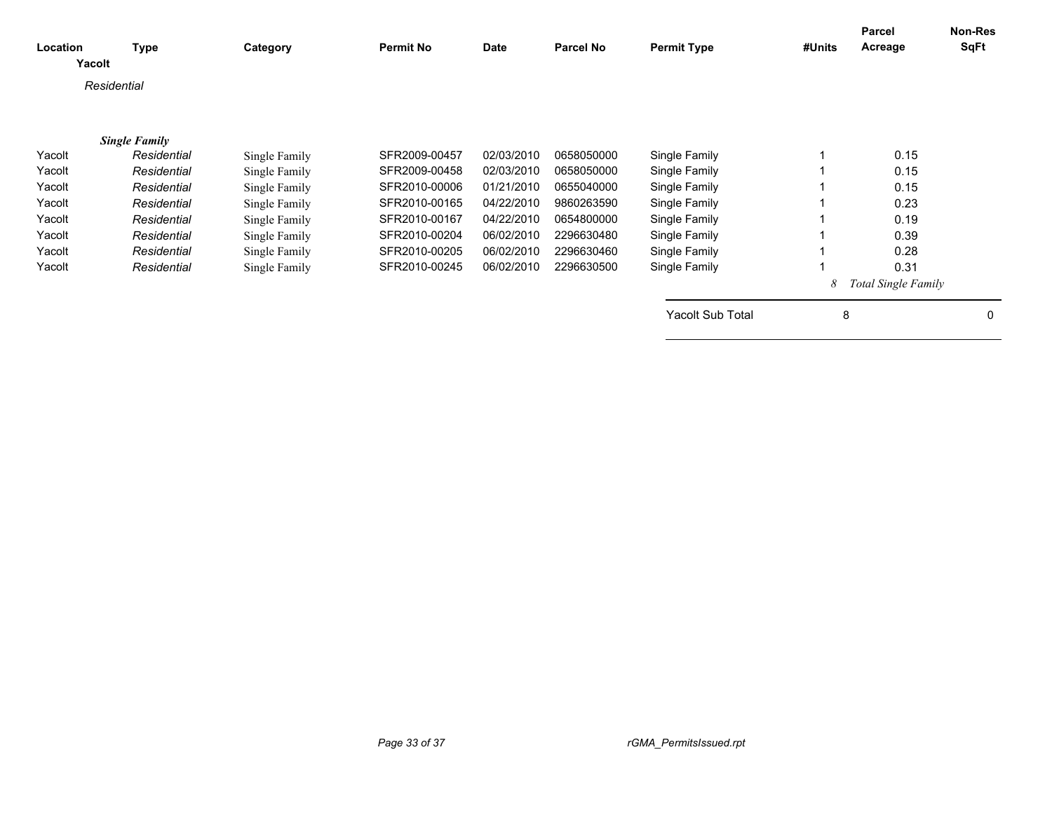| Location | <b>Type</b><br>Yacolt | Category      | <b>Permit No</b> | <b>Date</b> | Parcel No  | <b>Permit Type</b>      | #Units | Parcel<br>Acreage          | Non-Res<br>SqFt |
|----------|-----------------------|---------------|------------------|-------------|------------|-------------------------|--------|----------------------------|-----------------|
|          | Residential           |               |                  |             |            |                         |        |                            |                 |
|          | <b>Single Family</b>  |               |                  |             |            |                         |        |                            |                 |
| Yacolt   | Residential           | Single Family | SFR2009-00457    | 02/03/2010  | 0658050000 | Single Family           |        | 0.15                       |                 |
| Yacolt   | Residential           | Single Family | SFR2009-00458    | 02/03/2010  | 0658050000 | Single Family           |        | 0.15                       |                 |
| Yacolt   | Residential           | Single Family | SFR2010-00006    | 01/21/2010  | 0655040000 | Single Family           |        | 0.15                       |                 |
| Yacolt   | Residential           | Single Family | SFR2010-00165    | 04/22/2010  | 9860263590 | Single Family           |        | 0.23                       |                 |
| Yacolt   | Residential           | Single Family | SFR2010-00167    | 04/22/2010  | 0654800000 | Single Family           |        | 0.19                       |                 |
| Yacolt   | Residential           | Single Family | SFR2010-00204    | 06/02/2010  | 2296630480 | Single Family           |        | 0.39                       |                 |
| Yacolt   | Residential           | Single Family | SFR2010-00205    | 06/02/2010  | 2296630460 | Single Family           |        | 0.28                       |                 |
| Yacolt   | Residential           | Single Family | SFR2010-00245    | 06/02/2010  | 2296630500 | Single Family           |        | 0.31                       |                 |
|          |                       |               |                  |             |            |                         | 8      | <b>Total Single Family</b> |                 |
|          |                       |               |                  |             |            | <b>Yacolt Sub Total</b> | 8      |                            | 0               |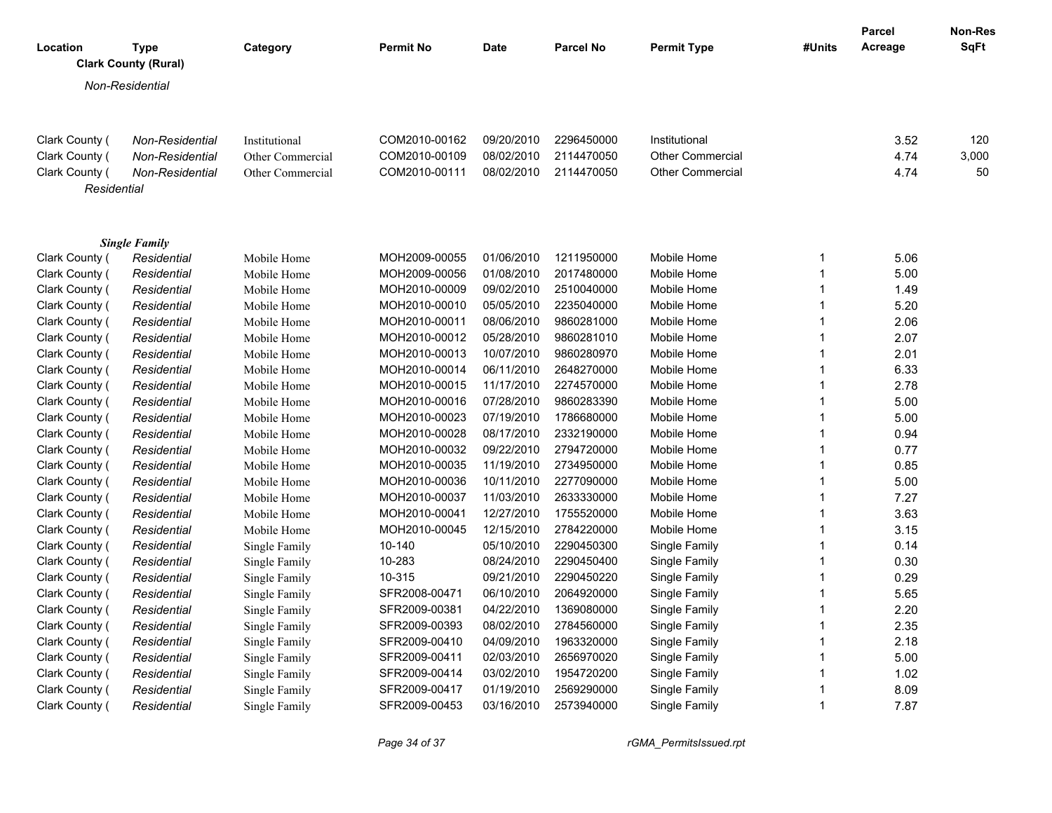| Location                         | <b>Type</b><br><b>Clark County (Rural)</b> | Category         | <b>Permit No</b> | <b>Date</b> | <b>Parcel No</b> | <b>Permit Type</b>      | #Units | <b>Parcel</b><br>Acreage | <b>Non-Res</b><br>SqFt |
|----------------------------------|--------------------------------------------|------------------|------------------|-------------|------------------|-------------------------|--------|--------------------------|------------------------|
|                                  | Non-Residential                            |                  |                  |             |                  |                         |        |                          |                        |
|                                  |                                            |                  |                  |             |                  |                         |        |                          |                        |
|                                  | Non-Residential                            | Institutional    | COM2010-00162    | 09/20/2010  | 2296450000       | Institutional           |        | 3.52                     | 120                    |
| Clark County (<br>Clark County ( | Non-Residential                            | Other Commercial | COM2010-00109    | 08/02/2010  | 2114470050       | <b>Other Commercial</b> |        | 4.74                     | 3,000                  |
| Clark County (                   | Non-Residential                            | Other Commercial | COM2010-00111    | 08/02/2010  | 2114470050       | <b>Other Commercial</b> |        | 4.74                     | 50                     |
|                                  | Residential                                |                  |                  |             |                  |                         |        |                          |                        |
|                                  |                                            |                  |                  |             |                  |                         |        |                          |                        |
| Clark County (                   | <b>Single Family</b><br>Residential        | Mobile Home      | MOH2009-00055    | 01/06/2010  | 1211950000       | Mobile Home             | 1      | 5.06                     |                        |
| Clark County (                   | Residential                                | Mobile Home      | MOH2009-00056    | 01/08/2010  | 2017480000       | Mobile Home             | 1      | 5.00                     |                        |
| Clark County (                   | Residential                                | Mobile Home      | MOH2010-00009    | 09/02/2010  | 2510040000       | Mobile Home             | 1      | 1.49                     |                        |
| Clark County (                   | Residential                                | Mobile Home      | MOH2010-00010    | 05/05/2010  | 2235040000       | Mobile Home             | 1      | 5.20                     |                        |
| Clark County (                   | Residential                                | Mobile Home      | MOH2010-00011    | 08/06/2010  | 9860281000       | Mobile Home             | 1      | 2.06                     |                        |
| Clark County (                   | Residential                                | Mobile Home      | MOH2010-00012    | 05/28/2010  | 9860281010       | Mobile Home             | 1      | 2.07                     |                        |
| Clark County (                   | Residential                                | Mobile Home      | MOH2010-00013    | 10/07/2010  | 9860280970       | Mobile Home             | 1      | 2.01                     |                        |
| Clark County (                   | Residential                                | Mobile Home      | MOH2010-00014    | 06/11/2010  | 2648270000       | Mobile Home             | 1      | 6.33                     |                        |
| Clark County (                   | Residential                                | Mobile Home      | MOH2010-00015    | 11/17/2010  | 2274570000       | Mobile Home             | 1      | 2.78                     |                        |
| Clark County (                   | Residential                                | Mobile Home      | MOH2010-00016    | 07/28/2010  | 9860283390       | Mobile Home             | 1      | 5.00                     |                        |
| Clark County (                   | Residential                                | Mobile Home      | MOH2010-00023    | 07/19/2010  | 1786680000       | Mobile Home             | 1      | 5.00                     |                        |
| Clark County (                   | Residential                                | Mobile Home      | MOH2010-00028    | 08/17/2010  | 2332190000       | Mobile Home             | 1      | 0.94                     |                        |
| Clark County (                   | Residential                                | Mobile Home      | MOH2010-00032    | 09/22/2010  | 2794720000       | Mobile Home             | 1      | 0.77                     |                        |
| Clark County (                   | Residential                                | Mobile Home      | MOH2010-00035    | 11/19/2010  | 2734950000       | Mobile Home             | 1      | 0.85                     |                        |
| Clark County (                   | Residential                                | Mobile Home      | MOH2010-00036    | 10/11/2010  | 2277090000       | Mobile Home             | 1      | 5.00                     |                        |
| Clark County (                   | Residential                                | Mobile Home      | MOH2010-00037    | 11/03/2010  | 2633330000       | Mobile Home             | 1      | 7.27                     |                        |
| Clark County (                   | Residential                                | Mobile Home      | MOH2010-00041    | 12/27/2010  | 1755520000       | Mobile Home             | 1      | 3.63                     |                        |
| Clark County (                   | Residential                                | Mobile Home      | MOH2010-00045    | 12/15/2010  | 2784220000       | Mobile Home             | 1      | 3.15                     |                        |
| Clark County (                   | Residential                                | Single Family    | 10-140           | 05/10/2010  | 2290450300       | Single Family           | 1      | 0.14                     |                        |
| Clark County (                   | Residential                                | Single Family    | 10-283           | 08/24/2010  | 2290450400       | Single Family           | 1      | 0.30                     |                        |
| Clark County (                   | Residential                                | Single Family    | 10-315           | 09/21/2010  | 2290450220       | Single Family           | 1      | 0.29                     |                        |
| Clark County (                   | Residential                                | Single Family    | SFR2008-00471    | 06/10/2010  | 2064920000       | Single Family           | 1      | 5.65                     |                        |
| Clark County (                   | Residential                                | Single Family    | SFR2009-00381    | 04/22/2010  | 1369080000       | Single Family           | 1      | 2.20                     |                        |
| Clark County (                   | Residential                                | Single Family    | SFR2009-00393    | 08/02/2010  | 2784560000       | Single Family           | 1      | 2.35                     |                        |
| Clark County (                   | Residential                                | Single Family    | SFR2009-00410    | 04/09/2010  | 1963320000       | Single Family           | 1      | 2.18                     |                        |
| Clark County (                   | Residential                                | Single Family    | SFR2009-00411    | 02/03/2010  | 2656970020       | Single Family           | 1      | 5.00                     |                        |
| Clark County (                   | Residential                                | Single Family    | SFR2009-00414    | 03/02/2010  | 1954720200       | Single Family           | 1      | 1.02                     |                        |
| Clark County (                   | Residential                                | Single Family    | SFR2009-00417    | 01/19/2010  | 2569290000       | Single Family           | 1      | 8.09                     |                        |
| Clark County (                   | Residential                                | Single Family    | SFR2009-00453    | 03/16/2010  | 2573940000       | Single Family           | 1      | 7.87                     |                        |

*Page 34 of 37 rGMA\_PermitsIssued.rpt*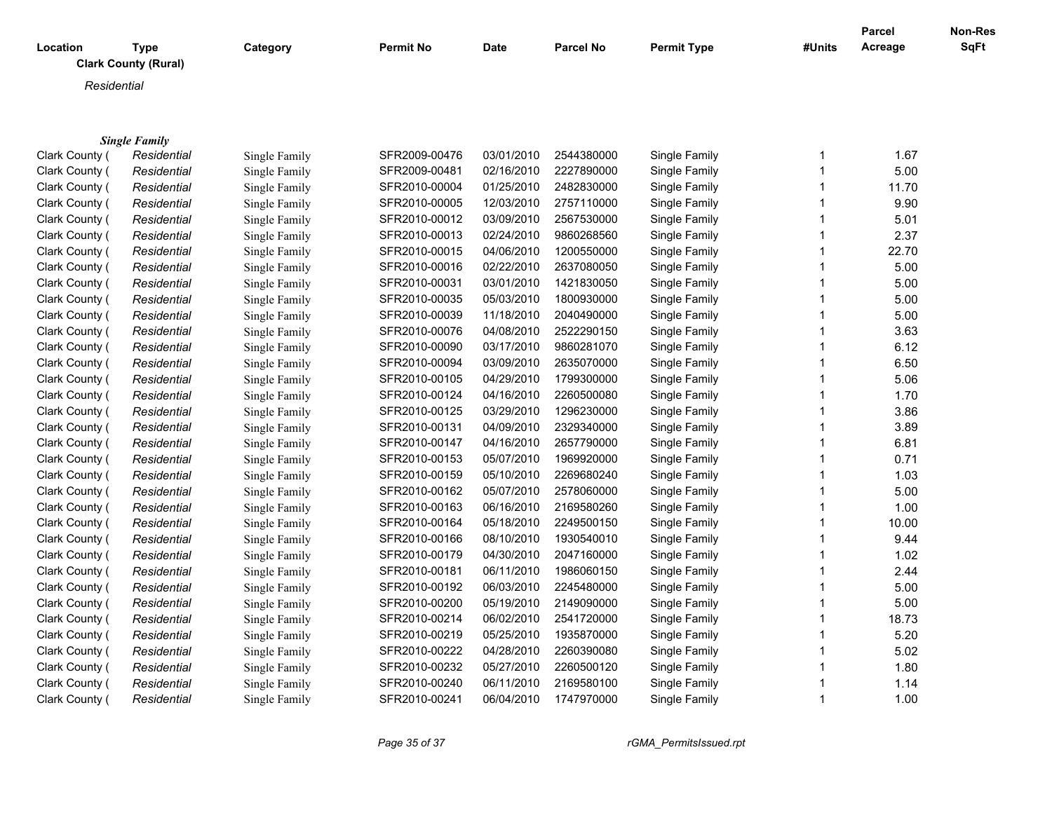| Location | Type                        | Category | <b>Permit No</b> | <b>Date</b> | <b>Parcel No</b> | <b>Permit Type</b> | #Units | <b>Parcel</b><br>Acreage | Non-Res<br><b>SqFt</b> |
|----------|-----------------------------|----------|------------------|-------------|------------------|--------------------|--------|--------------------------|------------------------|
|          | <b>Clark County (Rural)</b> |          |                  |             |                  |                    |        |                          |                        |
|          | Residential                 |          |                  |             |                  |                    |        |                          |                        |
|          |                             |          |                  |             |                  |                    |        |                          |                        |

|                | <b>Single Family</b> |               |               |            |            |               |   |       |
|----------------|----------------------|---------------|---------------|------------|------------|---------------|---|-------|
| Clark County ( | Residential          | Single Family | SFR2009-00476 | 03/01/2010 | 2544380000 | Single Family |   | 1.67  |
| Clark County ( | Residential          | Single Family | SFR2009-00481 | 02/16/2010 | 2227890000 | Single Family |   | 5.00  |
| Clark County ( | Residential          | Single Family | SFR2010-00004 | 01/25/2010 | 2482830000 | Single Family |   | 11.70 |
| Clark County ( | Residential          | Single Family | SFR2010-00005 | 12/03/2010 | 2757110000 | Single Family |   | 9.90  |
| Clark County ( | Residential          | Single Family | SFR2010-00012 | 03/09/2010 | 2567530000 | Single Family |   | 5.01  |
| Clark County ( | Residential          | Single Family | SFR2010-00013 | 02/24/2010 | 9860268560 | Single Family |   | 2.37  |
| Clark County ( | Residential          | Single Family | SFR2010-00015 | 04/06/2010 | 1200550000 | Single Family |   | 22.70 |
| Clark County ( | Residential          | Single Family | SFR2010-00016 | 02/22/2010 | 2637080050 | Single Family |   | 5.00  |
| Clark County ( | Residential          | Single Family | SFR2010-00031 | 03/01/2010 | 1421830050 | Single Family |   | 5.00  |
| Clark County ( | Residential          | Single Family | SFR2010-00035 | 05/03/2010 | 1800930000 | Single Family |   | 5.00  |
| Clark County ( | Residential          | Single Family | SFR2010-00039 | 11/18/2010 | 2040490000 | Single Family |   | 5.00  |
| Clark County ( | Residential          | Single Family | SFR2010-00076 | 04/08/2010 | 2522290150 | Single Family |   | 3.63  |
| Clark County ( | Residential          | Single Family | SFR2010-00090 | 03/17/2010 | 9860281070 | Single Family |   | 6.12  |
| Clark County ( | Residential          | Single Family | SFR2010-00094 | 03/09/2010 | 2635070000 | Single Family |   | 6.50  |
| Clark County ( | Residential          | Single Family | SFR2010-00105 | 04/29/2010 | 1799300000 | Single Family |   | 5.06  |
| Clark County ( | Residential          | Single Family | SFR2010-00124 | 04/16/2010 | 2260500080 | Single Family |   | 1.70  |
| Clark County ( | Residential          | Single Family | SFR2010-00125 | 03/29/2010 | 1296230000 | Single Family |   | 3.86  |
| Clark County ( | Residential          | Single Family | SFR2010-00131 | 04/09/2010 | 2329340000 | Single Family |   | 3.89  |
| Clark County ( | Residential          | Single Family | SFR2010-00147 | 04/16/2010 | 2657790000 | Single Family |   | 6.81  |
| Clark County ( | Residential          | Single Family | SFR2010-00153 | 05/07/2010 | 1969920000 | Single Family |   | 0.71  |
| Clark County ( | Residential          | Single Family | SFR2010-00159 | 05/10/2010 | 2269680240 | Single Family |   | 1.03  |
| Clark County ( | Residential          | Single Family | SFR2010-00162 | 05/07/2010 | 2578060000 | Single Family |   | 5.00  |
| Clark County ( | Residential          | Single Family | SFR2010-00163 | 06/16/2010 | 2169580260 | Single Family |   | 1.00  |
| Clark County ( | Residential          | Single Family | SFR2010-00164 | 05/18/2010 | 2249500150 | Single Family |   | 10.00 |
| Clark County ( | Residential          | Single Family | SFR2010-00166 | 08/10/2010 | 1930540010 | Single Family |   | 9.44  |
| Clark County ( | Residential          | Single Family | SFR2010-00179 | 04/30/2010 | 2047160000 | Single Family |   | 1.02  |
| Clark County ( | Residential          | Single Family | SFR2010-00181 | 06/11/2010 | 1986060150 | Single Family |   | 2.44  |
| Clark County ( | Residential          | Single Family | SFR2010-00192 | 06/03/2010 | 2245480000 | Single Family |   | 5.00  |
| Clark County ( | Residential          | Single Family | SFR2010-00200 | 05/19/2010 | 2149090000 | Single Family |   | 5.00  |
| Clark County ( | Residential          | Single Family | SFR2010-00214 | 06/02/2010 | 2541720000 | Single Family |   | 18.73 |
| Clark County ( | Residential          | Single Family | SFR2010-00219 | 05/25/2010 | 1935870000 | Single Family |   | 5.20  |
| Clark County ( | Residential          | Single Family | SFR2010-00222 | 04/28/2010 | 2260390080 | Single Family |   | 5.02  |
| Clark County ( | Residential          | Single Family | SFR2010-00232 | 05/27/2010 | 2260500120 | Single Family |   | 1.80  |
| Clark County ( | Residential          | Single Family | SFR2010-00240 | 06/11/2010 | 2169580100 | Single Family |   | 1.14  |
| Clark County ( | Residential          | Single Family | SFR2010-00241 | 06/04/2010 | 1747970000 | Single Family | 1 | 1.00  |
|                |                      |               |               |            |            |               |   |       |

*Page 35 of 37 rGMA\_PermitsIssued.rpt*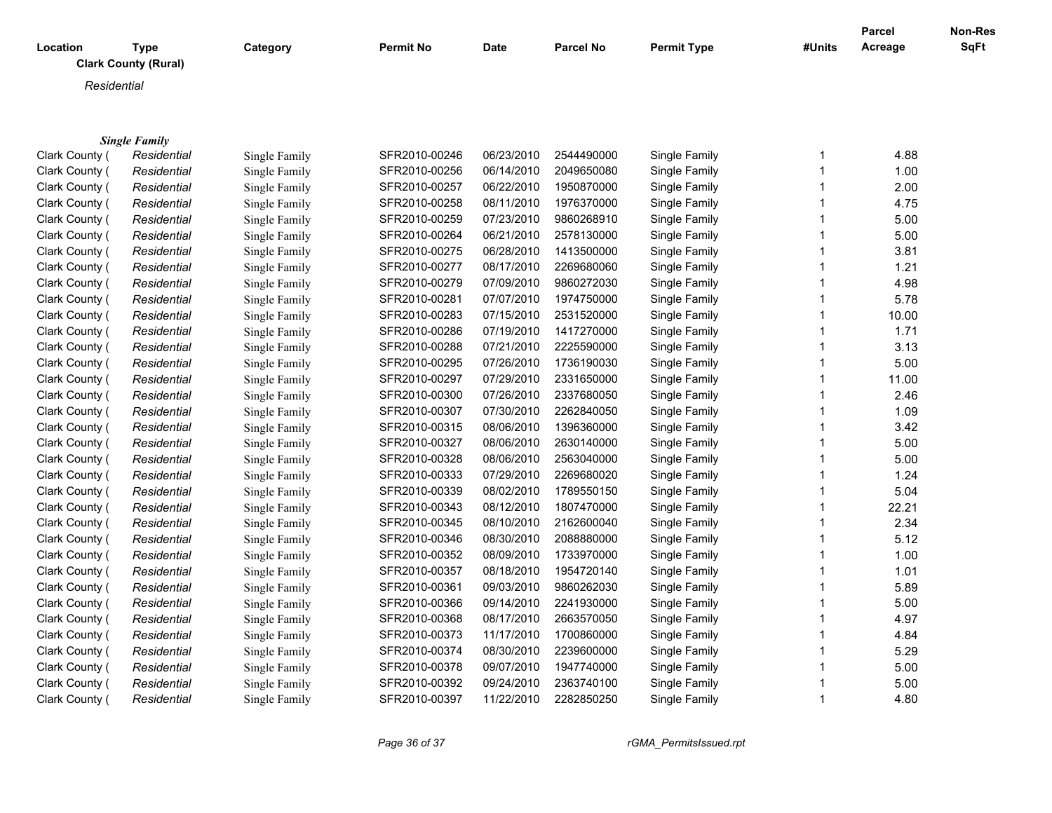| Location | Type<br><b>Clark County (Rural)</b> | Category | <b>Permit No</b> | <b>Date</b> | <b>Parcel No</b> | <b>Permit Type</b> | #Units | <b>Parcel</b><br>Acreage | Non-Res<br><b>SqFt</b> |
|----------|-------------------------------------|----------|------------------|-------------|------------------|--------------------|--------|--------------------------|------------------------|
|          | Residential                         |          |                  |             |                  |                    |        |                          |                        |
|          |                                     |          |                  |             |                  |                    |        |                          |                        |

|                | <b>Single Family</b> |               |               |            |            |               |       |
|----------------|----------------------|---------------|---------------|------------|------------|---------------|-------|
| Clark County ( | Residential          | Single Family | SFR2010-00246 | 06/23/2010 | 2544490000 | Single Family | 4.88  |
| Clark County ( | Residential          | Single Family | SFR2010-00256 | 06/14/2010 | 2049650080 | Single Family | 1.00  |
| Clark County ( | Residential          | Single Family | SFR2010-00257 | 06/22/2010 | 1950870000 | Single Family | 2.00  |
| Clark County ( | Residential          | Single Family | SFR2010-00258 | 08/11/2010 | 1976370000 | Single Family | 4.75  |
| Clark County ( | Residential          | Single Family | SFR2010-00259 | 07/23/2010 | 9860268910 | Single Family | 5.00  |
| Clark County ( | Residential          | Single Family | SFR2010-00264 | 06/21/2010 | 2578130000 | Single Family | 5.00  |
| Clark County ( | Residential          | Single Family | SFR2010-00275 | 06/28/2010 | 1413500000 | Single Family | 3.81  |
| Clark County ( | Residential          | Single Family | SFR2010-00277 | 08/17/2010 | 2269680060 | Single Family | 1.21  |
| Clark County ( | Residential          | Single Family | SFR2010-00279 | 07/09/2010 | 9860272030 | Single Family | 4.98  |
| Clark County ( | Residential          | Single Family | SFR2010-00281 | 07/07/2010 | 1974750000 | Single Family | 5.78  |
| Clark County ( | Residential          | Single Family | SFR2010-00283 | 07/15/2010 | 2531520000 | Single Family | 10.00 |
| Clark County ( | Residential          | Single Family | SFR2010-00286 | 07/19/2010 | 1417270000 | Single Family | 1.71  |
| Clark County ( | Residential          | Single Family | SFR2010-00288 | 07/21/2010 | 2225590000 | Single Family | 3.13  |
| Clark County ( | Residential          | Single Family | SFR2010-00295 | 07/26/2010 | 1736190030 | Single Family | 5.00  |
| Clark County ( | Residential          | Single Family | SFR2010-00297 | 07/29/2010 | 2331650000 | Single Family | 11.00 |
| Clark County ( | Residential          | Single Family | SFR2010-00300 | 07/26/2010 | 2337680050 | Single Family | 2.46  |
| Clark County ( | Residential          | Single Family | SFR2010-00307 | 07/30/2010 | 2262840050 | Single Family | 1.09  |
| Clark County ( | Residential          | Single Family | SFR2010-00315 | 08/06/2010 | 1396360000 | Single Family | 3.42  |
| Clark County ( | Residential          | Single Family | SFR2010-00327 | 08/06/2010 | 2630140000 | Single Family | 5.00  |
| Clark County ( | Residential          | Single Family | SFR2010-00328 | 08/06/2010 | 2563040000 | Single Family | 5.00  |
| Clark County ( | Residential          | Single Family | SFR2010-00333 | 07/29/2010 | 2269680020 | Single Family | 1.24  |
| Clark County ( | Residential          | Single Family | SFR2010-00339 | 08/02/2010 | 1789550150 | Single Family | 5.04  |
| Clark County ( | Residential          | Single Family | SFR2010-00343 | 08/12/2010 | 1807470000 | Single Family | 22.21 |
| Clark County ( | Residential          | Single Family | SFR2010-00345 | 08/10/2010 | 2162600040 | Single Family | 2.34  |
| Clark County ( | Residential          | Single Family | SFR2010-00346 | 08/30/2010 | 2088880000 | Single Family | 5.12  |
| Clark County ( | Residential          | Single Family | SFR2010-00352 | 08/09/2010 | 1733970000 | Single Family | 1.00  |
| Clark County ( | Residential          | Single Family | SFR2010-00357 | 08/18/2010 | 1954720140 | Single Family | 1.01  |
| Clark County ( | Residential          | Single Family | SFR2010-00361 | 09/03/2010 | 9860262030 | Single Family | 5.89  |
| Clark County ( | Residential          | Single Family | SFR2010-00366 | 09/14/2010 | 2241930000 | Single Family | 5.00  |
| Clark County ( | Residential          | Single Family | SFR2010-00368 | 08/17/2010 | 2663570050 | Single Family | 4.97  |
| Clark County ( | Residential          | Single Family | SFR2010-00373 | 11/17/2010 | 1700860000 | Single Family | 4.84  |
| Clark County ( | Residential          | Single Family | SFR2010-00374 | 08/30/2010 | 2239600000 | Single Family | 5.29  |
| Clark County ( | Residential          | Single Family | SFR2010-00378 | 09/07/2010 | 1947740000 | Single Family | 5.00  |
| Clark County ( | Residential          | Single Family | SFR2010-00392 | 09/24/2010 | 2363740100 | Single Family | 5.00  |
| Clark County ( | Residential          | Single Family | SFR2010-00397 | 11/22/2010 | 2282850250 | Single Family | 4.80  |
|                |                      |               |               |            |            |               |       |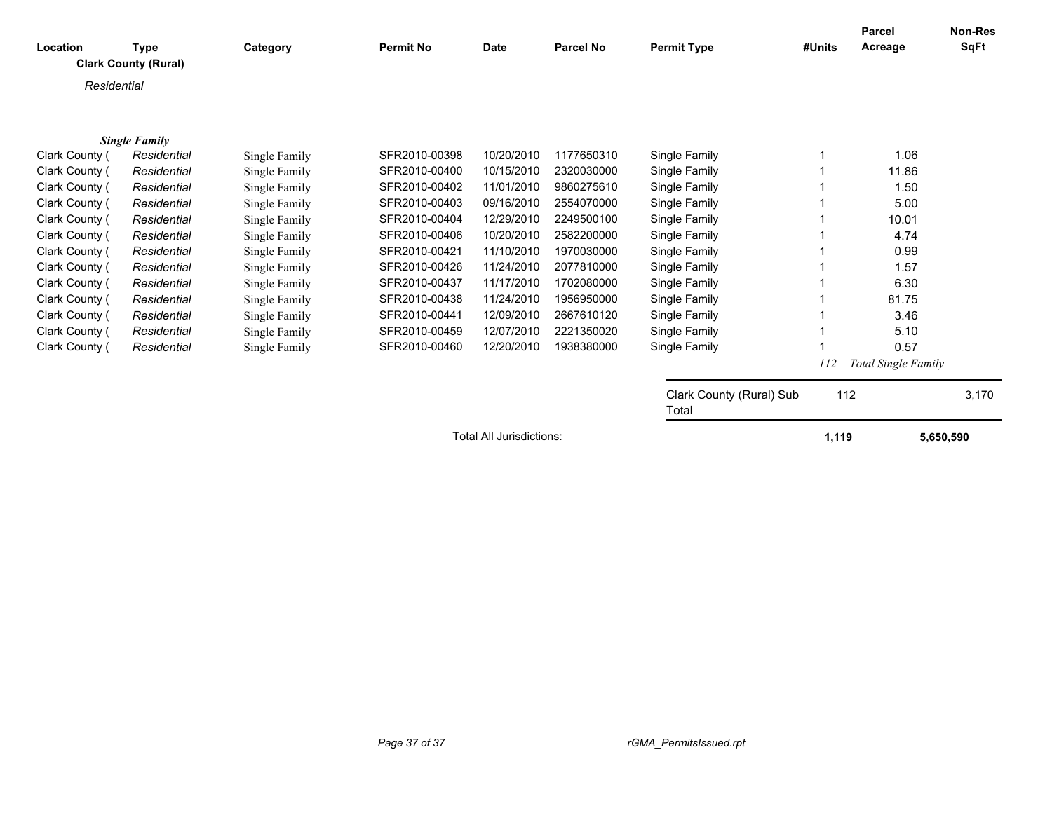| Location       | <b>Type</b>                 | Category      | <b>Permit No</b> | <b>Date</b>              | <b>Parcel No</b> | <b>Permit Type</b>       | #Units | <b>Parcel</b><br>Acreage | <b>Non-Res</b><br><b>SqFt</b> |
|----------------|-----------------------------|---------------|------------------|--------------------------|------------------|--------------------------|--------|--------------------------|-------------------------------|
|                | <b>Clark County (Rural)</b> |               |                  |                          |                  |                          |        |                          |                               |
| Residential    |                             |               |                  |                          |                  |                          |        |                          |                               |
|                |                             |               |                  |                          |                  |                          |        |                          |                               |
|                | <b>Single Family</b>        |               |                  |                          |                  |                          |        |                          |                               |
| Clark County ( | Residential                 | Single Family | SFR2010-00398    | 10/20/2010               | 1177650310       | Single Family            |        | 1.06                     |                               |
| Clark County ( | Residential                 | Single Family | SFR2010-00400    | 10/15/2010               | 2320030000       | Single Family            |        | 11.86                    |                               |
| Clark County ( | Residential                 | Single Family | SFR2010-00402    | 11/01/2010               | 9860275610       | Single Family            |        | 1.50                     |                               |
| Clark County ( | Residential                 | Single Family | SFR2010-00403    | 09/16/2010               | 2554070000       | Single Family            |        | 5.00                     |                               |
| Clark County ( | Residential                 | Single Family | SFR2010-00404    | 12/29/2010               | 2249500100       | Single Family            |        | 10.01                    |                               |
| Clark County ( | Residential                 | Single Family | SFR2010-00406    | 10/20/2010               | 2582200000       | Single Family            |        | 4.74                     |                               |
| Clark County ( | Residential                 | Single Family | SFR2010-00421    | 11/10/2010               | 1970030000       | Single Family            |        | 0.99                     |                               |
| Clark County ( | Residential                 | Single Family | SFR2010-00426    | 11/24/2010               | 2077810000       | Single Family            |        | 1.57                     |                               |
| Clark County ( | Residential                 | Single Family | SFR2010-00437    | 11/17/2010               | 1702080000       | Single Family            |        | 6.30                     |                               |
| Clark County ( | Residential                 | Single Family | SFR2010-00438    | 11/24/2010               | 1956950000       | Single Family            |        | 81.75                    |                               |
| Clark County ( | Residential                 | Single Family | SFR2010-00441    | 12/09/2010               | 2667610120       | Single Family            |        | 3.46                     |                               |
| Clark County ( | Residential                 | Single Family | SFR2010-00459    | 12/07/2010               | 2221350020       | Single Family            |        | 5.10                     |                               |
| Clark County ( | Residential                 | Single Family | SFR2010-00460    | 12/20/2010               | 1938380000       | Single Family            |        | 0.57                     |                               |
|                |                             |               |                  |                          |                  |                          | 112    | Total Single Family      |                               |
|                |                             |               |                  |                          |                  | Clark County (Rural) Sub | 112    |                          | 3,170                         |
|                |                             |               |                  |                          |                  | Total                    |        |                          |                               |
|                |                             |               |                  | Total All Jurisdictions: |                  |                          | 1,119  | 5,650,590                |                               |
|                |                             |               |                  |                          |                  |                          |        |                          |                               |
|                |                             |               |                  |                          |                  |                          |        |                          |                               |